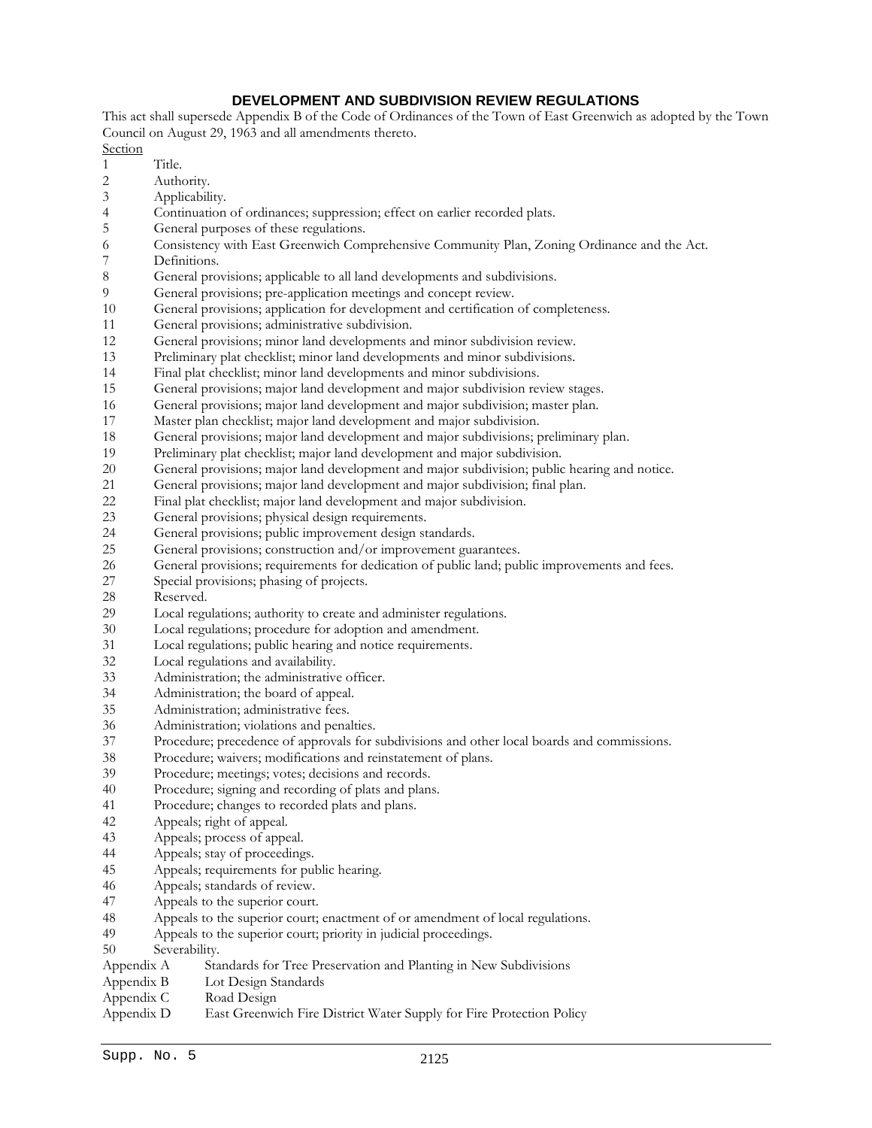# **DEVELOPMENT AND SUBDIVISION REVIEW REGULATIONS**

This act shall supersede Appendix B of the Code of Ordinances of the Town of East Greenwich as adopted by the Town Council on August 29, 1963 and all amendments thereto.

**Section** 

- 1 Title. 2 Authority.
- 
- 3 Applicability.
- 4 Continuation of ordinances; suppression; effect on earlier recorded plats.
- 5 General purposes of these regulations.
- 6 Consistency with East Greenwich Comprehensive Community Plan, Zoning Ordinance and the Act.
- 7 Definitions.<br>8 General pro
- General provisions; applicable to all land developments and subdivisions.
- 9 General provisions; pre-application meetings and concept review.
- 10 General provisions; application for development and certification of completeness.
- 11 General provisions; administrative subdivision.
- 12 General provisions; minor land developments and minor subdivision review.
- 13 Preliminary plat checklist; minor land developments and minor subdivisions.
- 14 Final plat checklist; minor land developments and minor subdivisions.
- 15 General provisions; major land development and major subdivision review stages.
- 16 General provisions; major land development and major subdivision; master plan.
- 17 Master plan checklist; major land development and major subdivision.
- 18 General provisions; major land development and major subdivisions; preliminary plan.
- 19 Preliminary plat checklist; major land development and major subdivision.
- 20 General provisions; major land development and major subdivision; public hearing and notice.
- 21 General provisions; major land development and major subdivision; final plan.
- 22 Final plat checklist; major land development and major subdivision.<br>23 General provisions: physical design requirements.
- 23 General provisions; physical design requirements.<br>24 General provisions: public improvement design st
- 24 General provisions; public improvement design standards.<br>25 General provisions: construction and/or improvement gua
- 25 General provisions; construction and/or improvement guarantees.<br>26 General provisions: requirements for dedication of public land: pul
- 26 General provisions; requirements for dedication of public land; public improvements and fees.<br>27 Special provisions: phasing of projects.
- Special provisions; phasing of projects.
- 28 Reserved.
- 29 Local regulations; authority to create and administer regulations.
- 30 Local regulations; procedure for adoption and amendment.
- 31 Local regulations; public hearing and notice requirements.
- 32 Local regulations and availability.
- 33 Administration; the administrative officer.
- 34 Administration; the board of appeal.
- 35 Administration; administrative fees.
- 36 Administration; violations and penalties.
- 37 Procedure; precedence of approvals for subdivisions and other local boards and commissions.
- 38 Procedure; waivers; modifications and reinstatement of plans.
- 39 Procedure; meetings; votes; decisions and records.
- 40 Procedure; signing and recording of plats and plans.
- 41 Procedure; changes to recorded plats and plans.<br>42 Appeals: right of appeal.
- Appeals; right of appeal.
- 43 Appeals; process of appeal.
- 44 Appeals; stay of proceedings.
- 45 Appeals; requirements for public hearing.<br>46 Appeals: standards of review.
- Appeals; standards of review.
- 47 Appeals to the superior court.
- 48 Appeals to the superior court; enactment of or amendment of local regulations.
- 49 Appeals to the superior court; priority in judicial proceedings.
- 50 Severability.
- Appendix A Standards for Tree Preservation and Planting in New Subdivisions
- Appendix B Lot Design Standards<br>Appendix C Road Design
- Appendix C Road Design<br>Appendix D East Greenwi
- East Greenwich Fire District Water Supply for Fire Protection Policy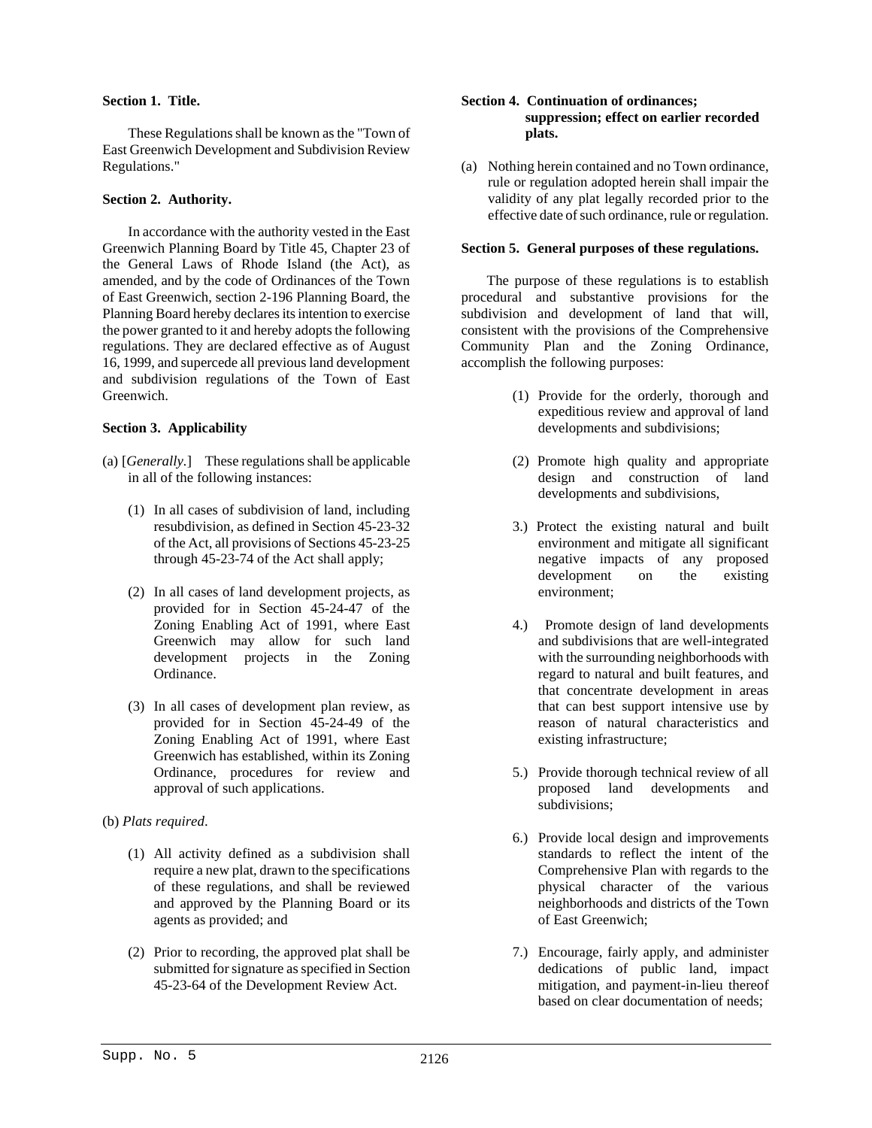# **Section 1. Title.**

These Regulations shall be known as the "Town of East Greenwich Development and Subdivision Review Regulations." (a) Nothing herein contained and no Town ordinance,

# **Section 2. Authority.**

In accordance with the authority vested in the East Greenwich Planning Board by Title 45, Chapter 23 of the General Laws of Rhode Island (the Act), as amended, and by the code of Ordinances of the Town of East Greenwich, section 2-196 Planning Board, the Planning Board hereby declares its intention to exercise the power granted to it and hereby adopts the following regulations. They are declared effective as of August 16, 1999, and supercede all previous land development and subdivision regulations of the Town of East Greenwich.

- (a) [*Generally.*] These regulations shall be applicable in all of the following instances:
	- (1) In all cases of subdivision of land, including resubdivision, as defined in Section 45-23-32 of the Act, all provisions of Sections 45-23-25 through 45-23-74 of the Act shall apply;
	- (2) In all cases of land development projects, as environment; provided for in Section 45-24-47 of the Zoning Enabling Act of 1991, where East Greenwich may allow for such land development projects in the Zoning Ordinance.
	- (3) In all cases of development plan review, as provided for in Section 45-24-49 of the Zoning Enabling Act of 1991, where East Greenwich has established, within its Zoning Ordinance, procedures for review and approval of such applications.

# (b) *Plats required*.

- (1) All activity defined as a subdivision shall require a new plat, drawn to the specifications of these regulations, and shall be reviewed and approved by the Planning Board or its agents as provided; and
- (2) Prior to recording, the approved plat shall be submitted for signature as specified in Section 45-23-64 of the Development Review Act.

# **Section 4. Continuation of ordinances; suppression; effect on earlier recorded plats.**

rule or regulation adopted herein shall impair the validity of any plat legally recorded prior to the effective date of such ordinance, rule or regulation.

# **Section 5. General purposes of these regulations.**

The purpose of these regulations is to establish procedural and substantive provisions for the subdivision and development of land that will, consistent with the provisions of the Comprehensive Community Plan and the Zoning Ordinance, accomplish the following purposes:

- (1) Provide for the orderly, thorough and expeditious review and approval of land **Section 3. Applicability Section 3. Applicability developments and subdivisions;** 
	- (2) Promote high quality and appropriate design and construction of land developments and subdivisions,
	- 3.) Protect the existing natural and built environment and mitigate all significant negative impacts of any proposed development on the existing
	- 4.) Promote design of land developments and subdivisions that are well-integrated with the surrounding neighborhoods with regard to natural and built features, and that concentrate development in areas that can best support intensive use by reason of natural characteristics and existing infrastructure;
	- 5.) Provide thorough technical review of all proposed land developments and subdivisions;
	- 6.) Provide local design and improvements standards to reflect the intent of the Comprehensive Plan with regards to the physical character of the various neighborhoods and districts of the Town of East Greenwich;
	- 7.) Encourage, fairly apply, and administer dedications of public land, impact mitigation, and payment-in-lieu thereof based on clear documentation of needs;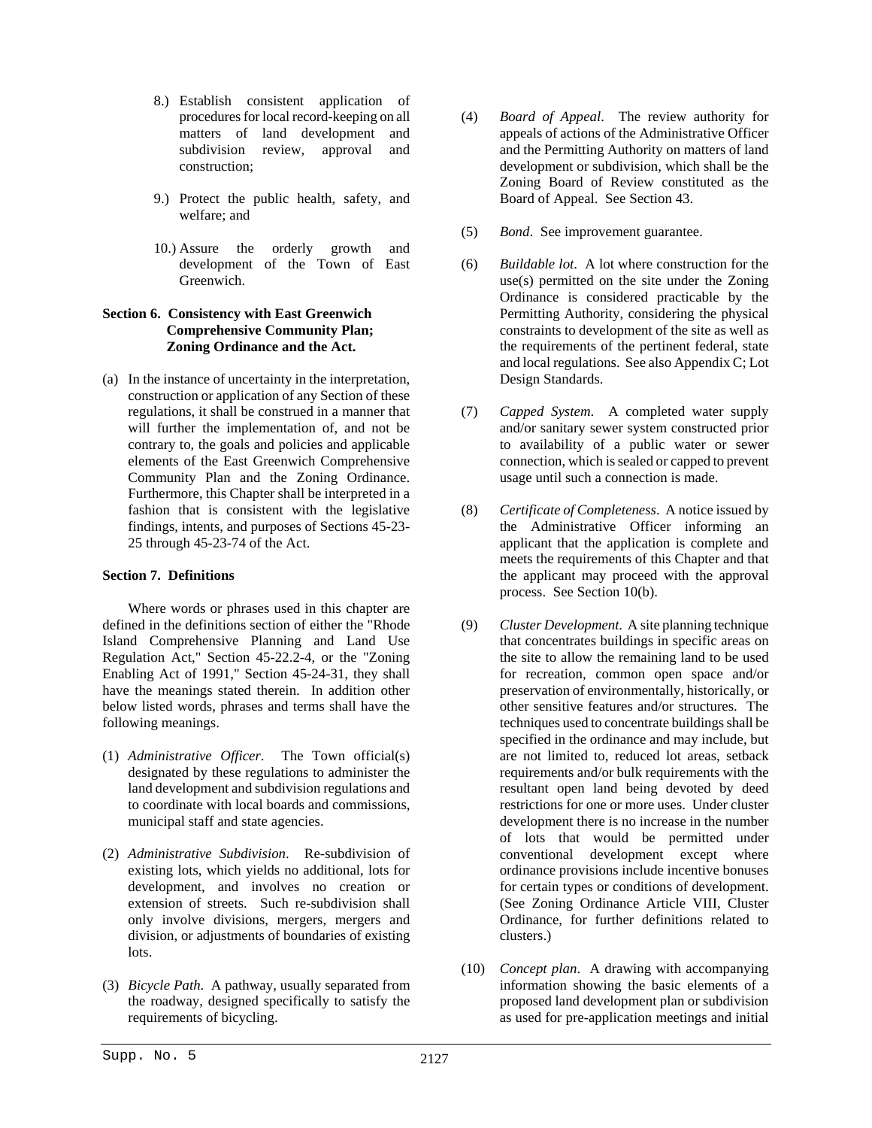- 8.) Establish consistent application of procedures for local record-keeping on all matters of land development and subdivision review, approval and construction;
- 9.) Protect the public health, safety, and Board of Appeal. See Section 43. welfare; and
- 10.) Assure the orderly growth and development of the Town of East Greenwich.

# **Section 6. Consistency with East Greenwich Comprehensive Community Plan; Zoning Ordinance and the Act.**

(a) In the instance of uncertainty in the interpretation, construction or application of any Section of these regulations, it shall be construed in a manner that will further the implementation of, and not be contrary to, the goals and policies and applicable elements of the East Greenwich Comprehensive Community Plan and the Zoning Ordinance. Furthermore, this Chapter shall be interpreted in a fashion that is consistent with the legislative findings, intents, and purposes of Sections 45-23- 25 through 45-23-74 of the Act.

# **Section 7. Definitions**

Where words or phrases used in this chapter are defined in the definitions section of either the "Rhode Island Comprehensive Planning and Land Use Regulation Act," Section 45-22.2-4, or the "Zoning Enabling Act of 1991," Section 45-24-31, they shall have the meanings stated therein. In addition other below listed words, phrases and terms shall have the following meanings.

- (1) *Administrative Officer*. The Town official(s) designated by these regulations to administer the land development and subdivision regulations and to coordinate with local boards and commissions, municipal staff and state agencies.
- (2) *Administrative Subdivision*. Re-subdivision of existing lots, which yields no additional, lots for development, and involves no creation or extension of streets. Such re-subdivision shall only involve divisions, mergers, mergers and division, or adjustments of boundaries of existing lots.
- (3) *Bicycle Path*. A pathway, usually separated from the roadway, designed specifically to satisfy the requirements of bicycling.
- (4) *Board of Appeal*. The review authority for appeals of actions of the Administrative Officer and the Permitting Authority on matters of land development or subdivision, which shall be the Zoning Board of Review constituted as the
- (5) *Bond*. See improvement guarantee.
- (6) *Buildable lot*. A lot where construction for the use(s) permitted on the site under the Zoning Ordinance is considered practicable by the Permitting Authority, considering the physical constraints to development of the site as well as the requirements of the pertinent federal, state and local regulations. See also Appendix C; Lot Design Standards.
- (7) *Capped System*. A completed water supply and/or sanitary sewer system constructed prior to availability of a public water or sewer connection, which is sealed or capped to prevent usage until such a connection is made.
- (8) *Certificate of Completeness*. A notice issued by the Administrative Officer informing an applicant that the application is complete and meets the requirements of this Chapter and that the applicant may proceed with the approval process. See Section 10(b).
- (9) *Cluster Development*. A site planning technique that concentrates buildings in specific areas on the site to allow the remaining land to be used for recreation, common open space and/or preservation of environmentally, historically, or other sensitive features and/or structures. The techniques used to concentrate buildings shall be specified in the ordinance and may include, but are not limited to, reduced lot areas, setback requirements and/or bulk requirements with the resultant open land being devoted by deed restrictions for one or more uses. Under cluster development there is no increase in the number of lots that would be permitted under conventional development except where ordinance provisions include incentive bonuses for certain types or conditions of development. (See Zoning Ordinance Article VIII, Cluster Ordinance, for further definitions related to clusters.)
- (10) *Concept plan*. A drawing with accompanying information showing the basic elements of a proposed land development plan or subdivision as used for pre-application meetings and initial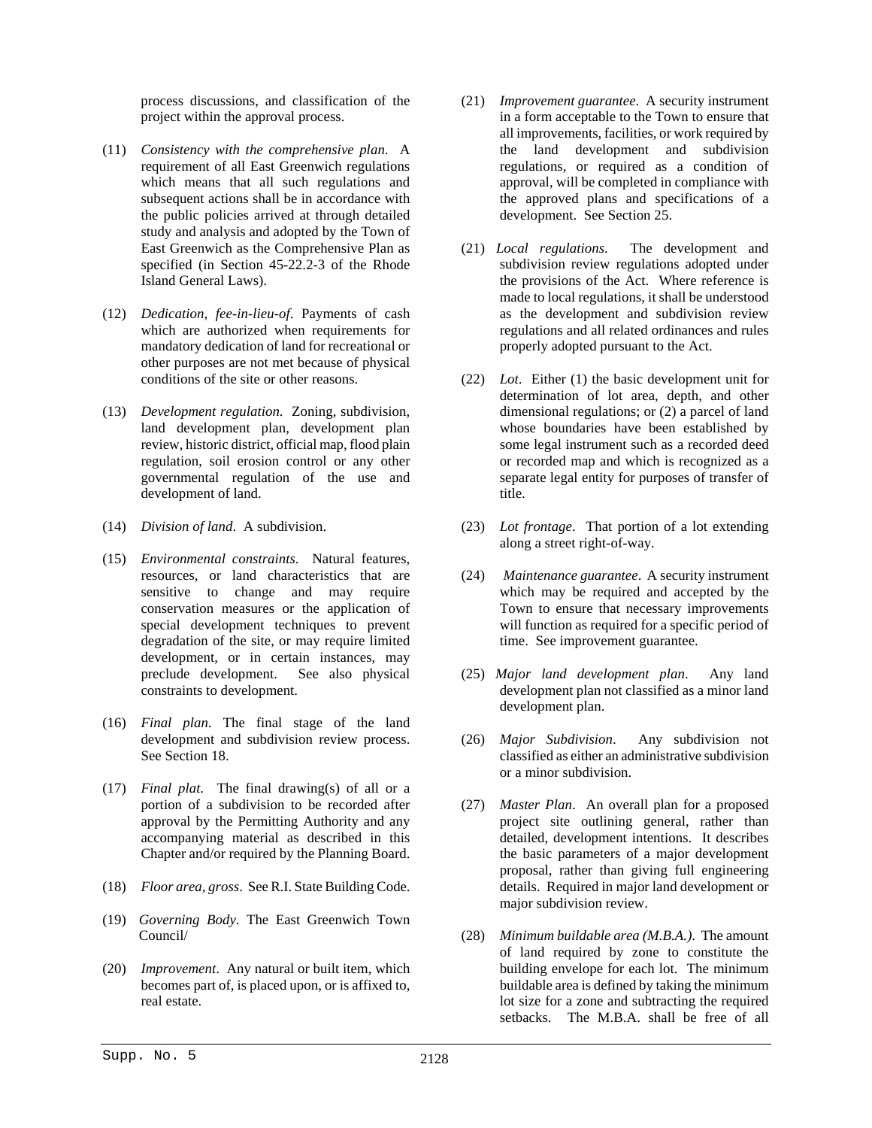process discussions, and classification of the project within the approval process.

- (11) *Consistency with the comprehensive plan*. A requirement of all East Greenwich regulations which means that all such regulations and subsequent actions shall be in accordance with the public policies arrived at through detailed study and analysis and adopted by the Town of East Greenwich as the Comprehensive Plan as specified (in Section 45-22.2-3 of the Rhode Island General Laws).
- (12) *Dedication*, *fee-in-lieu-of*. Payments of cash which are authorized when requirements for mandatory dedication of land for recreational or other purposes are not met because of physical
- (13) *Development regulation*. Zoning, subdivision, land development plan, development plan review, historic district, official map, flood plain regulation, soil erosion control or any other governmental regulation of the use and development of land.
- 
- (15) *Environmental constraints*. Natural features, resources, or land characteristics that are sensitive to change and may require conservation measures or the application of special development techniques to prevent degradation of the site, or may require limited development, or in certain instances, may preclude development. See also physical preclude development. constraints to development.
- (16) *Final plan*. The final stage of the land development and subdivision review process. See Section 18.
- (17) *Final plat*. The final drawing(s) of all or a portion of a subdivision to be recorded after approval by the Permitting Authority and any accompanying material as described in this Chapter and/or required by the Planning Board.
- (18) *Floor area, gross*. See R.I. State Building Code.
- (19) *Governing Body*. The East Greenwich Town
- (20) *Improvement*. Any natural or built item, which becomes part of, is placed upon, or is affixed to, real estate.
- (21) *Improvement guarantee*. A security instrument in a form acceptable to the Town to ensure that all improvements, facilities, or work required by the land development and subdivision regulations, or required as a condition of approval, will be completed in compliance with the approved plans and specifications of a development. See Section 25.
- (21) *Local regulations*. The development and subdivision review regulations adopted under the provisions of the Act. Where reference is made to local regulations, it shall be understood as the development and subdivision review regulations and all related ordinances and rules properly adopted pursuant to the Act.
- conditions of the site or other reasons. (22) *Lot*. Either (1) the basic development unit for determination of lot area, depth, and other dimensional regulations; or (2) a parcel of land whose boundaries have been established by some legal instrument such as a recorded deed or recorded map and which is recognized as a separate legal entity for purposes of transfer of title.
- (14) *Division of land*. A subdivision. (23) *Lot frontage*. That portion of a lot extending along a street right-of-way.
	- (24) *Maintenance guarantee*. A security instrument which may be required and accepted by the Town to ensure that necessary improvements will function as required for a specific period of time. See improvement guarantee.
	- (25) *Major land development plan*. Any land development plan not classified as a minor land development plan.
	- (26) *Major Subdivision*. Any subdivision not classified as either an administrative subdivision or a minor subdivision.
	- (27) *Master Plan*. An overall plan for a proposed project site outlining general, rather than detailed, development intentions. It describes the basic parameters of a major development proposal, rather than giving full engineering details. Required in major land development or major subdivision review.
	- Council/ (28) *Minimum buildable area (M.B.A.)*. The amount of land required by zone to constitute the building envelope for each lot. The minimum buildable area is defined by taking the minimum lot size for a zone and subtracting the required setbacks. The M.B.A. shall be free of all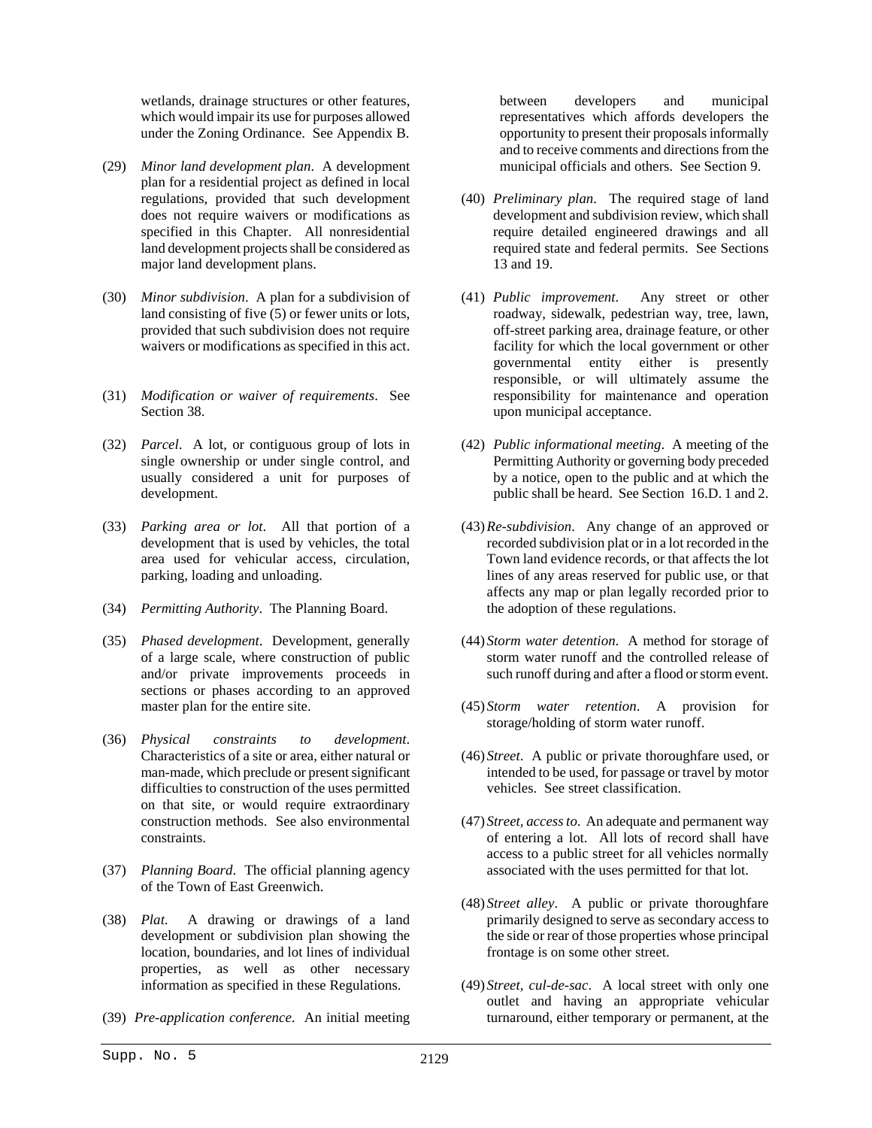wetlands, drainage structures or other features, which would impair its use for purposes allowed under the Zoning Ordinance. See Appendix B.

- (29) *Minor land development plan*. A development plan for a residential project as defined in local regulations, provided that such development does not require waivers or modifications as specified in this Chapter. All nonresidential land development projects shall be considered as major land development plans.
- (30) *Minor subdivision*. A plan for a subdivision of land consisting of five (5) or fewer units or lots, provided that such subdivision does not require waivers or modifications as specified in this act.
- (31) *Modification or waiver of requirements*. See Section 38.
- (32) *Parcel*. A lot, or contiguous group of lots in single ownership or under single control, and usually considered a unit for purposes of development.
- (33) *Parking area or lot*. All that portion of a development that is used by vehicles, the total area used for vehicular access, circulation, parking, loading and unloading.
- (34) *Permitting Authority*. The Planning Board.
- (35) *Phased development*. Development, generally of a large scale, where construction of public and/or private improvements proceeds in sections or phases according to an approved master plan for the entire site.
- (36) *Physical constraints to development*. Characteristics of a site or area, either natural or man-made, which preclude or present significant difficulties to construction of the uses permitted on that site, or would require extraordinary construction methods. See also environmental constraints.
- (37) *Planning Board*. The official planning agency of the Town of East Greenwich.
- (38) *Plat*. A drawing or drawings of a land development or subdivision plan showing the location, boundaries, and lot lines of individual properties, as well as other necessary information as specified in these Regulations.
- (39) *Pre-application conference*. An initial meeting

between developers and municipal representatives which affords developers the opportunity to present their proposals informally and to receive comments and directions from the municipal officials and others. See Section 9.

- (40) *Preliminary plan*. The required stage of land development and subdivision review, which shall require detailed engineered drawings and all required state and federal permits. See Sections 13 and 19.
- (41) *Public improvement*. Any street or other roadway, sidewalk, pedestrian way, tree, lawn, off-street parking area, drainage feature, or other facility for which the local government or other governmental entity either is presently responsible, or will ultimately assume the responsibility for maintenance and operation upon municipal acceptance.
- (42) *Public informational meeting*. A meeting of the Permitting Authority or governing body preceded by a notice, open to the public and at which the public shall be heard. See Section 16.D. 1 and 2.
- (43)*Re-subdivision*. Any change of an approved or recorded subdivision plat or in a lot recorded in the Town land evidence records, or that affects the lot lines of any areas reserved for public use, or that affects any map or plan legally recorded prior to the adoption of these regulations.
- (44) *Storm water detention*. A method for storage of storm water runoff and the controlled release of such runoff during and after a flood or storm event.
- (45) *Storm water retention*. A provision for storage/holding of storm water runoff.
- (46) *Street*. A public or private thoroughfare used, or intended to be used, for passage or travel by motor vehicles. See street classification.
- (47) *Street, access to*. An adequate and permanent way of entering a lot. All lots of record shall have access to a public street for all vehicles normally associated with the uses permitted for that lot.
- (48) *Street alley*. A public or private thoroughfare primarily designed to serve as secondary access to the side or rear of those properties whose principal frontage is on some other street.
- (49) *Street, cul-de-sac*. A local street with only one outlet and having an appropriate vehicular turnaround, either temporary or permanent, at the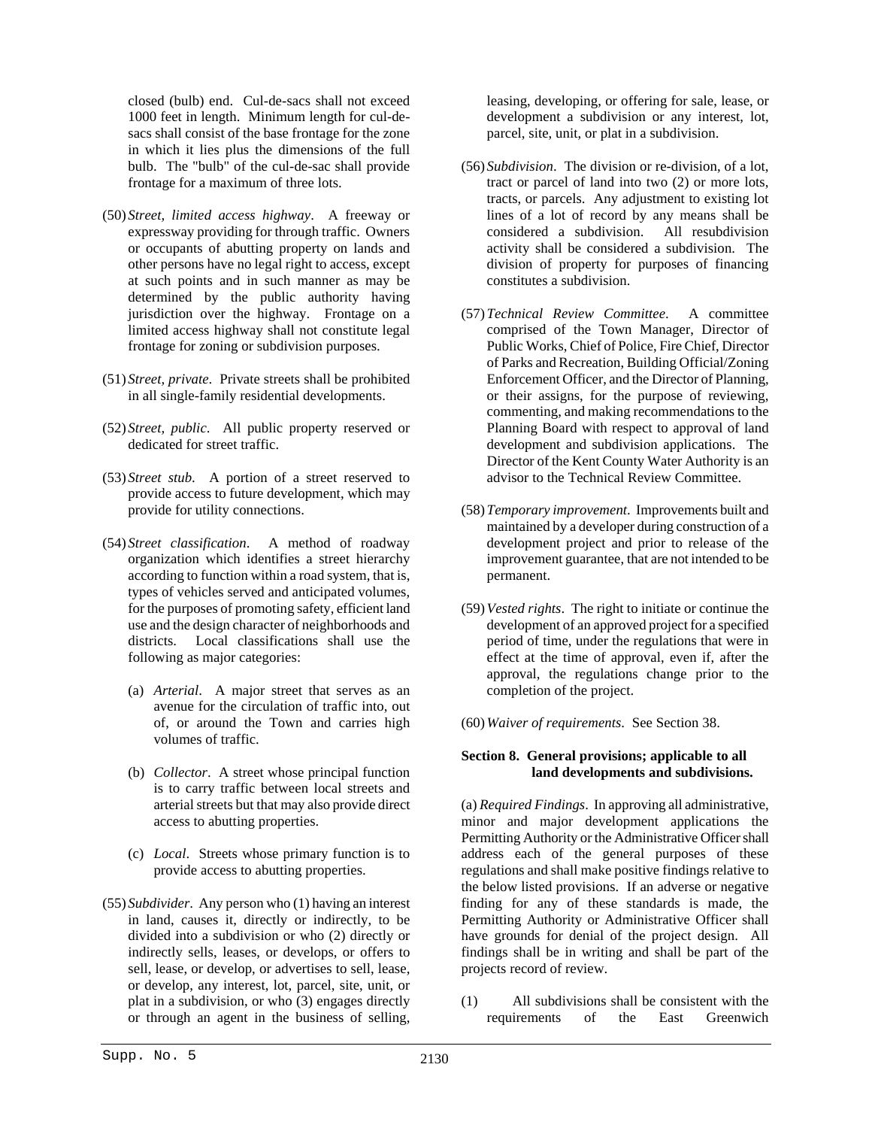closed (bulb) end. Cul-de-sacs shall not exceed 1000 feet in length. Minimum length for cul-desacs shall consist of the base frontage for the zone in which it lies plus the dimensions of the full bulb. The "bulb" of the cul-de-sac shall provide frontage for a maximum of three lots.

- (50) *Street, limited access highway*. A freeway or expressway providing for through traffic. Owners or occupants of abutting property on lands and other persons have no legal right to access, except at such points and in such manner as may be determined by the public authority having jurisdiction over the highway. Frontage on a limited access highway shall not constitute legal frontage for zoning or subdivision purposes.
- (51) *Street, private*. Private streets shall be prohibited in all single-family residential developments.
- (52) *Street, public*. All public property reserved or dedicated for street traffic.
- (53) *Street stub*. A portion of a street reserved to provide access to future development, which may provide for utility connections.
- (54) *Street classification*. A method of roadway organization which identifies a street hierarchy according to function within a road system, that is, types of vehicles served and anticipated volumes, for the purposes of promoting safety, efficient land use and the design character of neighborhoods and districts. Local classifications shall use the following as major categories:
	- (a) *Arterial*. A major street that serves as an avenue for the circulation of traffic into, out of, or around the Town and carries high volumes of traffic.
	- (b) *Collector*. A street whose principal function is to carry traffic between local streets and arterial streets but that may also provide direct access to abutting properties.
	- (c) *Local*. Streets whose primary function is to provide access to abutting properties.
- (55) *Subdivider*. Any person who (1) having an interest in land, causes it, directly or indirectly, to be divided into a subdivision or who (2) directly or indirectly sells, leases, or develops, or offers to sell, lease, or develop, or advertises to sell, lease, or develop, any interest, lot, parcel, site, unit, or plat in a subdivision, or who (3) engages directly or through an agent in the business of selling,

leasing, developing, or offering for sale, lease, or development a subdivision or any interest, lot, parcel, site, unit, or plat in a subdivision.

- (56) *Subdivision*. The division or re-division, of a lot, tract or parcel of land into two (2) or more lots, tracts, or parcels. Any adjustment to existing lot lines of a lot of record by any means shall be considered a subdivision. All resubdivision activity shall be considered a subdivision. The division of property for purposes of financing constitutes a subdivision.
- (57)*Technical Review Committee*. A committee comprised of the Town Manager, Director of Public Works, Chief of Police, Fire Chief, Director of Parks and Recreation, Building Official/Zoning Enforcement Officer, and the Director of Planning, or their assigns, for the purpose of reviewing, commenting, and making recommendations to the Planning Board with respect to approval of land development and subdivision applications. The Director of the Kent County Water Authority is an advisor to the Technical Review Committee.
- (58)*Temporary improvement*. Improvements built and maintained by a developer during construction of a development project and prior to release of the improvement guarantee, that are not intended to be permanent.
- (59)*Vested rights*. The right to initiate or continue the development of an approved project for a specified period of time, under the regulations that were in effect at the time of approval, even if, after the approval, the regulations change prior to the completion of the project.
- (60)*Waiver of requirements*. See Section 38.

# **Section 8. General provisions; applicable to all land developments and subdivisions.**

(a) *Required Findings*. In approving all administrative, minor and major development applications the Permitting Authority or the Administrative Officer shall address each of the general purposes of these regulations and shall make positive findings relative to the below listed provisions. If an adverse or negative finding for any of these standards is made, the Permitting Authority or Administrative Officer shall have grounds for denial of the project design. All findings shall be in writing and shall be part of the projects record of review.

(1) All subdivisions shall be consistent with the requirements of the East Greenwich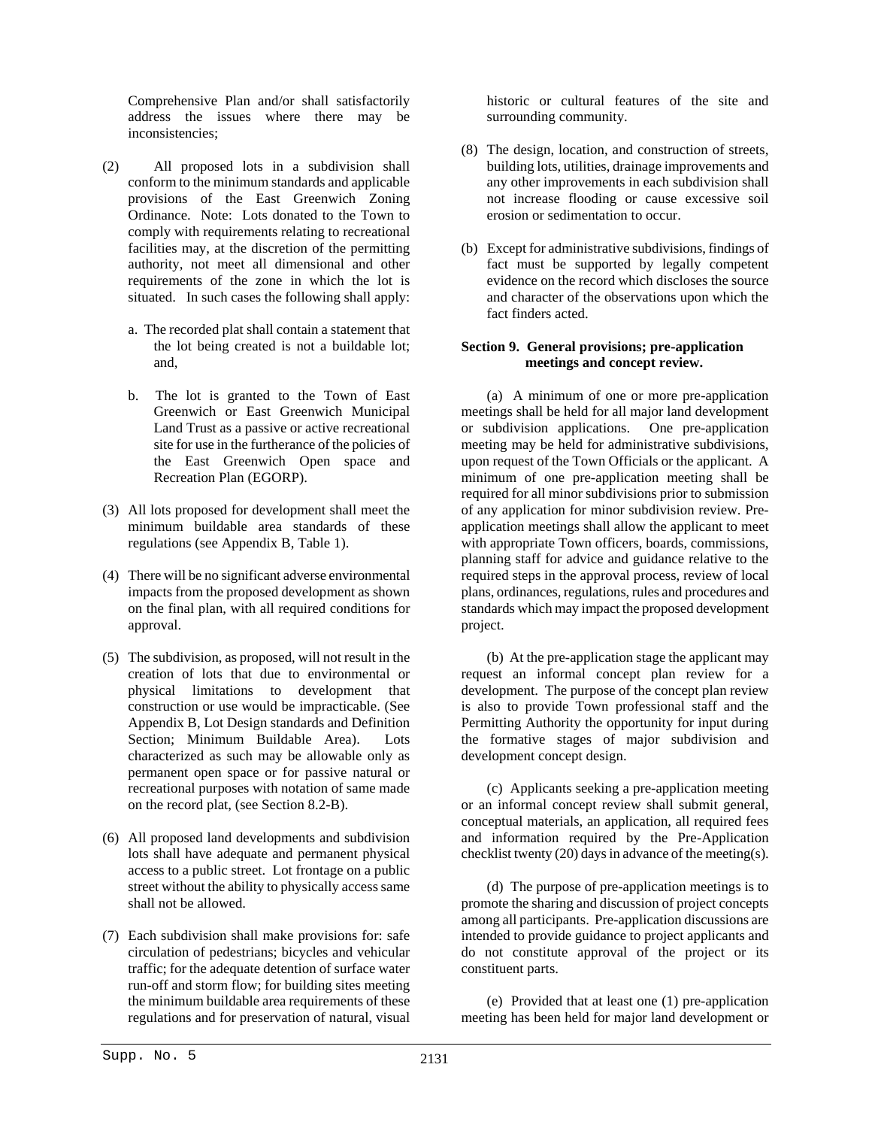Comprehensive Plan and/or shall satisfactorily address the issues where there may be inconsistencies;

- (2) All proposed lots in a subdivision shall conform to the minimum standards and applicable provisions of the East Greenwich Zoning Ordinance. Note: Lots donated to the Town to comply with requirements relating to recreational facilities may, at the discretion of the permitting authority, not meet all dimensional and other requirements of the zone in which the lot is situated. In such cases the following shall apply:
	- a. The recorded plat shall contain a statement that the lot being created is not a buildable lot; and,
	- b. The lot is granted to the Town of East Greenwich or East Greenwich Municipal Land Trust as a passive or active recreational site for use in the furtherance of the policies of the East Greenwich Open space and Recreation Plan (EGORP).
- (3) All lots proposed for development shall meet the minimum buildable area standards of these regulations (see Appendix B, Table 1).
- (4) There will be no significant adverse environmental impacts from the proposed development as shown on the final plan, with all required conditions for approval.
- (5) The subdivision, as proposed, will not result in the creation of lots that due to environmental or physical limitations to development that construction or use would be impracticable. (See Appendix B, Lot Design standards and Definition Section; Minimum Buildable Area). Lots characterized as such may be allowable only as permanent open space or for passive natural or recreational purposes with notation of same made on the record plat, (see Section 8.2-B).
- (6) All proposed land developments and subdivision lots shall have adequate and permanent physical access to a public street. Lot frontage on a public street without the ability to physically access same shall not be allowed.
- (7) Each subdivision shall make provisions for: safe circulation of pedestrians; bicycles and vehicular traffic; for the adequate detention of surface water run-off and storm flow; for building sites meeting the minimum buildable area requirements of these regulations and for preservation of natural, visual

historic or cultural features of the site and surrounding community.

- (8) The design, location, and construction of streets, building lots, utilities, drainage improvements and any other improvements in each subdivision shall not increase flooding or cause excessive soil erosion or sedimentation to occur.
- (b) Except for administrative subdivisions, findings of fact must be supported by legally competent evidence on the record which discloses the source and character of the observations upon which the fact finders acted.

# **Section 9. General provisions; pre-application meetings and concept review.**

(a) A minimum of one or more pre-application meetings shall be held for all major land development or subdivision applications. One pre-application meeting may be held for administrative subdivisions, upon request of the Town Officials or the applicant. A minimum of one pre-application meeting shall be required for all minor subdivisions prior to submission of any application for minor subdivision review. Preapplication meetings shall allow the applicant to meet with appropriate Town officers, boards, commissions, planning staff for advice and guidance relative to the required steps in the approval process, review of local plans, ordinances, regulations, rules and procedures and standards which may impact the proposed development project.

(b) At the pre-application stage the applicant may request an informal concept plan review for a development. The purpose of the concept plan review is also to provide Town professional staff and the Permitting Authority the opportunity for input during the formative stages of major subdivision and development concept design.

(c) Applicants seeking a pre-application meeting or an informal concept review shall submit general, conceptual materials, an application, all required fees and information required by the Pre-Application checklist twenty (20) days in advance of the meeting(s).

(d) The purpose of pre-application meetings is to promote the sharing and discussion of project concepts among all participants. Pre-application discussions are intended to provide guidance to project applicants and do not constitute approval of the project or its constituent parts.

(e) Provided that at least one (1) pre-application meeting has been held for major land development or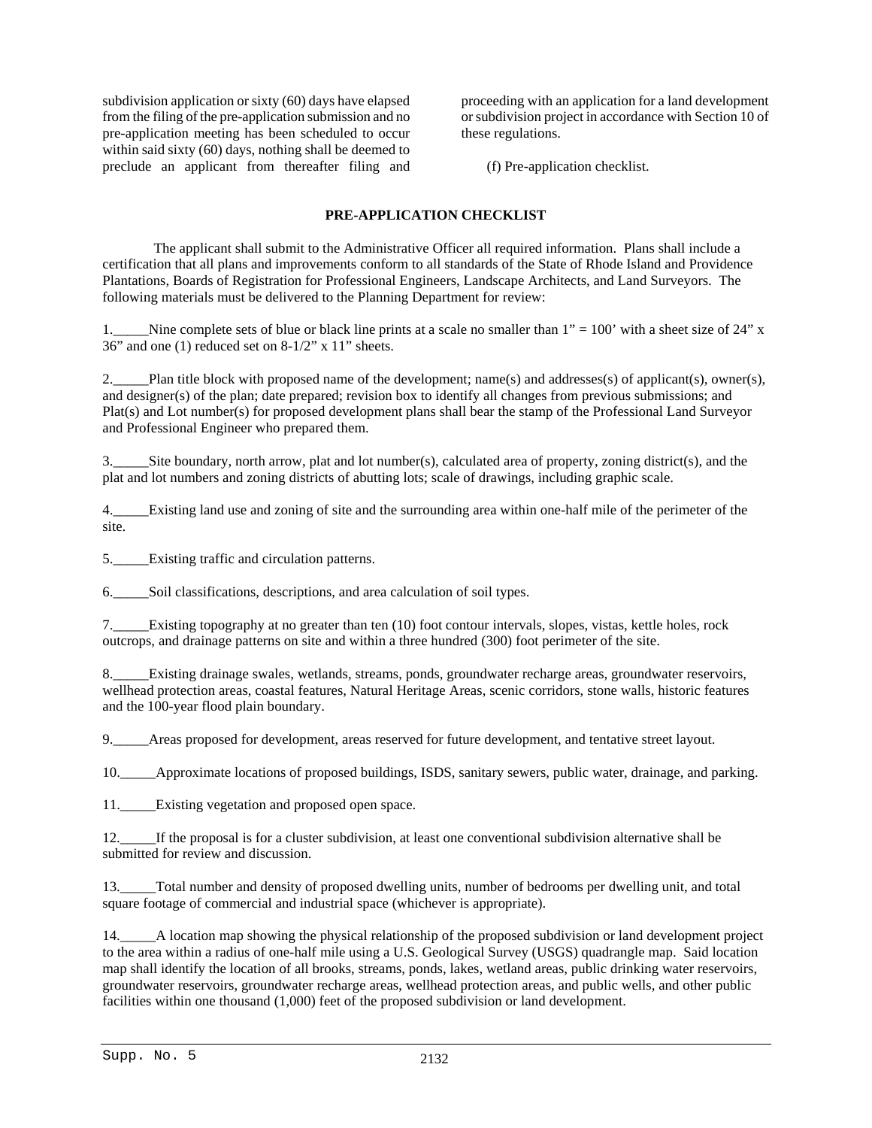subdivision application or sixty (60) days have elapsed from the filing of the pre-application submission and no pre-application meeting has been scheduled to occur within said sixty (60) days, nothing shall be deemed to preclude an applicant from thereafter filing and

proceeding with an application for a land development or subdivision project in accordance with Section 10 of these regulations.

(f) Pre-application checklist.

# **PRE-APPLICATION CHECKLIST**

 The applicant shall submit to the Administrative Officer all required information. Plans shall include a certification that all plans and improvements conform to all standards of the State of Rhode Island and Providence Plantations, Boards of Registration for Professional Engineers, Landscape Architects, and Land Surveyors. The following materials must be delivered to the Planning Department for review:

1. Nine complete sets of blue or black line prints at a scale no smaller than  $1" = 100'$  with a sheet size of 24" x 36" and one (1) reduced set on 8-1/2" x 11" sheets.

2. Plan title block with proposed name of the development; name(s) and addresses(s) of applicant(s), owner(s), and designer(s) of the plan; date prepared; revision box to identify all changes from previous submissions; and Plat(s) and Lot number(s) for proposed development plans shall bear the stamp of the Professional Land Surveyor and Professional Engineer who prepared them.

3.\_\_\_\_\_Site boundary, north arrow, plat and lot number(s), calculated area of property, zoning district(s), and the plat and lot numbers and zoning districts of abutting lots; scale of drawings, including graphic scale.

4.\_\_\_\_\_Existing land use and zoning of site and the surrounding area within one-half mile of the perimeter of the site.

5.\_\_\_\_\_Existing traffic and circulation patterns.

6.\_\_\_\_\_Soil classifications, descriptions, and area calculation of soil types.

7.\_\_\_\_\_Existing topography at no greater than ten (10) foot contour intervals, slopes, vistas, kettle holes, rock outcrops, and drainage patterns on site and within a three hundred (300) foot perimeter of the site.

8.\_\_\_\_\_Existing drainage swales, wetlands, streams, ponds, groundwater recharge areas, groundwater reservoirs, wellhead protection areas, coastal features, Natural Heritage Areas, scenic corridors, stone walls, historic features and the 100-year flood plain boundary.

9.\_\_\_\_\_Areas proposed for development, areas reserved for future development, and tentative street layout.

10.\_\_\_\_\_Approximate locations of proposed buildings, ISDS, sanitary sewers, public water, drainage, and parking.

11. Existing vegetation and proposed open space.

12.\_\_\_\_\_If the proposal is for a cluster subdivision, at least one conventional subdivision alternative shall be submitted for review and discussion.

13.\_\_\_\_\_Total number and density of proposed dwelling units, number of bedrooms per dwelling unit, and total square footage of commercial and industrial space (whichever is appropriate).

14.\_\_\_\_\_A location map showing the physical relationship of the proposed subdivision or land development project to the area within a radius of one-half mile using a U.S. Geological Survey (USGS) quadrangle map. Said location map shall identify the location of all brooks, streams, ponds, lakes, wetland areas, public drinking water reservoirs, groundwater reservoirs, groundwater recharge areas, wellhead protection areas, and public wells, and other public facilities within one thousand (1,000) feet of the proposed subdivision or land development.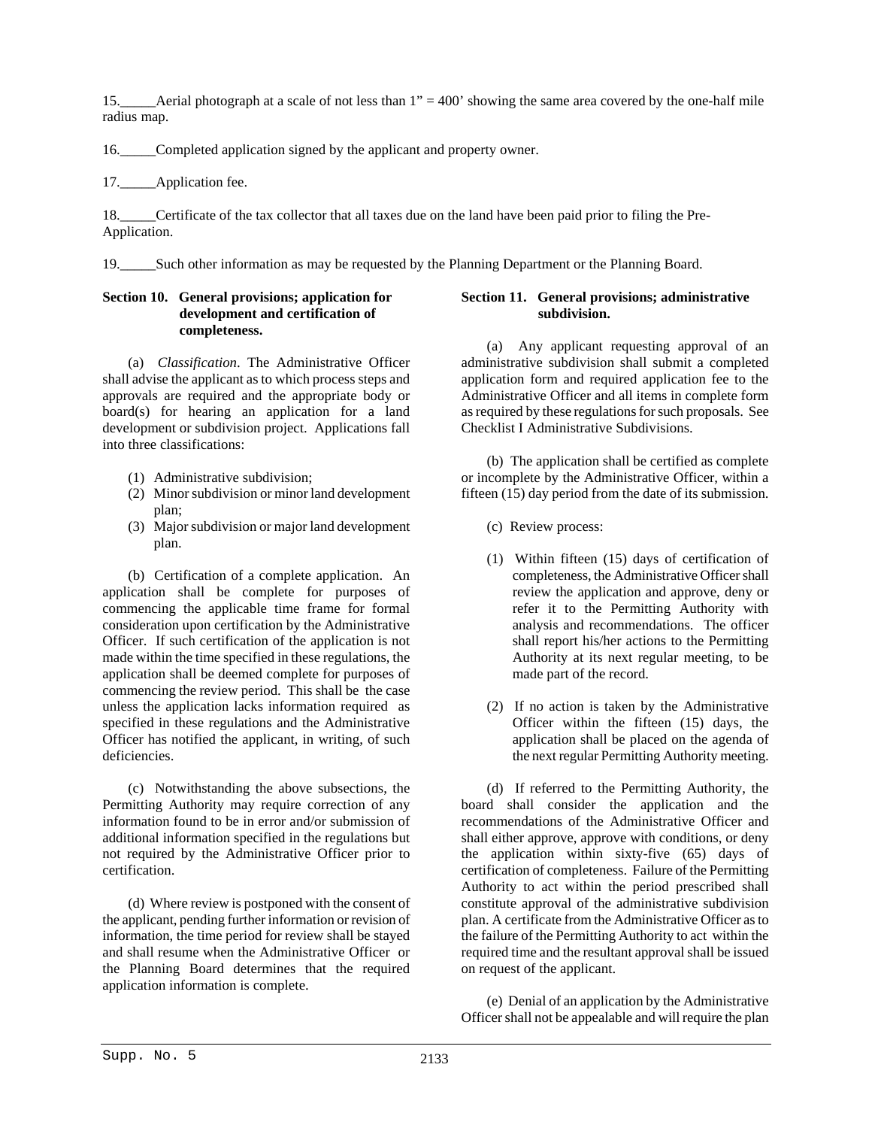15.\_\_\_\_\_Aerial photograph at a scale of not less than 1" = 400' showing the same area covered by the one-half mile radius map.

16.\_\_\_\_\_Completed application signed by the applicant and property owner.

17. Application fee.

18. Certificate of the tax collector that all taxes due on the land have been paid prior to filing the Pre-Application.

19.\_\_\_\_\_Such other information as may be requested by the Planning Department or the Planning Board.

# **Section 10. General provisions; application for development and certification of completeness.**

(a) *Classification*. The Administrative Officer shall advise the applicant as to which process steps and approvals are required and the appropriate body or board(s) for hearing an application for a land development or subdivision project. Applications fall into three classifications:

- (1) Administrative subdivision;
- (2) Minor subdivision or minor land development plan;
- (3) Major subdivision or major land development plan.

(b) Certification of a complete application. An application shall be complete for purposes of commencing the applicable time frame for formal consideration upon certification by the Administrative Officer. If such certification of the application is not made within the time specified in these regulations, the application shall be deemed complete for purposes of commencing the review period. This shall be the case unless the application lacks information required as specified in these regulations and the Administrative Officer has notified the applicant, in writing, of such deficiencies.

(c) Notwithstanding the above subsections, the Permitting Authority may require correction of any information found to be in error and/or submission of additional information specified in the regulations but not required by the Administrative Officer prior to certification.

(d) Where review is postponed with the consent of the applicant, pending further information or revision of information, the time period for review shall be stayed and shall resume when the Administrative Officer or the Planning Board determines that the required application information is complete.

# **Section 11. General provisions; administrative subdivision.**

(a) Any applicant requesting approval of an administrative subdivision shall submit a completed application form and required application fee to the Administrative Officer and all items in complete form as required by these regulations for such proposals. See Checklist I Administrative Subdivisions.

(b) The application shall be certified as complete or incomplete by the Administrative Officer, within a fifteen (15) day period from the date of its submission.

- (c) Review process:
- (1) Within fifteen (15) days of certification of completeness, the Administrative Officer shall review the application and approve, deny or refer it to the Permitting Authority with analysis and recommendations. The officer shall report his/her actions to the Permitting Authority at its next regular meeting, to be made part of the record.
- (2) If no action is taken by the Administrative Officer within the fifteen (15) days, the application shall be placed on the agenda of the next regular Permitting Authority meeting.

(d) If referred to the Permitting Authority, the board shall consider the application and the recommendations of the Administrative Officer and shall either approve, approve with conditions, or deny the application within sixty-five (65) days of certification of completeness. Failure of the Permitting Authority to act within the period prescribed shall constitute approval of the administrative subdivision plan. A certificate from the Administrative Officer as to the failure of the Permitting Authority to act within the required time and the resultant approval shall be issued on request of the applicant.

(e) Denial of an application by the Administrative Officer shall not be appealable and will require the plan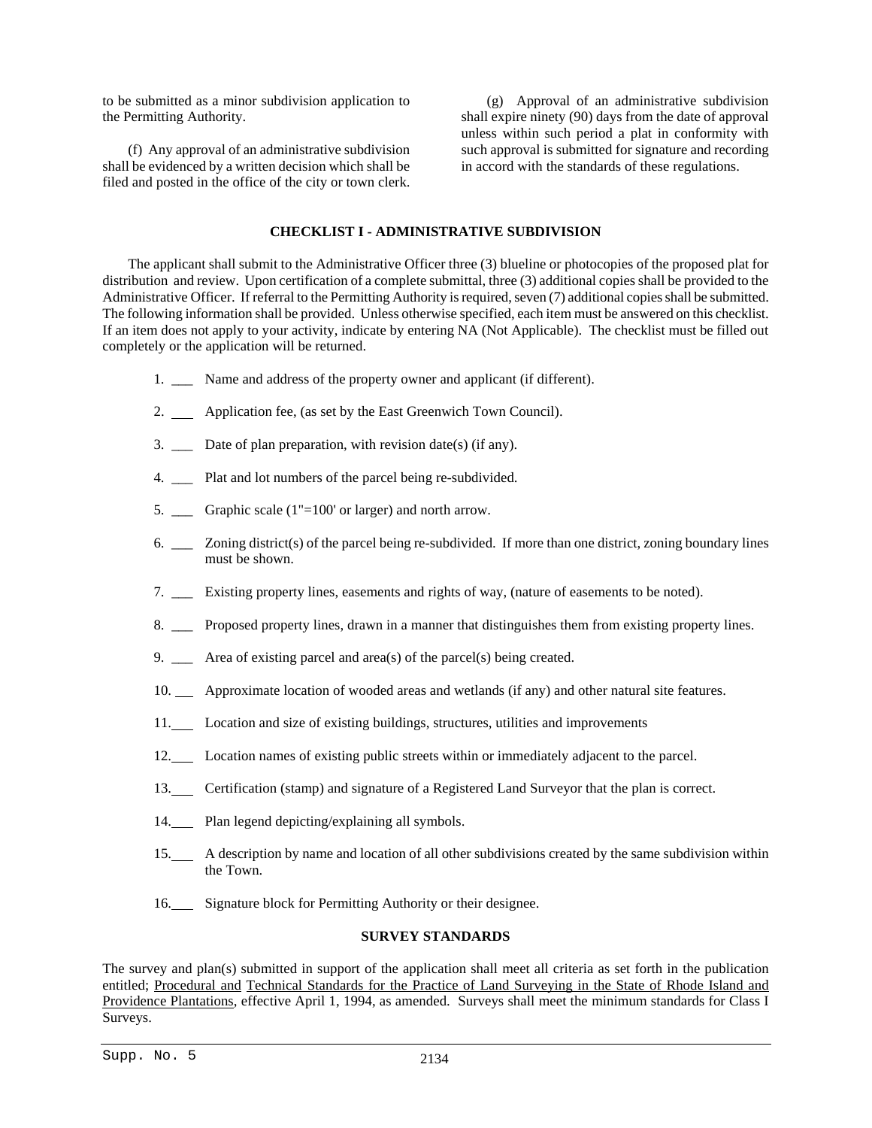to be submitted as a minor subdivision application to the Permitting Authority.

(f) Any approval of an administrative subdivision shall be evidenced by a written decision which shall be filed and posted in the office of the city or town clerk.

(g) Approval of an administrative subdivision shall expire ninety (90) days from the date of approval unless within such period a plat in conformity with such approval is submitted for signature and recording in accord with the standards of these regulations.

# **CHECKLIST I - ADMINISTRATIVE SUBDIVISION**

The applicant shall submit to the Administrative Officer three (3) blueline or photocopies of the proposed plat for distribution and review. Upon certification of a complete submittal, three (3) additional copies shall be provided to the Administrative Officer. If referral to the Permitting Authority is required, seven (7) additional copies shall be submitted. The following information shall be provided. Unless otherwise specified, each item must be answered on this checklist. If an item does not apply to your activity, indicate by entering NA (Not Applicable). The checklist must be filled out completely or the application will be returned.

- 1. Name and address of the property owner and applicant (if different).
- 2. Application fee, (as set by the East Greenwich Town Council).
- 3. \_\_\_ Date of plan preparation, with revision date(s) (if any).
- 4. Plat and lot numbers of the parcel being re-subdivided.
- 5. \_\_\_ Graphic scale (1"=100' or larger) and north arrow.
- 6. \_\_\_ Zoning district(s) of the parcel being re-subdivided. If more than one district, zoning boundary lines must be shown.
- 7. \_\_\_ Existing property lines, easements and rights of way, (nature of easements to be noted).
- 8. \_\_\_ Proposed property lines, drawn in a manner that distinguishes them from existing property lines.
- 9. \_\_\_ Area of existing parcel and area(s) of the parcel(s) being created.
- 10. Approximate location of wooded areas and wetlands (if any) and other natural site features.
- 11. Location and size of existing buildings, structures, utilities and improvements
- 12. Location names of existing public streets within or immediately adjacent to the parcel.
- 13. Certification (stamp) and signature of a Registered Land Surveyor that the plan is correct.
- 14. Plan legend depicting/explaining all symbols.
- 15. A description by name and location of all other subdivisions created by the same subdivision within the Town.
- 16. Signature block for Permitting Authority or their designee.

# **SURVEY STANDARDS**

The survey and plan(s) submitted in support of the application shall meet all criteria as set forth in the publication entitled; Procedural and Technical Standards for the Practice of Land Surveying in the State of Rhode Island and Providence Plantations, effective April 1, 1994, as amended. Surveys shall meet the minimum standards for Class I Surveys.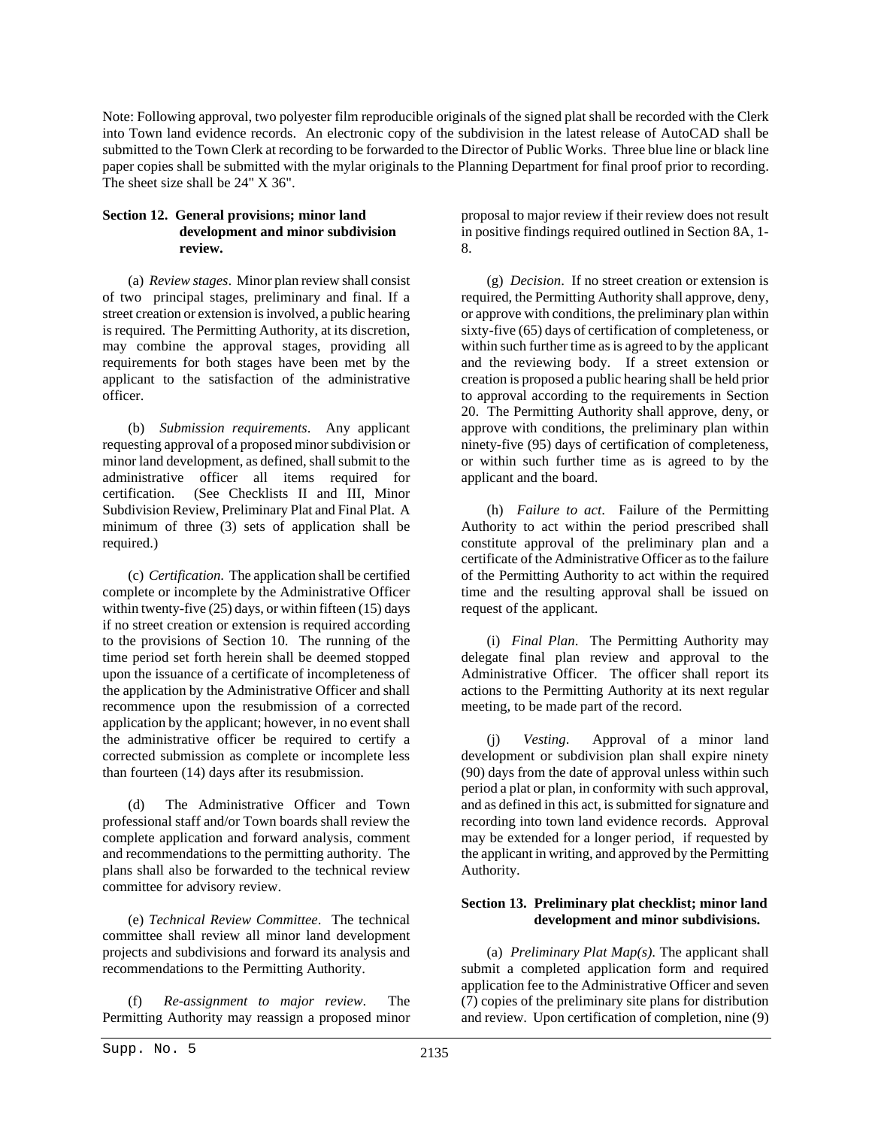Note: Following approval, two polyester film reproducible originals of the signed plat shall be recorded with the Clerk into Town land evidence records. An electronic copy of the subdivision in the latest release of AutoCAD shall be submitted to the Town Clerk at recording to be forwarded to the Director of Public Works. Three blue line or black line paper copies shall be submitted with the mylar originals to the Planning Department for final proof prior to recording. The sheet size shall be 24" X 36".

# **Section 12. General provisions; minor land development and minor subdivision review.**

(a) *Review stages*. Minor plan review shall consist of two principal stages, preliminary and final. If a street creation or extension is involved, a public hearing is required. The Permitting Authority, at its discretion, may combine the approval stages, providing all requirements for both stages have been met by the applicant to the satisfaction of the administrative officer.

(b) *Submission requirements*. Any applicant requesting approval of a proposed minor subdivision or minor land development, as defined, shall submit to the administrative officer all items required for certification. (See Checklists II and III, Minor Subdivision Review, Preliminary Plat and Final Plat. A minimum of three (3) sets of application shall be required.)

(c) *Certification*. The application shall be certified complete or incomplete by the Administrative Officer within twenty-five (25) days, or within fifteen (15) days if no street creation or extension is required according to the provisions of Section 10. The running of the time period set forth herein shall be deemed stopped upon the issuance of a certificate of incompleteness of the application by the Administrative Officer and shall recommence upon the resubmission of a corrected application by the applicant; however, in no event shall the administrative officer be required to certify a corrected submission as complete or incomplete less than fourteen (14) days after its resubmission.

(d) The Administrative Officer and Town professional staff and/or Town boards shall review the complete application and forward analysis, comment and recommendations to the permitting authority. The plans shall also be forwarded to the technical review committee for advisory review.

(e) *Technical Review Committee*. The technical committee shall review all minor land development projects and subdivisions and forward its analysis and recommendations to the Permitting Authority.

(f) *Re-assignment to major review*. The Permitting Authority may reassign a proposed minor proposal to major review if their review does not result in positive findings required outlined in Section 8A, 1- 8.

(g) *Decision*. If no street creation or extension is required, the Permitting Authority shall approve, deny, or approve with conditions, the preliminary plan within sixty-five (65) days of certification of completeness, or within such further time as is agreed to by the applicant and the reviewing body. If a street extension or creation is proposed a public hearing shall be held prior to approval according to the requirements in Section 20. The Permitting Authority shall approve, deny, or approve with conditions, the preliminary plan within ninety-five (95) days of certification of completeness, or within such further time as is agreed to by the applicant and the board.

(h) *Failure to act*. Failure of the Permitting Authority to act within the period prescribed shall constitute approval of the preliminary plan and a certificate of the Administrative Officer as to the failure of the Permitting Authority to act within the required time and the resulting approval shall be issued on request of the applicant.

(i) *Final Plan*. The Permitting Authority may delegate final plan review and approval to the Administrative Officer. The officer shall report its actions to the Permitting Authority at its next regular meeting, to be made part of the record.

(j) *Vesting*. Approval of a minor land development or subdivision plan shall expire ninety (90) days from the date of approval unless within such period a plat or plan, in conformity with such approval, and as defined in this act, is submitted for signature and recording into town land evidence records. Approval may be extended for a longer period, if requested by the applicant in writing, and approved by the Permitting Authority.

# **Section 13. Preliminary plat checklist; minor land development and minor subdivisions.**

(a) *Preliminary Plat Map(s)*. The applicant shall submit a completed application form and required application fee to the Administrative Officer and seven (7) copies of the preliminary site plans for distribution and review. Upon certification of completion, nine (9)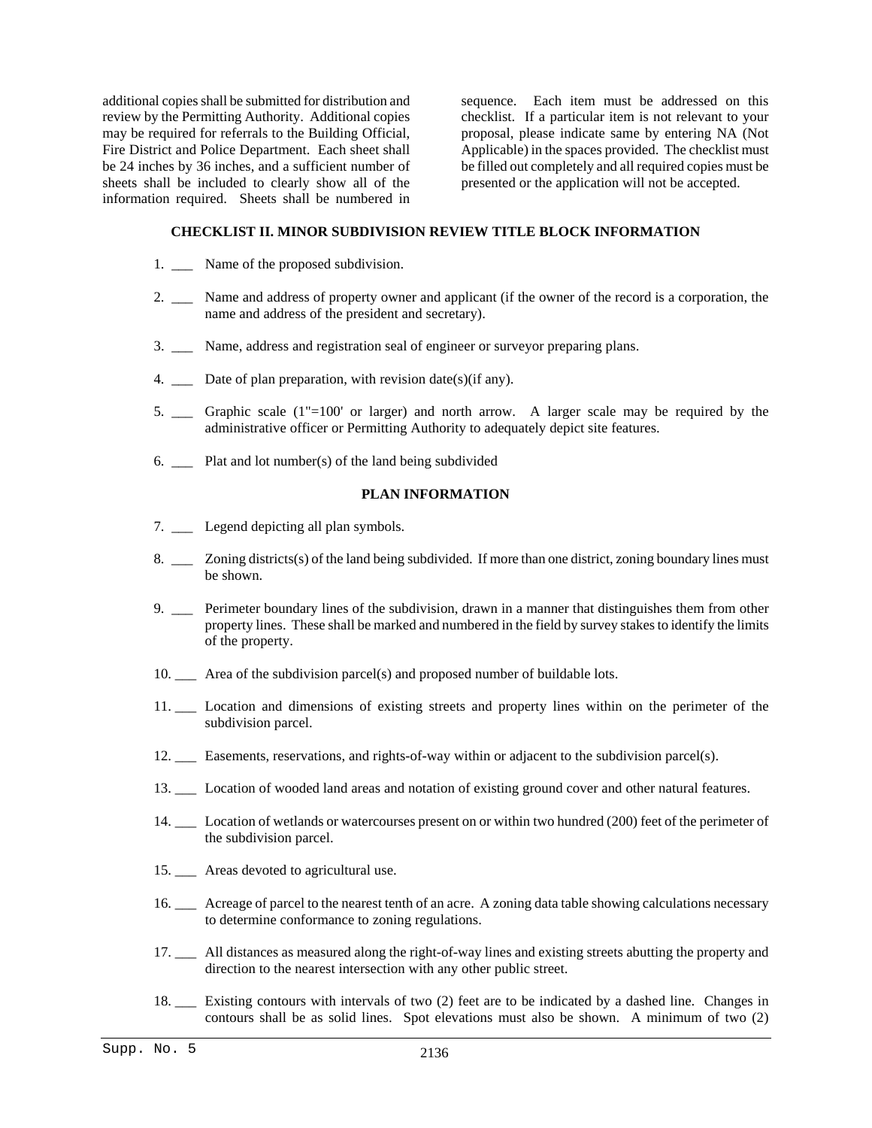additional copies shall be submitted for distribution and review by the Permitting Authority. Additional copies may be required for referrals to the Building Official, Fire District and Police Department. Each sheet shall be 24 inches by 36 inches, and a sufficient number of sheets shall be included to clearly show all of the information required. Sheets shall be numbered in

sequence. Each item must be addressed on this checklist. If a particular item is not relevant to your proposal, please indicate same by entering NA (Not Applicable) in the spaces provided. The checklist must be filled out completely and all required copies must be presented or the application will not be accepted.

# **CHECKLIST II. MINOR SUBDIVISION REVIEW TITLE BLOCK INFORMATION**

- 1. \_\_\_ Name of the proposed subdivision.
- 2. \_\_\_ Name and address of property owner and applicant (if the owner of the record is a corporation, the name and address of the president and secretary).
- 3. \_\_\_ Name, address and registration seal of engineer or surveyor preparing plans.
- 4. Date of plan preparation, with revision date(s)(if any).
- 5. \_\_\_ Graphic scale (1"=100' or larger) and north arrow. A larger scale may be required by the administrative officer or Permitting Authority to adequately depict site features.
- 6.  $\Box$  Plat and lot number(s) of the land being subdivided

# **PLAN INFORMATION**

- 7. Legend depicting all plan symbols.
- 8. \_\_\_ Zoning districts(s) of the land being subdivided. If more than one district, zoning boundary lines must be shown.
- 9. \_\_\_ Perimeter boundary lines of the subdivision, drawn in a manner that distinguishes them from other property lines. These shall be marked and numbered in the field by survey stakes to identify the limits of the property.
- 10. \_\_\_ Area of the subdivision parcel(s) and proposed number of buildable lots.
- 11. \_\_\_ Location and dimensions of existing streets and property lines within on the perimeter of the subdivision parcel.
- 12. \_\_\_ Easements, reservations, and rights-of-way within or adjacent to the subdivision parcel(s).
- 13. \_\_\_ Location of wooded land areas and notation of existing ground cover and other natural features.
- 14. \_\_\_ Location of wetlands or watercourses present on or within two hundred (200) feet of the perimeter of the subdivision parcel.
- 15. \_\_ Areas devoted to agricultural use.
- 16. \_\_\_ Acreage of parcel to the nearest tenth of an acre. A zoning data table showing calculations necessary to determine conformance to zoning regulations.
- 17. \_\_\_ All distances as measured along the right-of-way lines and existing streets abutting the property and direction to the nearest intersection with any other public street.
- 18. \_\_\_ Existing contours with intervals of two (2) feet are to be indicated by a dashed line. Changes in contours shall be as solid lines. Spot elevations must also be shown. A minimum of two (2)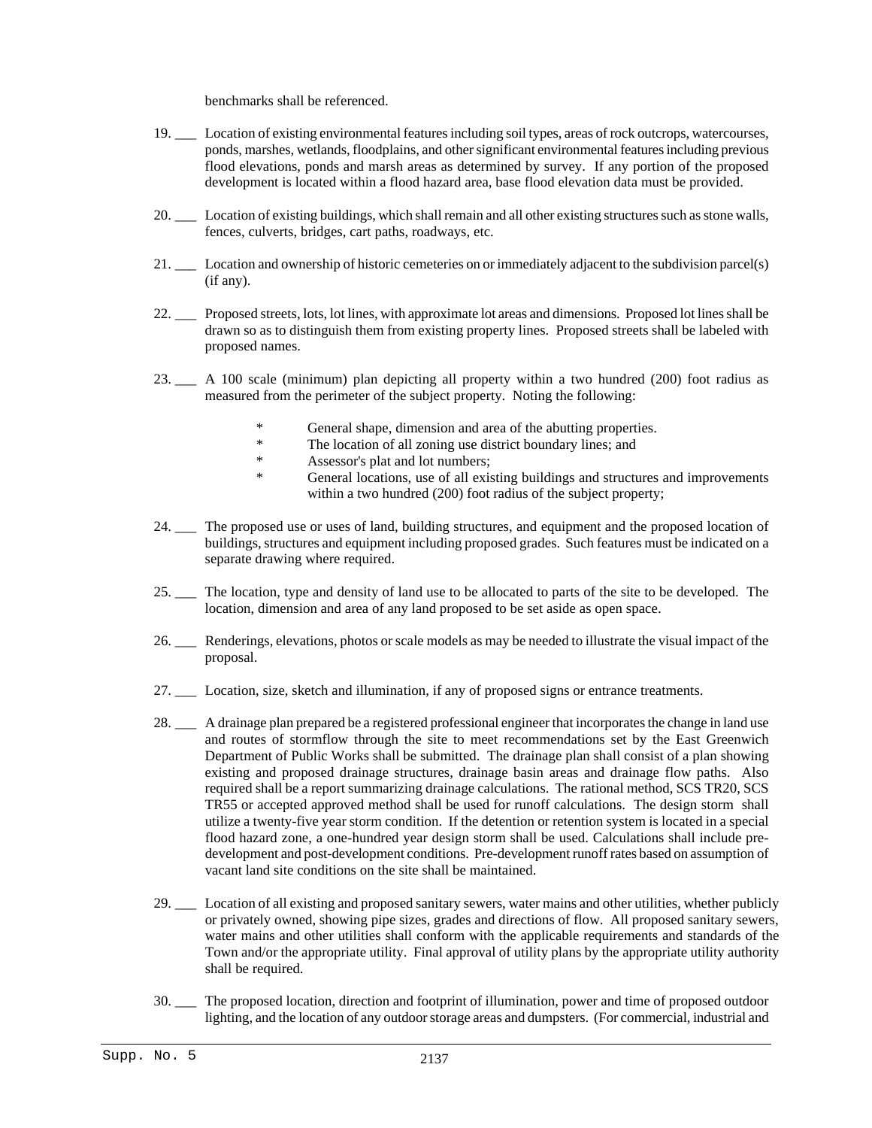benchmarks shall be referenced.

- 19. \_\_\_ Location of existing environmental features including soil types, areas of rock outcrops, watercourses, ponds, marshes, wetlands, floodplains, and other significant environmental features including previous flood elevations, ponds and marsh areas as determined by survey. If any portion of the proposed development is located within a flood hazard area, base flood elevation data must be provided.
- 20. \_\_\_ Location of existing buildings, which shall remain and all other existing structures such as stone walls, fences, culverts, bridges, cart paths, roadways, etc.
- 21. \_\_\_ Location and ownership of historic cemeteries on or immediately adjacent to the subdivision parcel(s) (if any).
- 22. \_\_\_ Proposed streets, lots, lot lines, with approximate lot areas and dimensions. Proposed lot lines shall be drawn so as to distinguish them from existing property lines. Proposed streets shall be labeled with proposed names.
- 23. \_\_\_ A 100 scale (minimum) plan depicting all property within a two hundred (200) foot radius as measured from the perimeter of the subject property. Noting the following:
	- General shape, dimension and area of the abutting properties.
	- \* The location of all zoning use district boundary lines; and
	- \* Assessor's plat and lot numbers;
	- General locations, use of all existing buildings and structures and improvements within a two hundred (200) foot radius of the subject property;
- 24. \_\_\_ The proposed use or uses of land, building structures, and equipment and the proposed location of buildings, structures and equipment including proposed grades. Such features must be indicated on a separate drawing where required.
- 25. \_\_\_ The location, type and density of land use to be allocated to parts of the site to be developed. The location, dimension and area of any land proposed to be set aside as open space.
- 26. \_\_\_ Renderings, elevations, photos or scale models as may be needed to illustrate the visual impact of the proposal.
- 27. \_\_\_ Location, size, sketch and illumination, if any of proposed signs or entrance treatments.
- 28. \_\_\_ A drainage plan prepared be a registered professional engineer that incorporates the change in land use and routes of stormflow through the site to meet recommendations set by the East Greenwich Department of Public Works shall be submitted. The drainage plan shall consist of a plan showing existing and proposed drainage structures, drainage basin areas and drainage flow paths. Also required shall be a report summarizing drainage calculations. The rational method, SCS TR20, SCS TR55 or accepted approved method shall be used for runoff calculations. The design storm shall utilize a twenty-five year storm condition. If the detention or retention system is located in a special flood hazard zone, a one-hundred year design storm shall be used. Calculations shall include predevelopment and post-development conditions. Pre-development runoff rates based on assumption of vacant land site conditions on the site shall be maintained.
- 29. \_\_\_ Location of all existing and proposed sanitary sewers, water mains and other utilities, whether publicly or privately owned, showing pipe sizes, grades and directions of flow. All proposed sanitary sewers, water mains and other utilities shall conform with the applicable requirements and standards of the Town and/or the appropriate utility. Final approval of utility plans by the appropriate utility authority shall be required.
- 30. \_\_\_ The proposed location, direction and footprint of illumination, power and time of proposed outdoor lighting, and the location of any outdoor storage areas and dumpsters. (For commercial, industrial and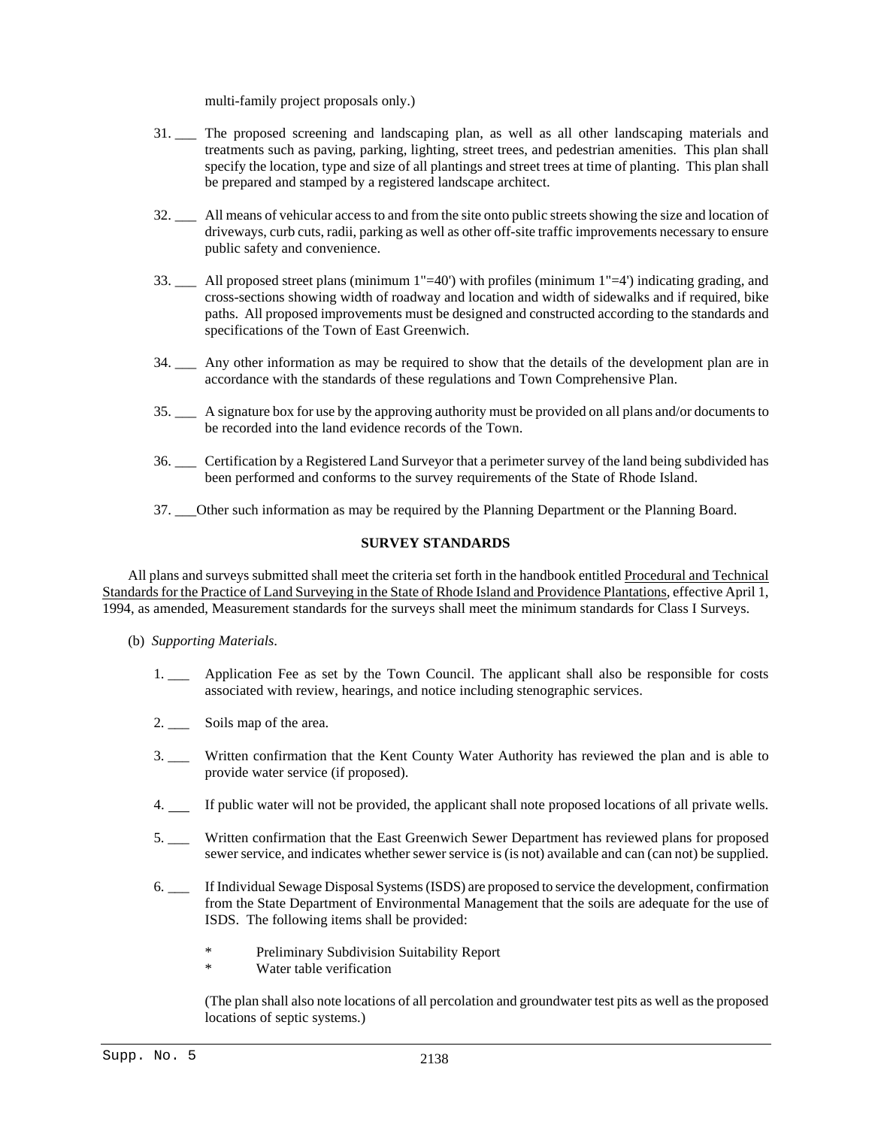multi-family project proposals only.)

- 31. \_\_\_ The proposed screening and landscaping plan, as well as all other landscaping materials and treatments such as paving, parking, lighting, street trees, and pedestrian amenities. This plan shall specify the location, type and size of all plantings and street trees at time of planting. This plan shall be prepared and stamped by a registered landscape architect.
- 32. \_\_\_ All means of vehicular access to and from the site onto public streets showing the size and location of driveways, curb cuts, radii, parking as well as other off-site traffic improvements necessary to ensure public safety and convenience.
- 33. \_\_\_ All proposed street plans (minimum 1"=40') with profiles (minimum 1"=4') indicating grading, and cross-sections showing width of roadway and location and width of sidewalks and if required, bike paths. All proposed improvements must be designed and constructed according to the standards and specifications of the Town of East Greenwich.
- 34. \_\_\_ Any other information as may be required to show that the details of the development plan are in accordance with the standards of these regulations and Town Comprehensive Plan.
- 35. \_\_\_ A signature box for use by the approving authority must be provided on all plans and/or documents to be recorded into the land evidence records of the Town.
- 36. \_\_\_ Certification by a Registered Land Surveyor that a perimeter survey of the land being subdivided has been performed and conforms to the survey requirements of the State of Rhode Island.
- 37. \_\_\_Other such information as may be required by the Planning Department or the Planning Board.

# **SURVEY STANDARDS**

All plans and surveys submitted shall meet the criteria set forth in the handbook entitled Procedural and Technical Standards for the Practice of Land Surveying in the State of Rhode Island and Providence Plantations, effective April 1, 1994, as amended, Measurement standards for the surveys shall meet the minimum standards for Class I Surveys.

- (b) *Supporting Materials*.
	- 1. \_\_\_ Application Fee as set by the Town Council. The applicant shall also be responsible for costs associated with review, hearings, and notice including stenographic services.
	- 2. Soils map of the area.
	- 3. \_\_\_ Written confirmation that the Kent County Water Authority has reviewed the plan and is able to provide water service (if proposed).
	- 4. If public water will not be provided, the applicant shall note proposed locations of all private wells.
	- 5. \_\_\_ Written confirmation that the East Greenwich Sewer Department has reviewed plans for proposed sewer service, and indicates whether sewer service is (is not) available and can (can not) be supplied.
	- 6. \_\_\_ If Individual Sewage Disposal Systems (ISDS) are proposed to service the development, confirmation from the State Department of Environmental Management that the soils are adequate for the use of ISDS. The following items shall be provided:
		- \* Preliminary Subdivision Suitability Report
		- \* Water table verification

(The plan shall also note locations of all percolation and groundwater test pits as well as the proposed locations of septic systems.)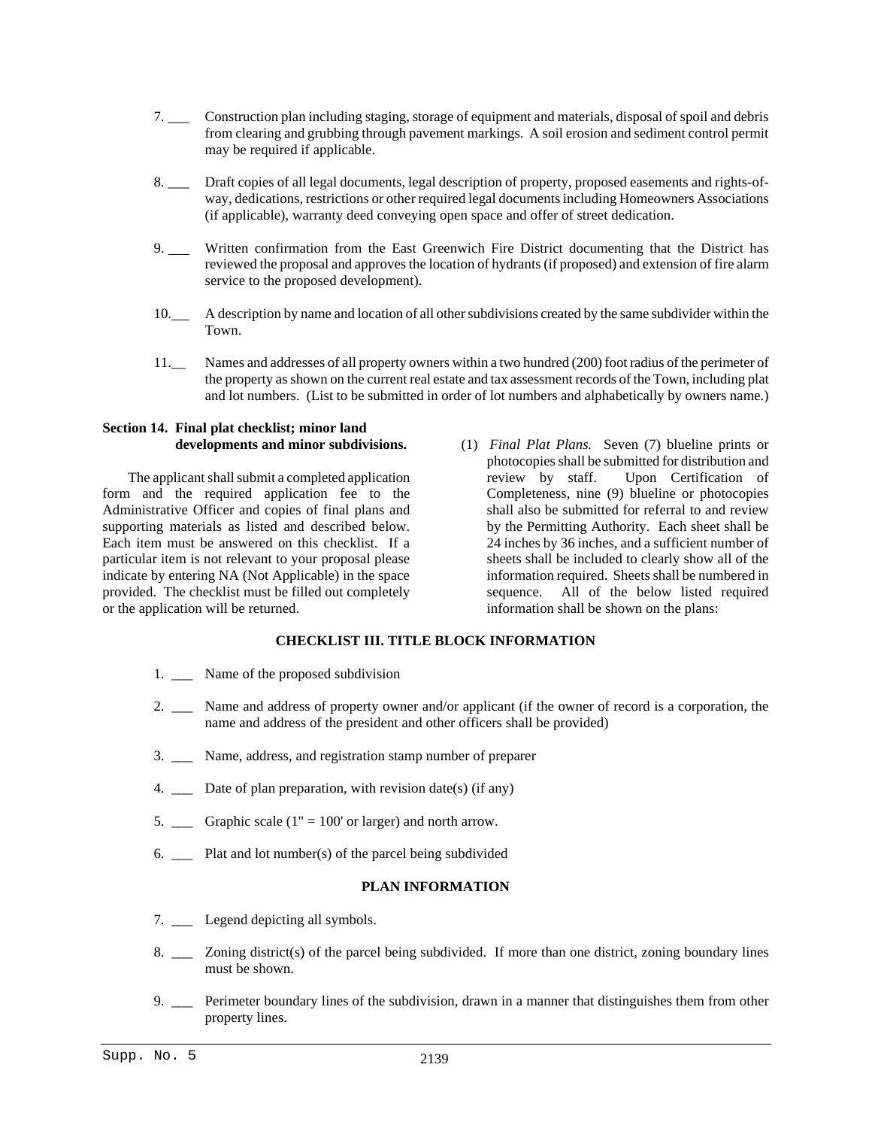- 7. \_\_\_ Construction plan including staging, storage of equipment and materials, disposal of spoil and debris from clearing and grubbing through pavement markings. A soil erosion and sediment control permit may be required if applicable.
- 8. \_\_\_ Draft copies of all legal documents, legal description of property, proposed easements and rights-ofway, dedications, restrictions or other required legal documents including Homeowners Associations (if applicable), warranty deed conveying open space and offer of street dedication.
- 9. Written confirmation from the East Greenwich Fire District documenting that the District has reviewed the proposal and approves the location of hydrants (if proposed) and extension of fire alarm service to the proposed development).
- 10. A description by name and location of all other subdivisions created by the same subdivider within the Town.
- 11.\_\_ Names and addresses of all property owners within a two hundred (200) foot radius of the perimeter of the property as shown on the current real estate and tax assessment records of the Town, including plat and lot numbers. (List to be submitted in order of lot numbers and alphabetically by owners name.)

# **Section 14. Final plat checklist; minor land developments and minor subdivisions.**

The applicant shall submit a completed application form and the required application fee to the Administrative Officer and copies of final plans and supporting materials as listed and described below. Each item must be answered on this checklist. If a particular item is not relevant to your proposal please indicate by entering NA (Not Applicable) in the space provided. The checklist must be filled out completely or the application will be returned.

(1) *Final Plat Plans.* Seven (7) blueline prints or photocopies shall be submitted for distribution and review by staff. Upon Certification of Completeness, nine (9) blueline or photocopies shall also be submitted for referral to and review by the Permitting Authority. Each sheet shall be 24 inches by 36 inches, and a sufficient number of sheets shall be included to clearly show all of the information required. Sheets shall be numbered in sequence. All of the below listed required information shall be shown on the plans:

# **CHECKLIST III. TITLE BLOCK INFORMATION**

- 1. \_\_\_ Name of the proposed subdivision
- 2. \_\_\_ Name and address of property owner and/or applicant (if the owner of record is a corporation, the name and address of the president and other officers shall be provided)
- 3. \_\_\_ Name, address, and registration stamp number of preparer
- 4. \_\_\_ Date of plan preparation, with revision date(s) (if any)
- 5.  $\_\_\_\$  Graphic scale (1" = 100' or larger) and north arrow.
- 6.  $\qquad \qquad$  Plat and lot number(s) of the parcel being subdivided

# **PLAN INFORMATION**

- 7. Legend depicting all symbols.
- 8. \_\_\_ Zoning district(s) of the parcel being subdivided. If more than one district, zoning boundary lines must be shown.
- 9. \_\_\_ Perimeter boundary lines of the subdivision, drawn in a manner that distinguishes them from other property lines.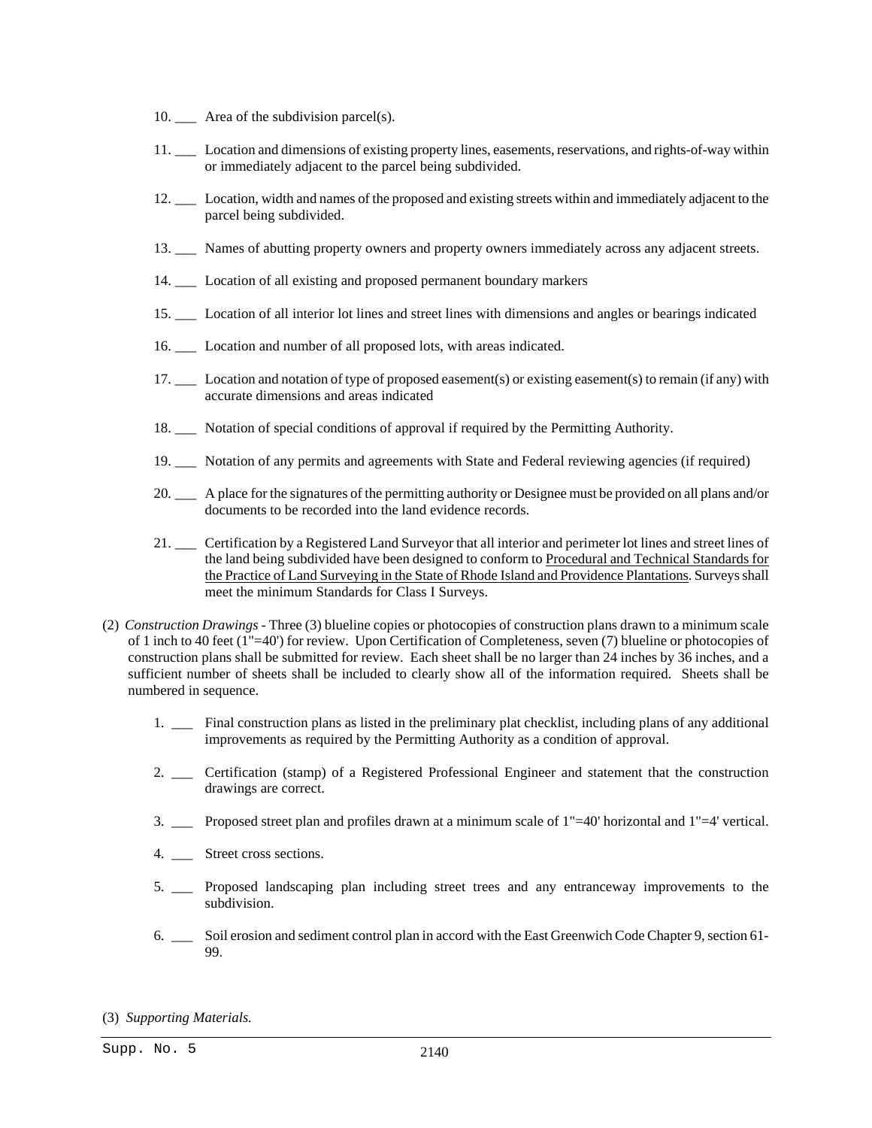- 10. \_\_\_ Area of the subdivision parcel(s).
- 11. \_\_\_ Location and dimensions of existing property lines, easements, reservations, and rights-of-way within or immediately adjacent to the parcel being subdivided.
- 12. \_\_\_ Location, width and names of the proposed and existing streets within and immediately adjacent to the parcel being subdivided.
- 13. \_\_\_ Names of abutting property owners and property owners immediately across any adjacent streets.
- 14. \_\_\_ Location of all existing and proposed permanent boundary markers
- 15. \_\_\_ Location of all interior lot lines and street lines with dimensions and angles or bearings indicated
- 16. \_\_\_ Location and number of all proposed lots, with areas indicated.
- 17. \_\_\_ Location and notation of type of proposed easement(s) or existing easement(s) to remain (if any) with accurate dimensions and areas indicated
- 18. \_\_\_ Notation of special conditions of approval if required by the Permitting Authority.
- 19. \_\_\_ Notation of any permits and agreements with State and Federal reviewing agencies (if required)
- 20. \_\_\_ A place for the signatures of the permitting authority or Designee must be provided on all plans and/or documents to be recorded into the land evidence records.
- 21. \_\_\_ Certification by a Registered Land Surveyor that all interior and perimeter lot lines and street lines of the land being subdivided have been designed to conform to Procedural and Technical Standards for the Practice of Land Surveying in the State of Rhode Island and Providence Plantations. Surveys shall meet the minimum Standards for Class I Surveys.
- (2) *Construction Drawings* Three (3) blueline copies or photocopies of construction plans drawn to a minimum scale of 1 inch to 40 feet (1"=40') for review. Upon Certification of Completeness, seven (7) blueline or photocopies of construction plans shall be submitted for review. Each sheet shall be no larger than 24 inches by 36 inches, and a sufficient number of sheets shall be included to clearly show all of the information required. Sheets shall be numbered in sequence.
	- 1. \_\_\_ Final construction plans as listed in the preliminary plat checklist, including plans of any additional improvements as required by the Permitting Authority as a condition of approval.
	- 2. \_\_\_ Certification (stamp) of a Registered Professional Engineer and statement that the construction drawings are correct.
	- 3.  $\Box$  Proposed street plan and profiles drawn at a minimum scale of  $1"=\pm 0'$  horizontal and  $1"=\pm 4'$  vertical.
	- 4. Street cross sections.
	- 5. \_\_\_ Proposed landscaping plan including street trees and any entranceway improvements to the subdivision.
	- 6. \_\_\_ Soil erosion and sediment control plan in accord with the East Greenwich Code Chapter 9, section 61- 99.

(3) *Supporting Materials.*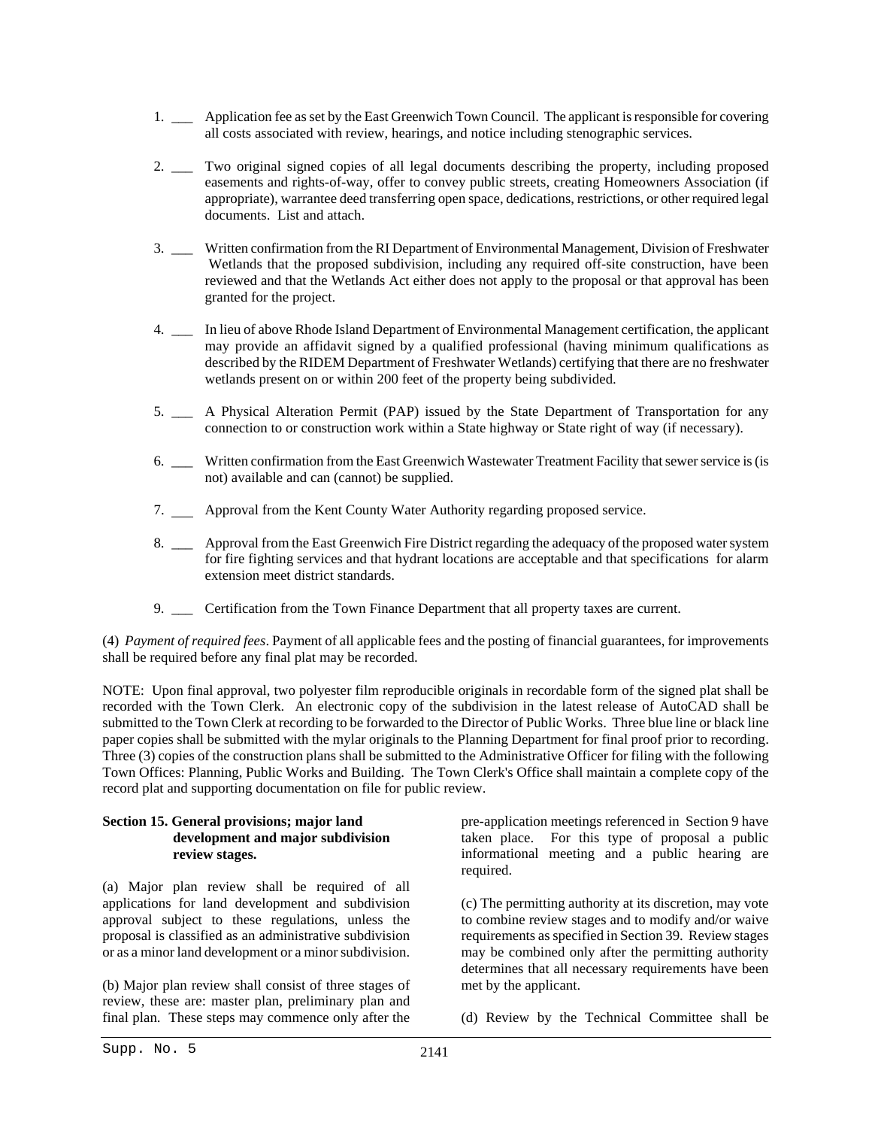- 1. \_\_\_ Application fee as set by the East Greenwich Town Council. The applicant is responsible for covering all costs associated with review, hearings, and notice including stenographic services.
- 2. \_\_\_ Two original signed copies of all legal documents describing the property, including proposed easements and rights-of-way, offer to convey public streets, creating Homeowners Association (if appropriate), warrantee deed transferring open space, dedications, restrictions, or other required legal documents. List and attach.
- 3. \_\_\_ Written confirmation from the RI Department of Environmental Management, Division of Freshwater Wetlands that the proposed subdivision, including any required off-site construction, have been reviewed and that the Wetlands Act either does not apply to the proposal or that approval has been granted for the project.
- 4. \_\_\_ In lieu of above Rhode Island Department of Environmental Management certification, the applicant may provide an affidavit signed by a qualified professional (having minimum qualifications as described by the RIDEM Department of Freshwater Wetlands) certifying that there are no freshwater wetlands present on or within 200 feet of the property being subdivided.
- 5. \_\_\_ A Physical Alteration Permit (PAP) issued by the State Department of Transportation for any connection to or construction work within a State highway or State right of way (if necessary).
- 6. \_\_\_ Written confirmation from the East Greenwich Wastewater Treatment Facility that sewer service is (is not) available and can (cannot) be supplied.
- 7. Approval from the Kent County Water Authority regarding proposed service.
- 8. \_\_\_ Approval from the East Greenwich Fire District regarding the adequacy of the proposed water system for fire fighting services and that hydrant locations are acceptable and that specifications for alarm extension meet district standards.
- 9. \_\_\_ Certification from the Town Finance Department that all property taxes are current.

(4) *Payment of required fees*. Payment of all applicable fees and the posting of financial guarantees, for improvements shall be required before any final plat may be recorded.

NOTE: Upon final approval, two polyester film reproducible originals in recordable form of the signed plat shall be recorded with the Town Clerk. An electronic copy of the subdivision in the latest release of AutoCAD shall be submitted to the Town Clerk at recording to be forwarded to the Director of Public Works. Three blue line or black line paper copies shall be submitted with the mylar originals to the Planning Department for final proof prior to recording. Three (3) copies of the construction plans shall be submitted to the Administrative Officer for filing with the following Town Offices: Planning, Public Works and Building. The Town Clerk's Office shall maintain a complete copy of the record plat and supporting documentation on file for public review.

# **Section 15. General provisions; major land development and major subdivision review stages.**

(a) Major plan review shall be required of all applications for land development and subdivision approval subject to these regulations, unless the proposal is classified as an administrative subdivision or as a minor land development or a minor subdivision.

(b) Major plan review shall consist of three stages of review, these are: master plan, preliminary plan and final plan. These steps may commence only after the

pre-application meetings referenced in Section 9 have taken place. For this type of proposal a public informational meeting and a public hearing are required.

(c) The permitting authority at its discretion, may vote to combine review stages and to modify and/or waive requirements as specified in Section 39. Review stages may be combined only after the permitting authority determines that all necessary requirements have been met by the applicant.

(d) Review by the Technical Committee shall be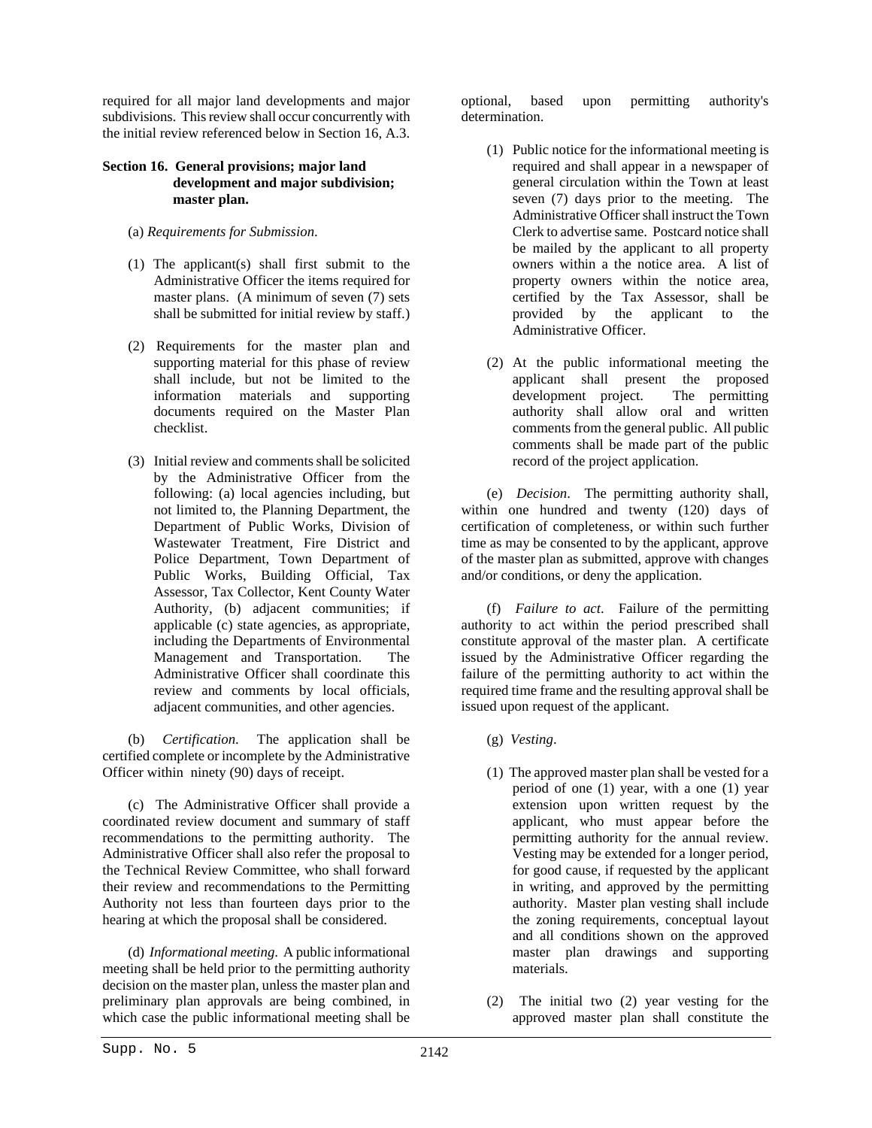required for all major land developments and major subdivisions. This review shall occur concurrently with the initial review referenced below in Section 16, A.3.

# **Section 16. General provisions; major land development and major subdivision; master plan.**

- (a) *Requirements for Submission*.
- (1) The applicant(s) shall first submit to the Administrative Officer the items required for master plans. (A minimum of seven (7) sets shall be submitted for initial review by staff.)
- (2) Requirements for the master plan and supporting material for this phase of review shall include, but not be limited to the information materials and supporting documents required on the Master Plan checklist.
- (3) Initial review and comments shall be solicited by the Administrative Officer from the following: (a) local agencies including, but not limited to, the Planning Department, the Department of Public Works, Division of Wastewater Treatment, Fire District and Police Department, Town Department of Public Works, Building Official, Tax Assessor, Tax Collector, Kent County Water Authority, (b) adjacent communities; if applicable (c) state agencies, as appropriate, including the Departments of Environmental Management and Transportation. The Administrative Officer shall coordinate this review and comments by local officials, adjacent communities, and other agencies.

(b) *Certification*. The application shall be certified complete or incomplete by the Administrative Officer within ninety (90) days of receipt.

(c) The Administrative Officer shall provide a coordinated review document and summary of staff recommendations to the permitting authority. The Administrative Officer shall also refer the proposal to the Technical Review Committee, who shall forward their review and recommendations to the Permitting Authority not less than fourteen days prior to the hearing at which the proposal shall be considered.

(d) *Informational meeting*. A public informational meeting shall be held prior to the permitting authority decision on the master plan, unless the master plan and preliminary plan approvals are being combined, in which case the public informational meeting shall be optional, based upon permitting authority's determination.

- (1) Public notice for the informational meeting is required and shall appear in a newspaper of general circulation within the Town at least seven (7) days prior to the meeting. The Administrative Officer shall instruct the Town Clerk to advertise same. Postcard notice shall be mailed by the applicant to all property owners within a the notice area. A list of property owners within the notice area, certified by the Tax Assessor, shall be provided by the applicant to the Administrative Officer.
- (2) At the public informational meeting the applicant shall present the proposed development project. The permitting authority shall allow oral and written comments from the general public. All public comments shall be made part of the public record of the project application.

(e) *Decision*. The permitting authority shall, within one hundred and twenty (120) days of certification of completeness, or within such further time as may be consented to by the applicant, approve of the master plan as submitted, approve with changes and/or conditions, or deny the application.

(f) *Failure to act*. Failure of the permitting authority to act within the period prescribed shall constitute approval of the master plan. A certificate issued by the Administrative Officer regarding the failure of the permitting authority to act within the required time frame and the resulting approval shall be issued upon request of the applicant.

- (g) *Vesting*.
- (1) The approved master plan shall be vested for a period of one (1) year, with a one (1) year extension upon written request by the applicant, who must appear before the permitting authority for the annual review. Vesting may be extended for a longer period, for good cause, if requested by the applicant in writing, and approved by the permitting authority. Master plan vesting shall include the zoning requirements, conceptual layout and all conditions shown on the approved master plan drawings and supporting materials.
- (2) The initial two (2) year vesting for the approved master plan shall constitute the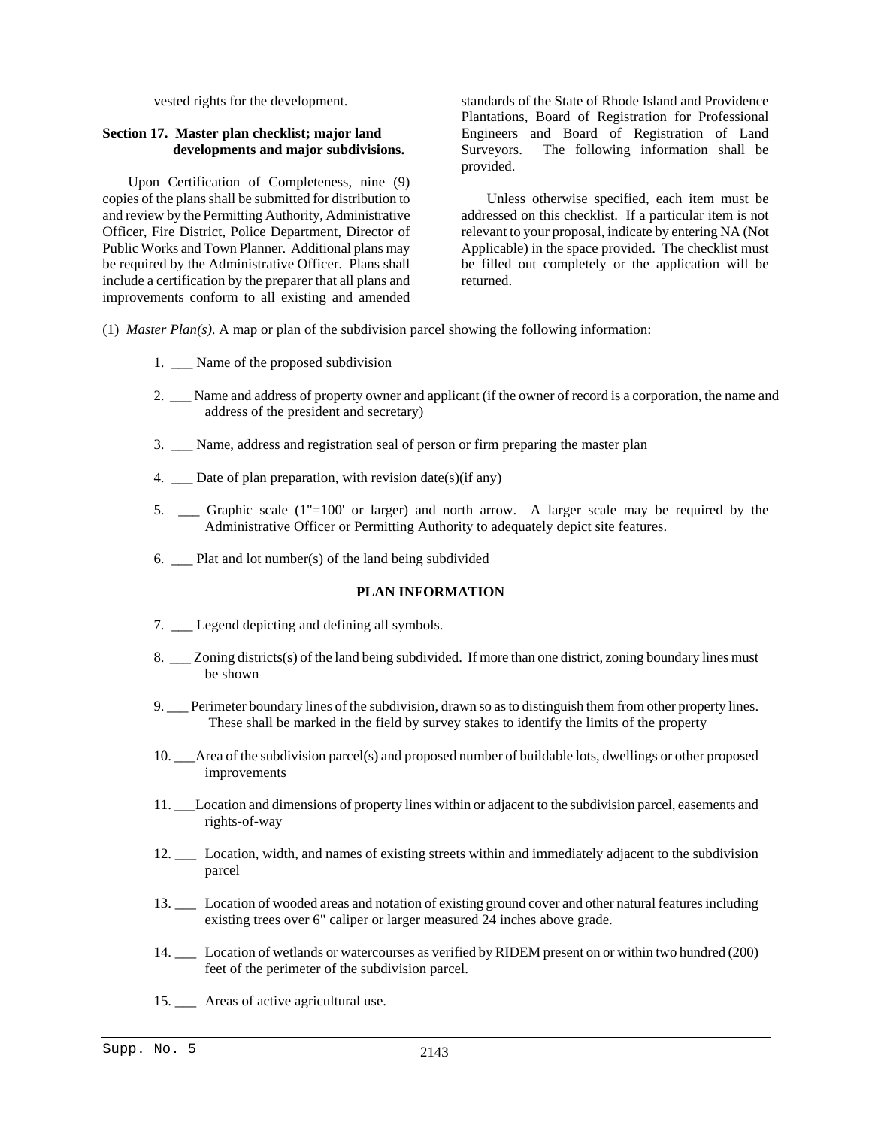vested rights for the development.

# **Section 17. Master plan checklist; major land developments and major subdivisions.**

Upon Certification of Completeness, nine (9) copies of the plans shall be submitted for distribution to and review by the Permitting Authority, Administrative Officer, Fire District, Police Department, Director of Public Works and Town Planner. Additional plans may be required by the Administrative Officer. Plans shall include a certification by the preparer that all plans and improvements conform to all existing and amended

standards of the State of Rhode Island and Providence Plantations, Board of Registration for Professional Engineers and Board of Registration of Land Surveyors. The following information shall be provided.

Unless otherwise specified, each item must be addressed on this checklist. If a particular item is not relevant to your proposal, indicate by entering NA (Not Applicable) in the space provided. The checklist must be filled out completely or the application will be returned.

- (1) *Master Plan(s)*. A map or plan of the subdivision parcel showing the following information:
	- 1. Name of the proposed subdivision
	- 2. \_\_\_ Name and address of property owner and applicant (if the owner of record is a corporation, the name and address of the president and secretary)
	- 3. \_\_\_ Name, address and registration seal of person or firm preparing the master plan
	- 4.  $\Box$  Date of plan preparation, with revision date(s)(if any)
	- 5. Graphic scale  $(1" = 100'$  or larger) and north arrow. A larger scale may be required by the Administrative Officer or Permitting Authority to adequately depict site features.
	- 6. Plat and lot number(s) of the land being subdivided

#### **PLAN INFORMATION**

- 7. \_\_\_ Legend depicting and defining all symbols.
- 8. \_\_\_ Zoning districts(s) of the land being subdivided. If more than one district, zoning boundary lines must be shown
- 9. Perimeter boundary lines of the subdivision, drawn so as to distinguish them from other property lines. These shall be marked in the field by survey stakes to identify the limits of the property
- 10. \_\_\_Area of the subdivision parcel(s) and proposed number of buildable lots, dwellings or other proposed improvements
- 11. \_\_\_Location and dimensions of property lines within or adjacent to the subdivision parcel, easements and rights-of-way
- 12. \_\_\_ Location, width, and names of existing streets within and immediately adjacent to the subdivision parcel
- 13. \_\_\_ Location of wooded areas and notation of existing ground cover and other natural features including existing trees over 6" caliper or larger measured 24 inches above grade.
- 14. \_\_\_ Location of wetlands or watercourses as verified by RIDEM present on or within two hundred (200) feet of the perimeter of the subdivision parcel.
- 15. \_\_\_ Areas of active agricultural use.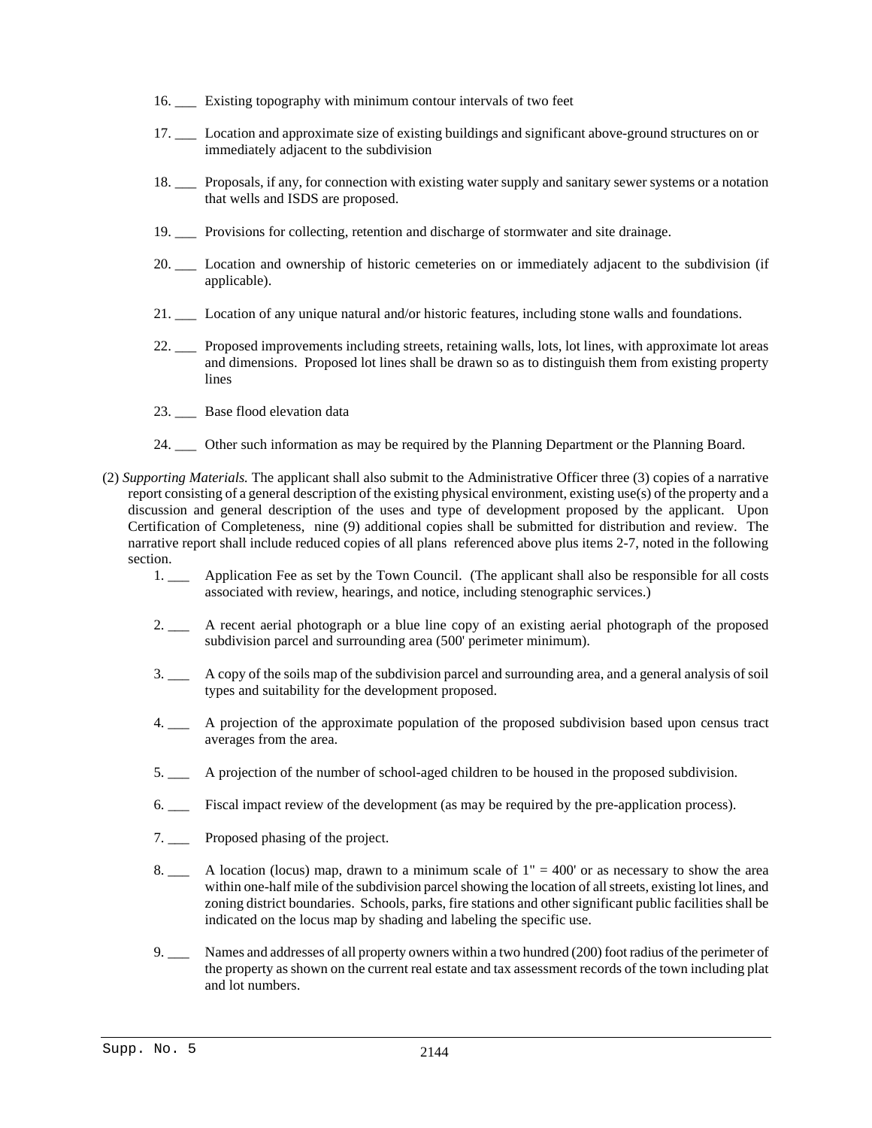- 16. \_\_\_ Existing topography with minimum contour intervals of two feet
- 17. \_\_\_ Location and approximate size of existing buildings and significant above-ground structures on or immediately adjacent to the subdivision
- 18. \_\_\_ Proposals, if any, for connection with existing water supply and sanitary sewer systems or a notation that wells and ISDS are proposed.
- 19. \_\_\_ Provisions for collecting, retention and discharge of stormwater and site drainage.
- 20. \_\_\_ Location and ownership of historic cemeteries on or immediately adjacent to the subdivision (if applicable).
- 21. \_\_\_ Location of any unique natural and/or historic features, including stone walls and foundations.
- 22. \_\_\_ Proposed improvements including streets, retaining walls, lots, lot lines, with approximate lot areas and dimensions. Proposed lot lines shall be drawn so as to distinguish them from existing property lines
- 23. \_\_\_ Base flood elevation data
- 24. \_\_\_ Other such information as may be required by the Planning Department or the Planning Board.
- (2) *Supporting Materials.* The applicant shall also submit to the Administrative Officer three (3) copies of a narrative report consisting of a general description of the existing physical environment, existing use(s) of the property and a discussion and general description of the uses and type of development proposed by the applicant. Upon Certification of Completeness, nine (9) additional copies shall be submitted for distribution and review. The narrative report shall include reduced copies of all plans referenced above plus items 2-7, noted in the following section.
	- 1. \_\_\_ Application Fee as set by the Town Council. (The applicant shall also be responsible for all costs associated with review, hearings, and notice, including stenographic services.)
	- 2. \_\_\_ A recent aerial photograph or a blue line copy of an existing aerial photograph of the proposed subdivision parcel and surrounding area (500' perimeter minimum).
	- 3. \_\_\_ A copy of the soils map of the subdivision parcel and surrounding area, and a general analysis of soil types and suitability for the development proposed.
	- 4. \_\_\_ A projection of the approximate population of the proposed subdivision based upon census tract averages from the area.
	- 5. \_\_\_ A projection of the number of school-aged children to be housed in the proposed subdivision.
	- 6. \_\_\_ Fiscal impact review of the development (as may be required by the pre-application process).
	- 7. \_\_\_ Proposed phasing of the project.
	- 8.  $\qquad \qquad$  A location (locus) map, drawn to a minimum scale of 1" = 400' or as necessary to show the area within one-half mile of the subdivision parcel showing the location of all streets, existing lot lines, and zoning district boundaries. Schools, parks, fire stations and other significant public facilities shall be indicated on the locus map by shading and labeling the specific use.
	- 9. \_\_\_ Names and addresses of all property owners within a two hundred (200) foot radius of the perimeter of the property as shown on the current real estate and tax assessment records of the town including plat and lot numbers.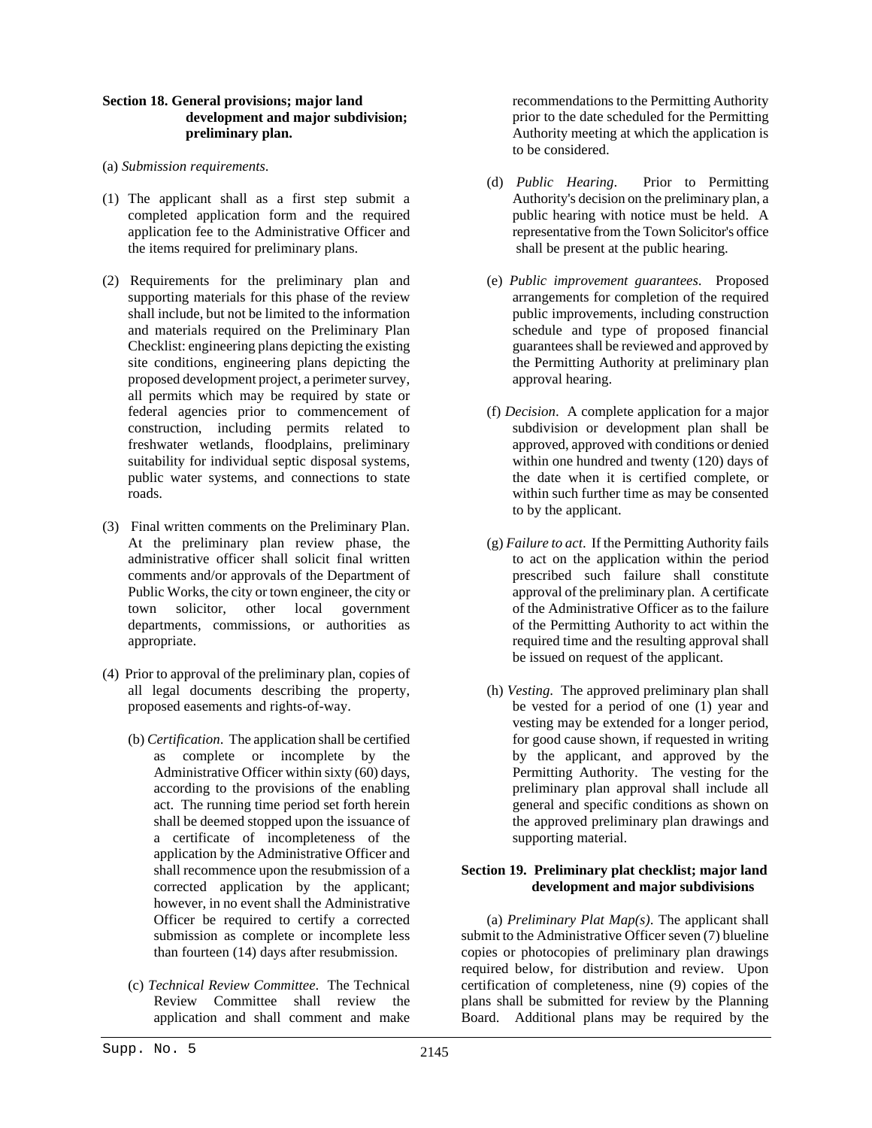# **Section 18. General provisions; major land development and major subdivision; preliminary plan.**

- (a) *Submission requirements*.
- (1) The applicant shall as a first step submit a completed application form and the required application fee to the Administrative Officer and the items required for preliminary plans.
- (2) Requirements for the preliminary plan and supporting materials for this phase of the review shall include, but not be limited to the information and materials required on the Preliminary Plan Checklist: engineering plans depicting the existing site conditions, engineering plans depicting the proposed development project, a perimeter survey, all permits which may be required by state or federal agencies prior to commencement of construction, including permits related to freshwater wetlands, floodplains, preliminary suitability for individual septic disposal systems, public water systems, and connections to state roads.
- (3) Final written comments on the Preliminary Plan. At the preliminary plan review phase, the administrative officer shall solicit final written comments and/or approvals of the Department of Public Works, the city or town engineer, the city or town solicitor, other local government departments, commissions, or authorities as appropriate.
- (4) Prior to approval of the preliminary plan, copies of all legal documents describing the property, proposed easements and rights-of-way.
	- (b) *Certification*. The application shall be certified as complete or incomplete by the Administrative Officer within sixty (60) days, according to the provisions of the enabling act. The running time period set forth herein shall be deemed stopped upon the issuance of a certificate of incompleteness of the application by the Administrative Officer and shall recommence upon the resubmission of a corrected application by the applicant; however, in no event shall the Administrative Officer be required to certify a corrected submission as complete or incomplete less than fourteen (14) days after resubmission.
	- (c) *Technical Review Committee*. The Technical Review Committee shall review the application and shall comment and make

recommendations to the Permitting Authority prior to the date scheduled for the Permitting Authority meeting at which the application is to be considered.

- (d) *Public Hearing*. Prior to Permitting Authority's decision on the preliminary plan, a public hearing with notice must be held. A representative from the Town Solicitor's office shall be present at the public hearing.
- (e) *Public improvement guarantees*. Proposed arrangements for completion of the required public improvements, including construction schedule and type of proposed financial guarantees shall be reviewed and approved by the Permitting Authority at preliminary plan approval hearing.
- (f) *Decision*. A complete application for a major subdivision or development plan shall be approved, approved with conditions or denied within one hundred and twenty (120) days of the date when it is certified complete, or within such further time as may be consented to by the applicant.
- (g) *Failure to act*. If the Permitting Authority fails to act on the application within the period prescribed such failure shall constitute approval of the preliminary plan. A certificate of the Administrative Officer as to the failure of the Permitting Authority to act within the required time and the resulting approval shall be issued on request of the applicant.
- (h) *Vesting*. The approved preliminary plan shall be vested for a period of one (1) year and vesting may be extended for a longer period, for good cause shown, if requested in writing by the applicant, and approved by the Permitting Authority. The vesting for the preliminary plan approval shall include all general and specific conditions as shown on the approved preliminary plan drawings and supporting material.

# **Section 19. Preliminary plat checklist; major land development and major subdivisions**

(a) *Preliminary Plat Map(s)*. The applicant shall submit to the Administrative Officer seven (7) blueline copies or photocopies of preliminary plan drawings required below, for distribution and review. Upon certification of completeness, nine (9) copies of the plans shall be submitted for review by the Planning Board. Additional plans may be required by the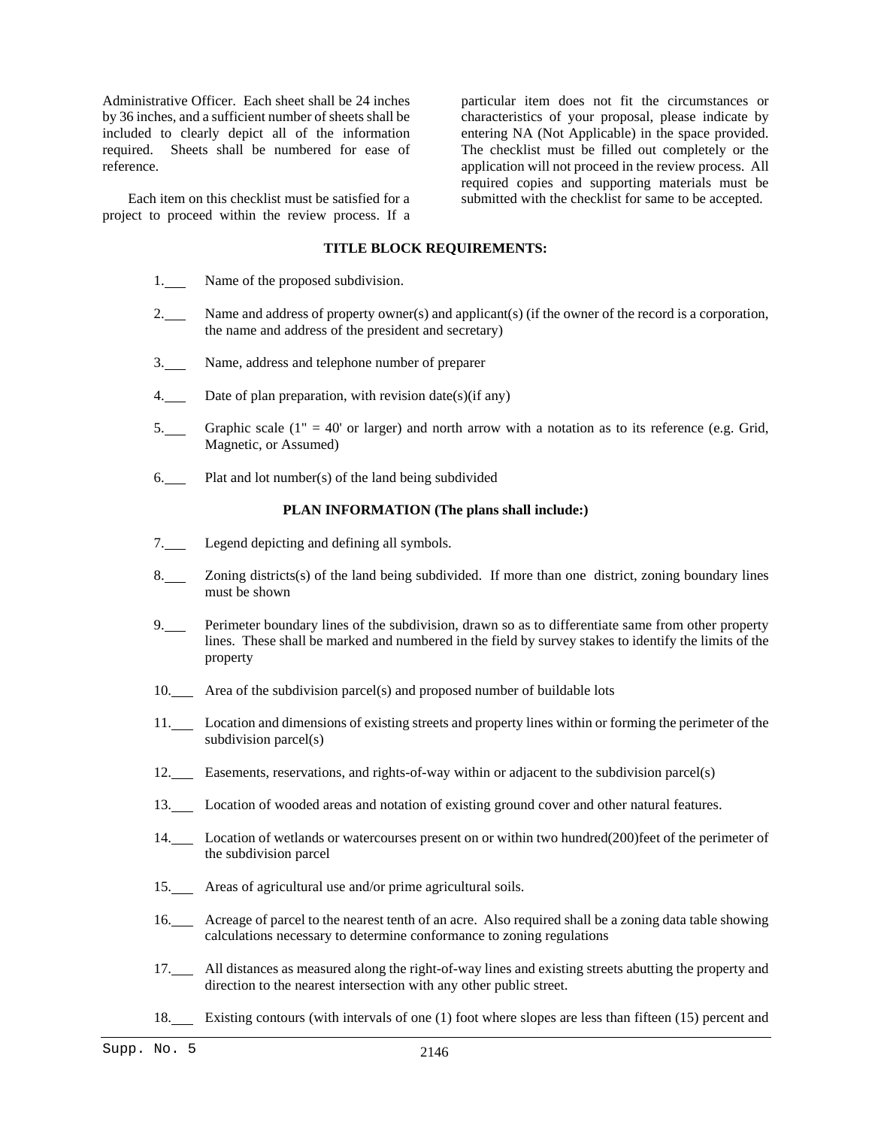Administrative Officer. Each sheet shall be 24 inches by 36 inches, and a sufficient number of sheets shall be included to clearly depict all of the information required. Sheets shall be numbered for ease of reference.

Each item on this checklist must be satisfied for a project to proceed within the review process. If a

particular item does not fit the circumstances or characteristics of your proposal, please indicate by entering NA (Not Applicable) in the space provided. The checklist must be filled out completely or the application will not proceed in the review process. All required copies and supporting materials must be submitted with the checklist for same to be accepted.

#### **TITLE BLOCK REQUIREMENTS:**

- 1. Name of the proposed subdivision.
- 2. Name and address of property owner(s) and applicant(s) (if the owner of the record is a corporation, the name and address of the president and secretary)
- 3. Name, address and telephone number of preparer
- 4. Date of plan preparation, with revision date(s)(if any)
- 5. Graphic scale (1" = 40' or larger) and north arrow with a notation as to its reference (e.g. Grid, Magnetic, or Assumed)
- 6. Plat and lot number(s) of the land being subdivided

#### **PLAN INFORMATION (The plans shall include:)**

- 7. Legend depicting and defining all symbols.
- 8. Zoning districts(s) of the land being subdivided. If more than one district, zoning boundary lines must be shown
- 9. Perimeter boundary lines of the subdivision, drawn so as to differentiate same from other property lines. These shall be marked and numbered in the field by survey stakes to identify the limits of the property
- 10. Area of the subdivision parcel(s) and proposed number of buildable lots
- 11. Location and dimensions of existing streets and property lines within or forming the perimeter of the subdivision parcel(s)
- 12. Easements, reservations, and rights-of-way within or adjacent to the subdivision parcel(s)
- 13. Location of wooded areas and notation of existing ground cover and other natural features.
- 14. Location of wetlands or watercourses present on or within two hundred(200)feet of the perimeter of the subdivision parcel
- 15. Areas of agricultural use and/or prime agricultural soils.
- 16. Acreage of parcel to the nearest tenth of an acre. Also required shall be a zoning data table showing calculations necessary to determine conformance to zoning regulations
- 17. All distances as measured along the right-of-way lines and existing streets abutting the property and direction to the nearest intersection with any other public street.
- 18. Existing contours (with intervals of one (1) foot where slopes are less than fifteen (15) percent and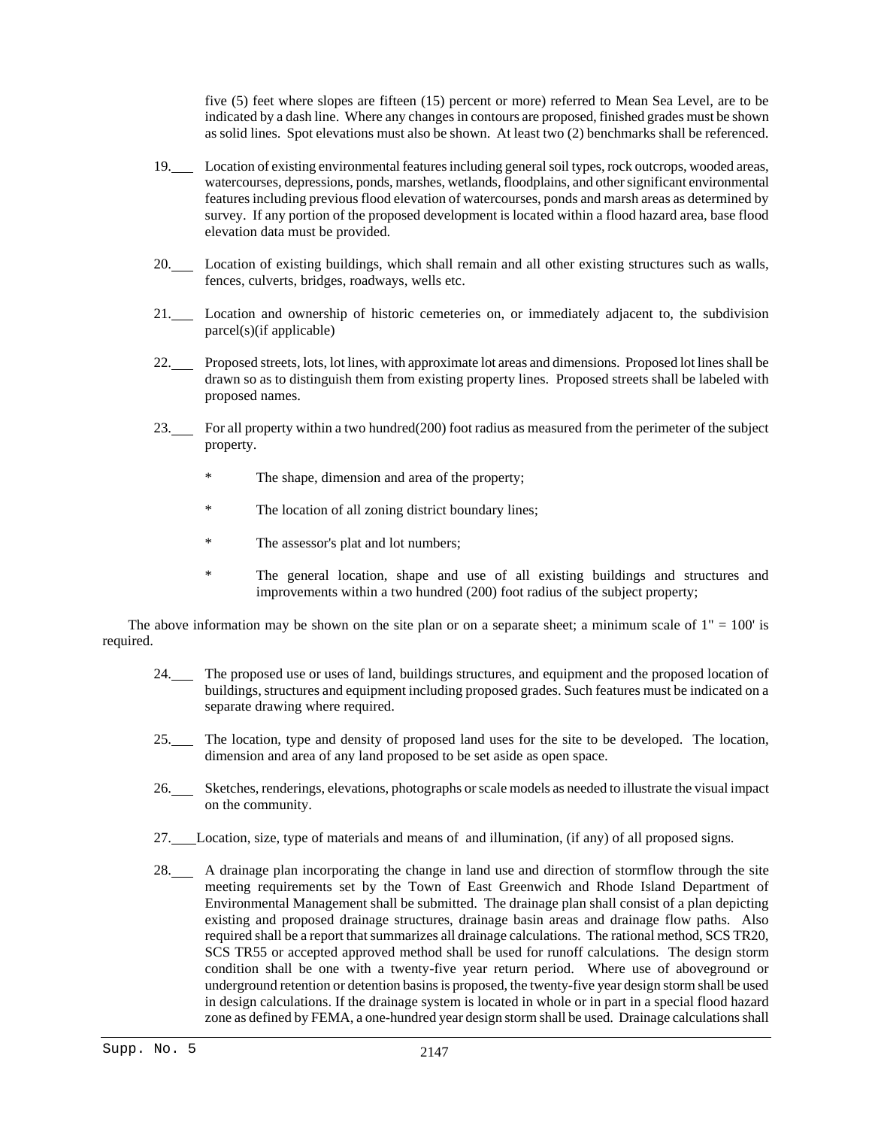five (5) feet where slopes are fifteen (15) percent or more) referred to Mean Sea Level, are to be indicated by a dash line. Where any changes in contours are proposed, finished grades must be shown as solid lines. Spot elevations must also be shown. At least two (2) benchmarks shall be referenced.

- 19. Location of existing environmental features including general soil types, rock outcrops, wooded areas, watercourses, depressions, ponds, marshes, wetlands, floodplains, and other significant environmental features including previous flood elevation of watercourses, ponds and marsh areas as determined by survey. If any portion of the proposed development is located within a flood hazard area, base flood elevation data must be provided.
- 20. Location of existing buildings, which shall remain and all other existing structures such as walls, fences, culverts, bridges, roadways, wells etc.
- 21. Location and ownership of historic cemeteries on, or immediately adjacent to, the subdivision parcel(s)(if applicable)
- 22. Proposed streets, lots, lot lines, with approximate lot areas and dimensions. Proposed lot lines shall be drawn so as to distinguish them from existing property lines. Proposed streets shall be labeled with proposed names.
- 23. For all property within a two hundred(200) foot radius as measured from the perimeter of the subject property.
	- \* The shape, dimension and area of the property;
	- The location of all zoning district boundary lines;
	- \* The assessor's plat and lot numbers;
	- \* The general location, shape and use of all existing buildings and structures and improvements within a two hundred (200) foot radius of the subject property;

The above information may be shown on the site plan or on a separate sheet; a minimum scale of  $1" = 100'$  is required.

- 24. The proposed use or uses of land, buildings structures, and equipment and the proposed location of buildings, structures and equipment including proposed grades. Such features must be indicated on a separate drawing where required.
- 25. The location, type and density of proposed land uses for the site to be developed. The location, dimension and area of any land proposed to be set aside as open space.
- 26. Sketches, renderings, elevations, photographs or scale models as needed to illustrate the visual impact on the community.
- 27. Location, size, type of materials and means of and illumination, (if any) of all proposed signs.
- 28. A drainage plan incorporating the change in land use and direction of stormflow through the site meeting requirements set by the Town of East Greenwich and Rhode Island Department of Environmental Management shall be submitted. The drainage plan shall consist of a plan depicting existing and proposed drainage structures, drainage basin areas and drainage flow paths. Also required shall be a report that summarizes all drainage calculations. The rational method, SCS TR20, SCS TR55 or accepted approved method shall be used for runoff calculations. The design storm condition shall be one with a twenty-five year return period. Where use of aboveground or underground retention or detention basins is proposed, the twenty-five year design storm shall be used in design calculations. If the drainage system is located in whole or in part in a special flood hazard zone as defined by FEMA, a one-hundred year design storm shall be used. Drainage calculations shall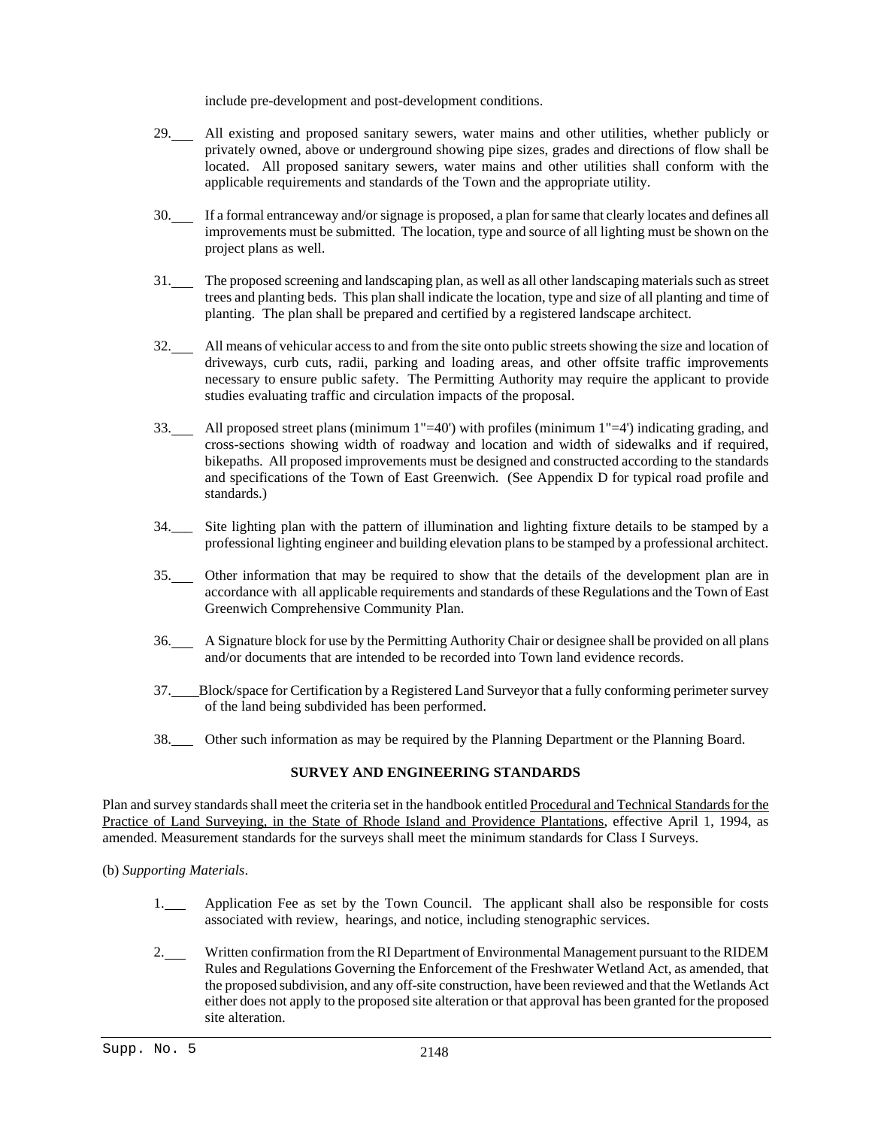include pre-development and post-development conditions.

- 29. All existing and proposed sanitary sewers, water mains and other utilities, whether publicly or privately owned, above or underground showing pipe sizes, grades and directions of flow shall be located. All proposed sanitary sewers, water mains and other utilities shall conform with the applicable requirements and standards of the Town and the appropriate utility.
- 30. If a formal entranceway and/or signage is proposed, a plan for same that clearly locates and defines all improvements must be submitted. The location, type and source of all lighting must be shown on the project plans as well.
- 31. The proposed screening and landscaping plan, as well as all other landscaping materials such as street trees and planting beds. This plan shall indicate the location, type and size of all planting and time of planting. The plan shall be prepared and certified by a registered landscape architect.
- 32. All means of vehicular access to and from the site onto public streets showing the size and location of driveways, curb cuts, radii, parking and loading areas, and other offsite traffic improvements necessary to ensure public safety. The Permitting Authority may require the applicant to provide studies evaluating traffic and circulation impacts of the proposal.
- 33. All proposed street plans (minimum 1"=40') with profiles (minimum 1"=4') indicating grading, and cross-sections showing width of roadway and location and width of sidewalks and if required, bikepaths. All proposed improvements must be designed and constructed according to the standards and specifications of the Town of East Greenwich. (See Appendix D for typical road profile and standards.)
- 34.\_\_\_ Site lighting plan with the pattern of illumination and lighting fixture details to be stamped by a professional lighting engineer and building elevation plans to be stamped by a professional architect.
- 35. Other information that may be required to show that the details of the development plan are in accordance with all applicable requirements and standards of these Regulations and the Town of East Greenwich Comprehensive Community Plan.
- 36. A Signature block for use by the Permitting Authority Chair or designee shall be provided on all plans and/or documents that are intended to be recorded into Town land evidence records.
- 37. Block/space for Certification by a Registered Land Surveyor that a fully conforming perimeter survey of the land being subdivided has been performed.
- 38. Other such information as may be required by the Planning Department or the Planning Board.

# **SURVEY AND ENGINEERING STANDARDS**

Plan and survey standards shall meet the criteria set in the handbook entitled Procedural and Technical Standards for the Practice of Land Surveying, in the State of Rhode Island and Providence Plantations, effective April 1, 1994, as amended. Measurement standards for the surveys shall meet the minimum standards for Class I Surveys.

(b) *Supporting Materials*.

- 1. Application Fee as set by the Town Council. The applicant shall also be responsible for costs associated with review, hearings, and notice, including stenographic services.
- 2. Written confirmation from the RI Department of Environmental Management pursuant to the RIDEM Rules and Regulations Governing the Enforcement of the Freshwater Wetland Act, as amended, that the proposed subdivision, and any off-site construction, have been reviewed and that the Wetlands Act either does not apply to the proposed site alteration or that approval has been granted for the proposed site alteration.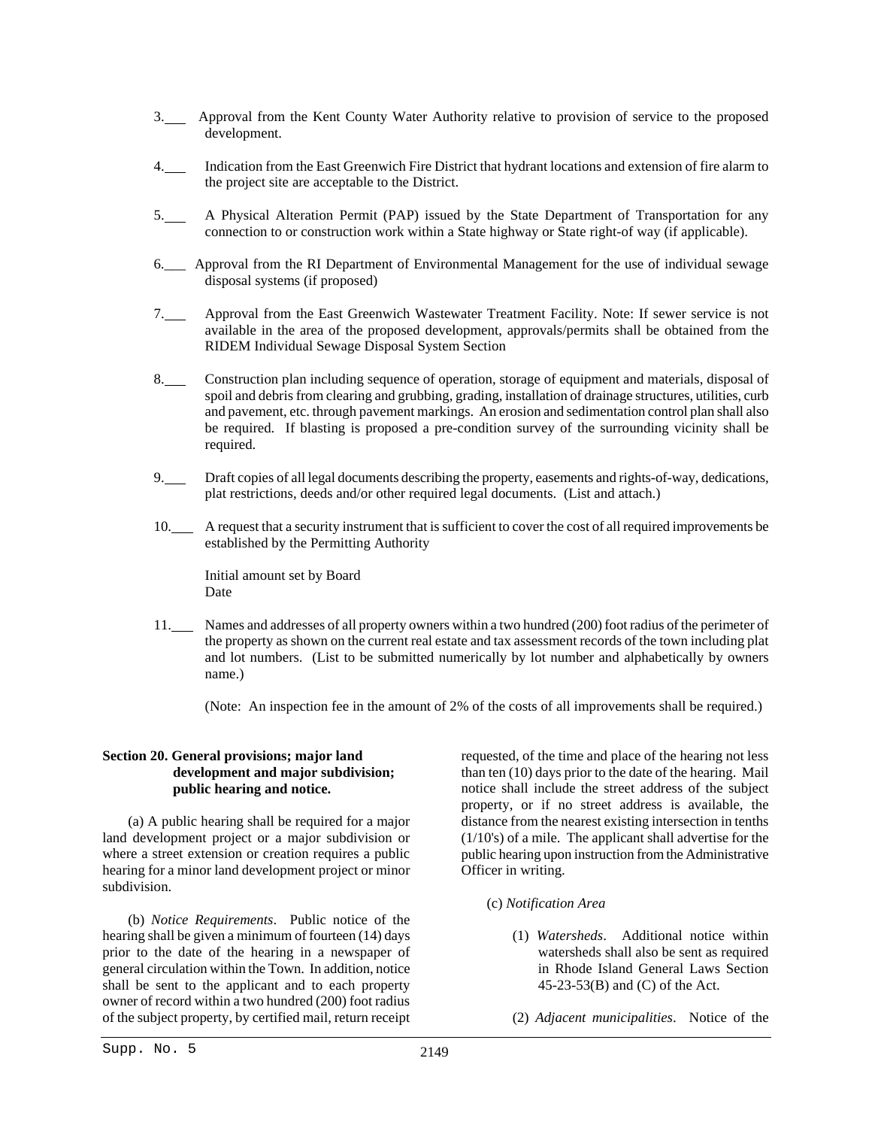- 3. Approval from the Kent County Water Authority relative to provision of service to the proposed development.
- 4. Indication from the East Greenwich Fire District that hydrant locations and extension of fire alarm to the project site are acceptable to the District.
- 5. A Physical Alteration Permit (PAP) issued by the State Department of Transportation for any connection to or construction work within a State highway or State right-of way (if applicable).
- 6.\_\_\_ Approval from the RI Department of Environmental Management for the use of individual sewage disposal systems (if proposed)
- 7. Approval from the East Greenwich Wastewater Treatment Facility. Note: If sewer service is not available in the area of the proposed development, approvals/permits shall be obtained from the RIDEM Individual Sewage Disposal System Section
- 8. Construction plan including sequence of operation, storage of equipment and materials, disposal of spoil and debris from clearing and grubbing, grading, installation of drainage structures, utilities, curb and pavement, etc. through pavement markings. An erosion and sedimentation control plan shall also be required. If blasting is proposed a pre-condition survey of the surrounding vicinity shall be required.
- 9. Draft copies of all legal documents describing the property, easements and rights-of-way, dedications, plat restrictions, deeds and/or other required legal documents. (List and attach.)
- 10. A request that a security instrument that is sufficient to cover the cost of all required improvements be established by the Permitting Authority

Initial amount set by Board Date

11. Names and addresses of all property owners within a two hundred (200) foot radius of the perimeter of the property as shown on the current real estate and tax assessment records of the town including plat and lot numbers. (List to be submitted numerically by lot number and alphabetically by owners name.)

(Note: An inspection fee in the amount of 2% of the costs of all improvements shall be required.)

# **Section 20. General provisions; major land development and major subdivision; public hearing and notice.**

(a) A public hearing shall be required for a major land development project or a major subdivision or where a street extension or creation requires a public hearing for a minor land development project or minor subdivision.

(b) *Notice Requirements*. Public notice of the hearing shall be given a minimum of fourteen (14) days prior to the date of the hearing in a newspaper of general circulation within the Town. In addition, notice shall be sent to the applicant and to each property owner of record within a two hundred (200) foot radius of the subject property, by certified mail, return receipt

requested, of the time and place of the hearing not less than ten (10) days prior to the date of the hearing. Mail notice shall include the street address of the subject property, or if no street address is available, the distance from the nearest existing intersection in tenths (1/10's) of a mile. The applicant shall advertise for the public hearing upon instruction from the Administrative Officer in writing.

- (c) *Notification Area*
	- (1) *Watersheds*. Additional notice within watersheds shall also be sent as required in Rhode Island General Laws Section 45-23-53(B) and (C) of the Act.
	- (2) *Adjacent municipalities*. Notice of the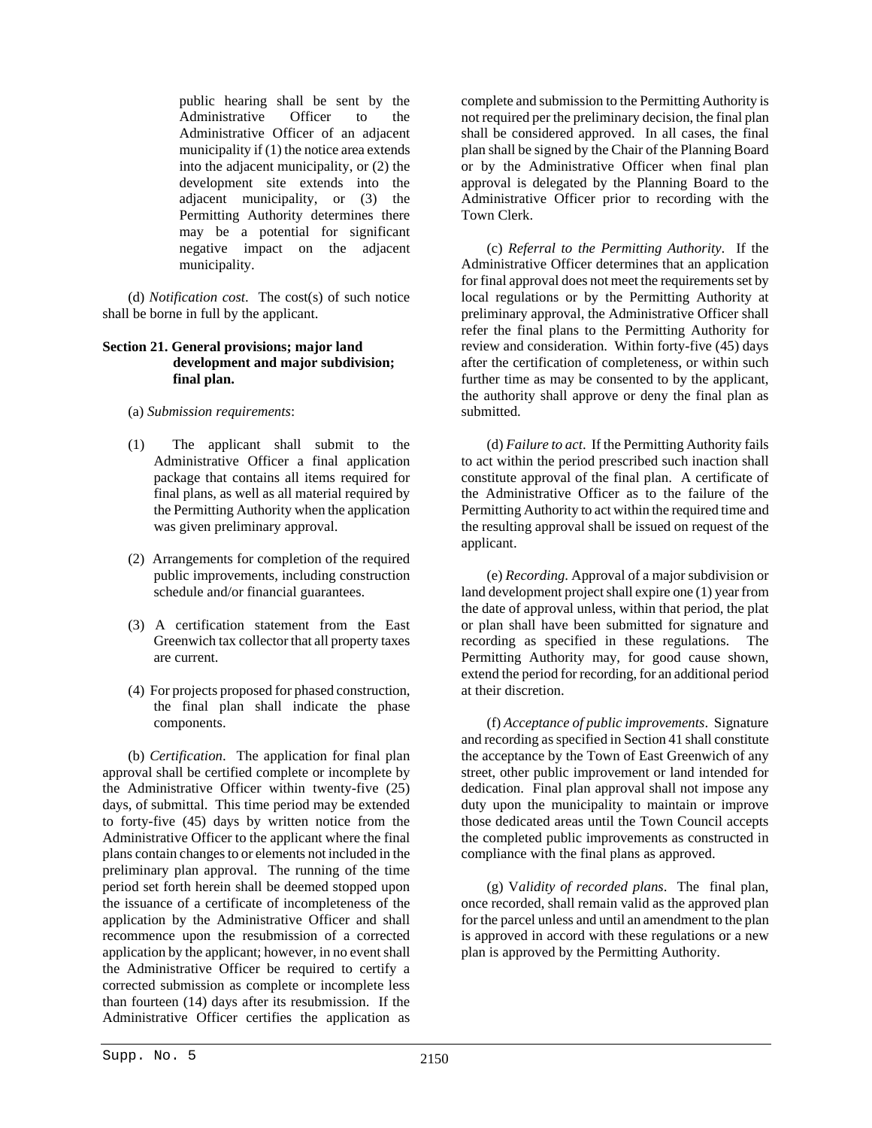public hearing shall be sent by the Administrative Officer to the Administrative Officer of an adjacent municipality if (1) the notice area extends into the adjacent municipality, or (2) the development site extends into the adjacent municipality, or (3) the Permitting Authority determines there may be a potential for significant negative impact on the adjacent municipality.

(d) *Notification cost*. The cost(s) of such notice shall be borne in full by the applicant.

### **Section 21. General provisions; major land development and major subdivision; final plan.**

- (a) *Submission requirements*:
- (1) The applicant shall submit to the Administrative Officer a final application package that contains all items required for final plans, as well as all material required by the Permitting Authority when the application was given preliminary approval.
- (2) Arrangements for completion of the required public improvements, including construction schedule and/or financial guarantees.
- (3) A certification statement from the East Greenwich tax collector that all property taxes are current.
- (4) For projects proposed for phased construction, the final plan shall indicate the phase components.

(b) *Certification*. The application for final plan approval shall be certified complete or incomplete by the Administrative Officer within twenty-five (25) days, of submittal. This time period may be extended to forty-five (45) days by written notice from the Administrative Officer to the applicant where the final plans contain changes to or elements not included in the preliminary plan approval. The running of the time period set forth herein shall be deemed stopped upon the issuance of a certificate of incompleteness of the application by the Administrative Officer and shall recommence upon the resubmission of a corrected application by the applicant; however, in no event shall the Administrative Officer be required to certify a corrected submission as complete or incomplete less than fourteen (14) days after its resubmission. If the Administrative Officer certifies the application as complete and submission to the Permitting Authority is not required per the preliminary decision, the final plan shall be considered approved. In all cases, the final plan shall be signed by the Chair of the Planning Board or by the Administrative Officer when final plan approval is delegated by the Planning Board to the Administrative Officer prior to recording with the Town Clerk.

(c) *Referral to the Permitting Authority*. If the Administrative Officer determines that an application for final approval does not meet the requirements set by local regulations or by the Permitting Authority at preliminary approval, the Administrative Officer shall refer the final plans to the Permitting Authority for review and consideration. Within forty-five (45) days after the certification of completeness, or within such further time as may be consented to by the applicant, the authority shall approve or deny the final plan as submitted.

(d) *Failure to act*. If the Permitting Authority fails to act within the period prescribed such inaction shall constitute approval of the final plan. A certificate of the Administrative Officer as to the failure of the Permitting Authority to act within the required time and the resulting approval shall be issued on request of the applicant.

(e) *Recording*. Approval of a major subdivision or land development project shall expire one (1) year from the date of approval unless, within that period, the plat or plan shall have been submitted for signature and recording as specified in these regulations. The Permitting Authority may, for good cause shown, extend the period for recording, for an additional period at their discretion.

(f) *Acceptance of public improvements*. Signature and recording as specified in Section 41 shall constitute the acceptance by the Town of East Greenwich of any street, other public improvement or land intended for dedication. Final plan approval shall not impose any duty upon the municipality to maintain or improve those dedicated areas until the Town Council accepts the completed public improvements as constructed in compliance with the final plans as approved.

(g) V*alidity of recorded plans*. The final plan, once recorded, shall remain valid as the approved plan for the parcel unless and until an amendment to the plan is approved in accord with these regulations or a new plan is approved by the Permitting Authority.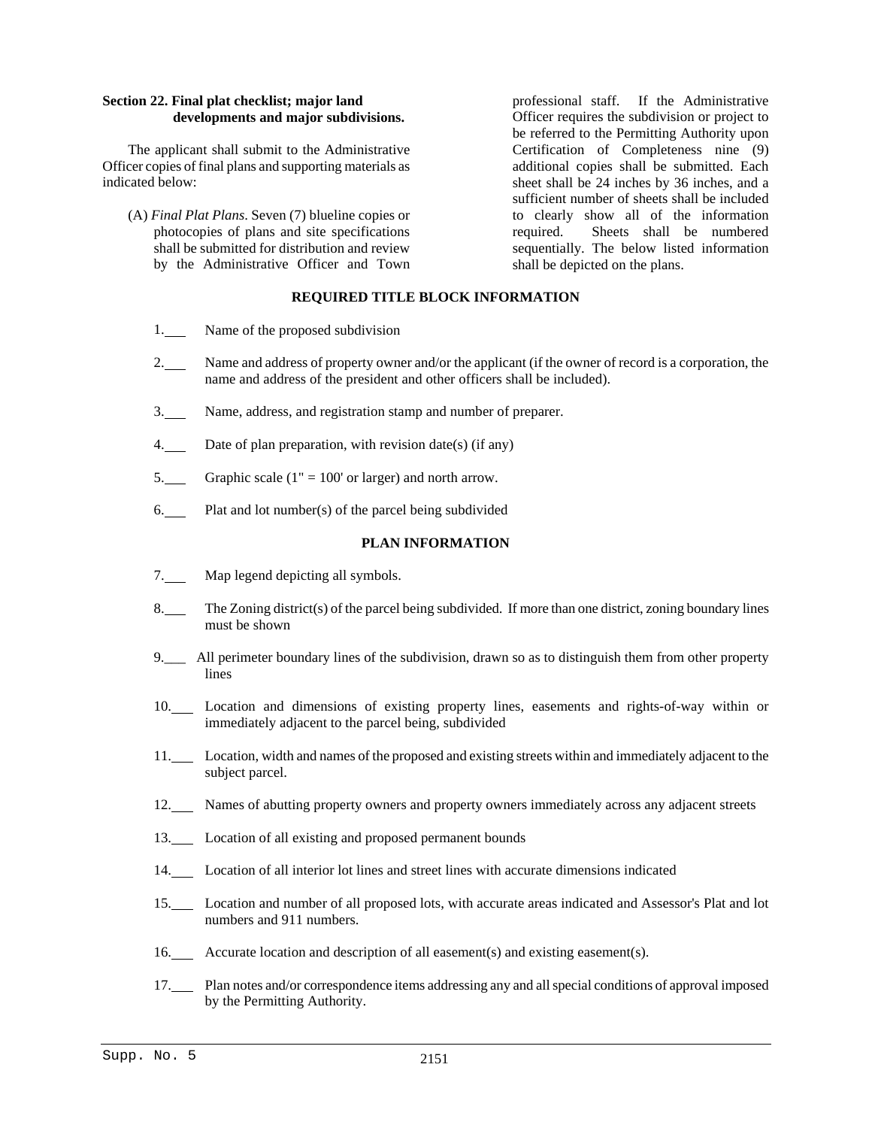# **Section 22. Final plat checklist; major land developments and major subdivisions.**

The applicant shall submit to the Administrative Officer copies of final plans and supporting materials as indicated below:

(A) *Final Plat Plans*. Seven (7) blueline copies or photocopies of plans and site specifications shall be submitted for distribution and review by the Administrative Officer and Town

professional staff. If the Administrative Officer requires the subdivision or project to be referred to the Permitting Authority upon Certification of Completeness nine (9) additional copies shall be submitted. Each sheet shall be 24 inches by 36 inches, and a sufficient number of sheets shall be included to clearly show all of the information required. Sheets shall be numbered sequentially. The below listed information shall be depicted on the plans.

# **REQUIRED TITLE BLOCK INFORMATION**

- 1. Name of the proposed subdivision
- 2. Name and address of property owner and/or the applicant (if the owner of record is a corporation, the name and address of the president and other officers shall be included).
- 3. Name, address, and registration stamp and number of preparer.
- 4. Date of plan preparation, with revision date(s) (if any)
- 5. Graphic scale  $(1" = 100'$  or larger) and north arrow.
- 6. Plat and lot number(s) of the parcel being subdivided

## **PLAN INFORMATION**

- 7. Map legend depicting all symbols.
- 8. The Zoning district(s) of the parcel being subdivided. If more than one district, zoning boundary lines must be shown
- 9.\_\_\_ All perimeter boundary lines of the subdivision, drawn so as to distinguish them from other property lines
- 10. Location and dimensions of existing property lines, easements and rights-of-way within or immediately adjacent to the parcel being, subdivided
- 11. Location, width and names of the proposed and existing streets within and immediately adjacent to the subject parcel.
- 12. Names of abutting property owners and property owners immediately across any adjacent streets
- 13. Location of all existing and proposed permanent bounds
- 14. Location of all interior lot lines and street lines with accurate dimensions indicated
- 15. Location and number of all proposed lots, with accurate areas indicated and Assessor's Plat and lot numbers and 911 numbers.
- 16. Accurate location and description of all easement(s) and existing easement(s).
- 17. Plan notes and/or correspondence items addressing any and all special conditions of approval imposed by the Permitting Authority.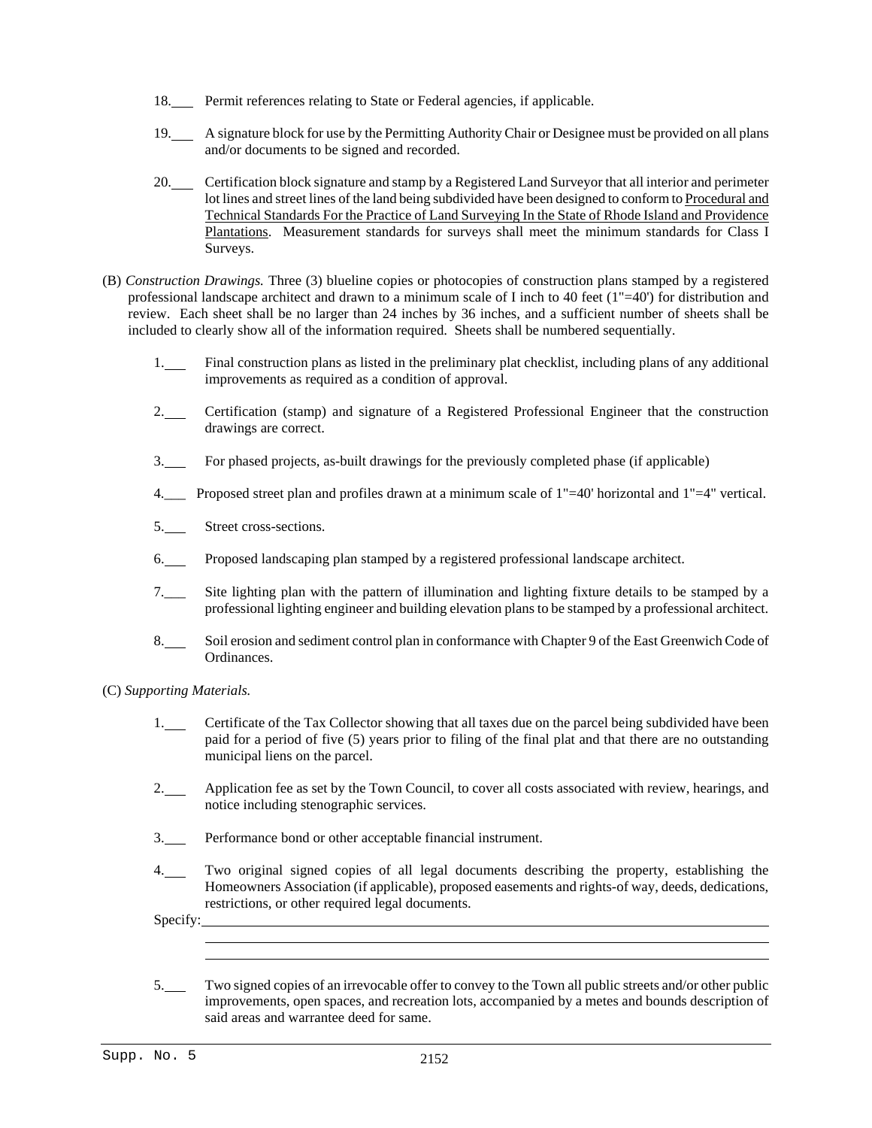- 18. Permit references relating to State or Federal agencies, if applicable.
- 19. A signature block for use by the Permitting Authority Chair or Designee must be provided on all plans and/or documents to be signed and recorded.
- 20. Certification block signature and stamp by a Registered Land Surveyor that all interior and perimeter lot lines and street lines of the land being subdivided have been designed to conform to Procedural and Technical Standards For the Practice of Land Surveying In the State of Rhode Island and Providence Plantations. Measurement standards for surveys shall meet the minimum standards for Class I Surveys.
- (B) *Construction Drawings.* Three (3) blueline copies or photocopies of construction plans stamped by a registered professional landscape architect and drawn to a minimum scale of I inch to 40 feet  $(1"=\pm 40')$  for distribution and review. Each sheet shall be no larger than 24 inches by 36 inches, and a sufficient number of sheets shall be included to clearly show all of the information required. Sheets shall be numbered sequentially.
	- 1. Final construction plans as listed in the preliminary plat checklist, including plans of any additional improvements as required as a condition of approval.
	- 2.\_\_ Certification (stamp) and signature of a Registered Professional Engineer that the construction drawings are correct.
	- 3. For phased projects, as-built drawings for the previously completed phase (if applicable)
	- 4.\_\_\_ Proposed street plan and profiles drawn at a minimum scale of 1"=40' horizontal and 1"=4" vertical.
	- 5. Street cross-sections.
	- 6. Proposed landscaping plan stamped by a registered professional landscape architect.
	- 7.\_\_\_ Site lighting plan with the pattern of illumination and lighting fixture details to be stamped by a professional lighting engineer and building elevation plans to be stamped by a professional architect.
	- 8. Soil erosion and sediment control plan in conformance with Chapter 9 of the East Greenwich Code of Ordinances.
- (C) *Supporting Materials.*
	- 1. Certificate of the Tax Collector showing that all taxes due on the parcel being subdivided have been paid for a period of five (5) years prior to filing of the final plat and that there are no outstanding municipal liens on the parcel.
	- 2.\_\_\_\_ Application fee as set by the Town Council, to cover all costs associated with review, hearings, and notice including stenographic services.
	- 3. Performance bond or other acceptable financial instrument.
	- 4. Two original signed copies of all legal documents describing the property, establishing the Homeowners Association (if applicable), proposed easements and rights-of way, deeds, dedications, restrictions, or other required legal documents.

Specify:

l

5. Two signed copies of an irrevocable offer to convey to the Town all public streets and/or other public improvements, open spaces, and recreation lots, accompanied by a metes and bounds description of said areas and warrantee deed for same.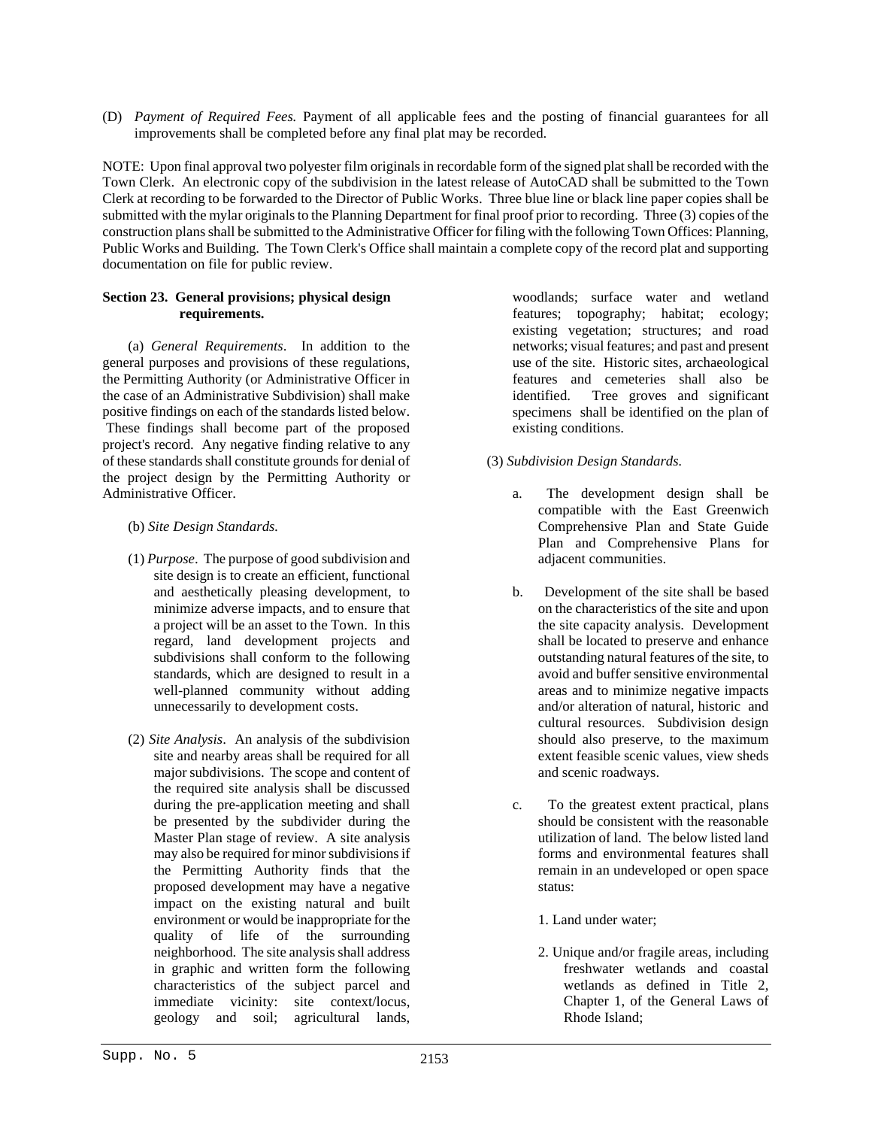(D) *Payment of Required Fees.* Payment of all applicable fees and the posting of financial guarantees for all improvements shall be completed before any final plat may be recorded.

NOTE: Upon final approval two polyester film originals in recordable form of the signed plat shall be recorded with the Town Clerk. An electronic copy of the subdivision in the latest release of AutoCAD shall be submitted to the Town Clerk at recording to be forwarded to the Director of Public Works. Three blue line or black line paper copies shall be submitted with the mylar originals to the Planning Department for final proof prior to recording. Three (3) copies of the construction plans shall be submitted to the Administrative Officer for filing with the following Town Offices: Planning, Public Works and Building. The Town Clerk's Office shall maintain a complete copy of the record plat and supporting documentation on file for public review.

# **Section 23. General provisions; physical design requirements.**

(a) *General Requirements*. In addition to the general purposes and provisions of these regulations, the Permitting Authority (or Administrative Officer in the case of an Administrative Subdivision) shall make positive findings on each of the standards listed below. These findings shall become part of the proposed project's record. Any negative finding relative to any of these standards shall constitute grounds for denial of the project design by the Permitting Authority or Administrative Officer.

- (b) *Site Design Standards.*
- (1) *Purpose*. The purpose of good subdivision and site design is to create an efficient, functional and aesthetically pleasing development, to minimize adverse impacts, and to ensure that a project will be an asset to the Town. In this regard, land development projects and subdivisions shall conform to the following standards, which are designed to result in a well-planned community without adding unnecessarily to development costs.
- (2) *Site Analysis*. An analysis of the subdivision site and nearby areas shall be required for all major subdivisions. The scope and content of the required site analysis shall be discussed during the pre-application meeting and shall be presented by the subdivider during the Master Plan stage of review. A site analysis may also be required for minor subdivisions if the Permitting Authority finds that the proposed development may have a negative impact on the existing natural and built environment or would be inappropriate for the quality of life of the surrounding neighborhood. The site analysis shall address in graphic and written form the following characteristics of the subject parcel and immediate vicinity: site context/locus, geology and soil; agricultural lands,

woodlands; surface water and wetland features; topography; habitat; ecology; existing vegetation; structures; and road networks; visual features; and past and present use of the site. Historic sites, archaeological features and cemeteries shall also be identified. Tree groves and significant specimens shall be identified on the plan of existing conditions.

# (3) *Subdivision Design Standards.*

- a. The development design shall be compatible with the East Greenwich Comprehensive Plan and State Guide Plan and Comprehensive Plans for adjacent communities.
- b. Development of the site shall be based on the characteristics of the site and upon the site capacity analysis. Development shall be located to preserve and enhance outstanding natural features of the site, to avoid and buffer sensitive environmental areas and to minimize negative impacts and/or alteration of natural, historic and cultural resources. Subdivision design should also preserve, to the maximum extent feasible scenic values, view sheds and scenic roadways.
- c. To the greatest extent practical, plans should be consistent with the reasonable utilization of land. The below listed land forms and environmental features shall remain in an undeveloped or open space status:
	- 1. Land under water;
	- 2. Unique and/or fragile areas, including freshwater wetlands and coastal wetlands as defined in Title 2, Chapter 1, of the General Laws of Rhode Island;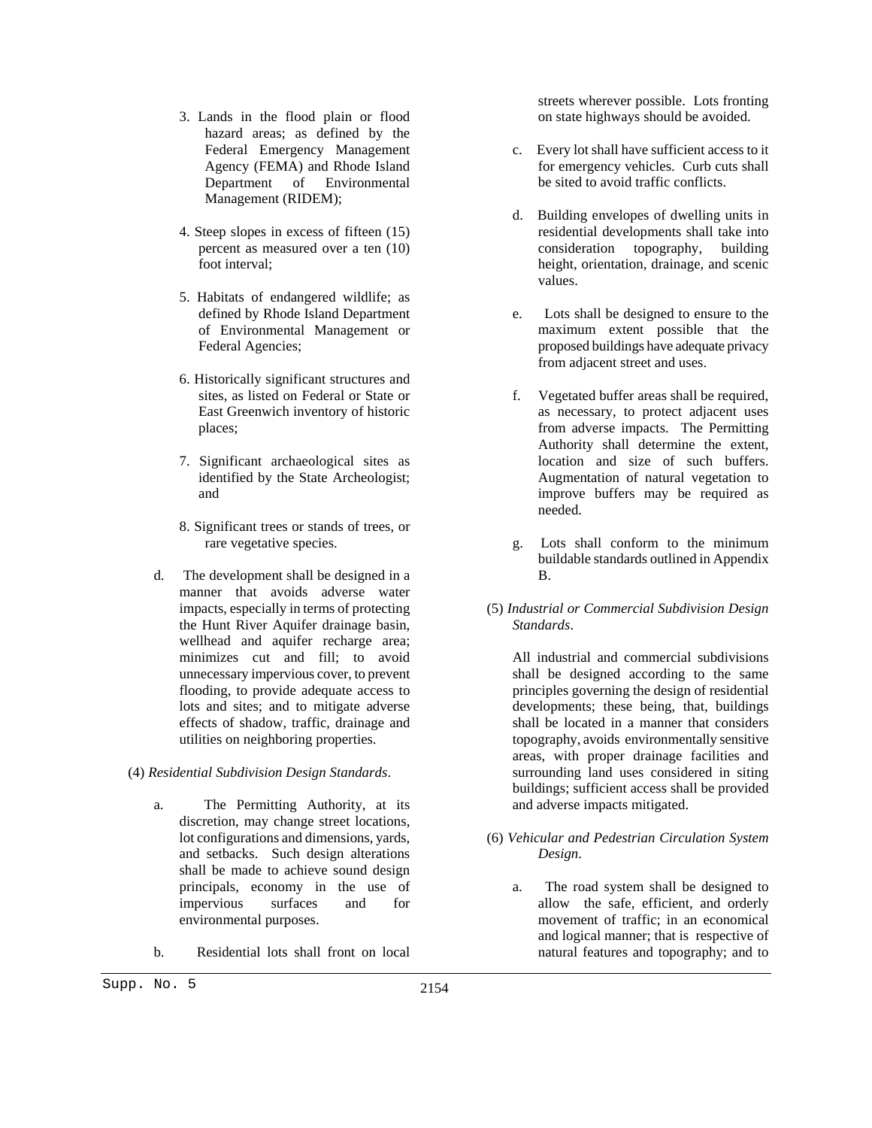- 3. Lands in the flood plain or flood hazard areas; as defined by the Federal Emergency Management Agency (FEMA) and Rhode Island Department of Environmental Management (RIDEM);
- 4. Steep slopes in excess of fifteen (15) percent as measured over a ten (10) foot interval;
- 5. Habitats of endangered wildlife; as defined by Rhode Island Department of Environmental Management or Federal Agencies;
- 6. Historically significant structures and sites, as listed on Federal or State or East Greenwich inventory of historic places;
- 7. Significant archaeological sites as identified by the State Archeologist; and
- 8. Significant trees or stands of trees, or rare vegetative species.
- d. The development shall be designed in a manner that avoids adverse water impacts, especially in terms of protecting the Hunt River Aquifer drainage basin, wellhead and aquifer recharge area; minimizes cut and fill; to avoid unnecessary impervious cover, to prevent flooding, to provide adequate access to lots and sites; and to mitigate adverse effects of shadow, traffic, drainage and utilities on neighboring properties.
- (4) *Residential Subdivision Design Standards*.
	- a. The Permitting Authority, at its discretion, may change street locations, lot configurations and dimensions, yards, and setbacks. Such design alterations shall be made to achieve sound design principals, economy in the use of impervious surfaces and for environmental purposes.
	- b. Residential lots shall front on local

streets wherever possible. Lots fronting on state highways should be avoided.

- c. Every lot shall have sufficient access to it for emergency vehicles. Curb cuts shall be sited to avoid traffic conflicts.
- d. Building envelopes of dwelling units in residential developments shall take into consideration topography, building height, orientation, drainage, and scenic values.
- e. Lots shall be designed to ensure to the maximum extent possible that the proposed buildings have adequate privacy from adjacent street and uses.
- f. Vegetated buffer areas shall be required, as necessary, to protect adjacent uses from adverse impacts. The Permitting Authority shall determine the extent, location and size of such buffers. Augmentation of natural vegetation to improve buffers may be required as needed.
- g. Lots shall conform to the minimum buildable standards outlined in Appendix B.
- (5) *Industrial or Commercial Subdivision Design Standards*.

All industrial and commercial subdivisions shall be designed according to the same principles governing the design of residential developments; these being, that, buildings shall be located in a manner that considers topography, avoids environmentally sensitive areas, with proper drainage facilities and surrounding land uses considered in siting buildings; sufficient access shall be provided and adverse impacts mitigated.

- (6) *Vehicular and Pedestrian Circulation System Design*.
	- a. The road system shall be designed to allow the safe, efficient, and orderly movement of traffic; in an economical and logical manner; that is respective of natural features and topography; and to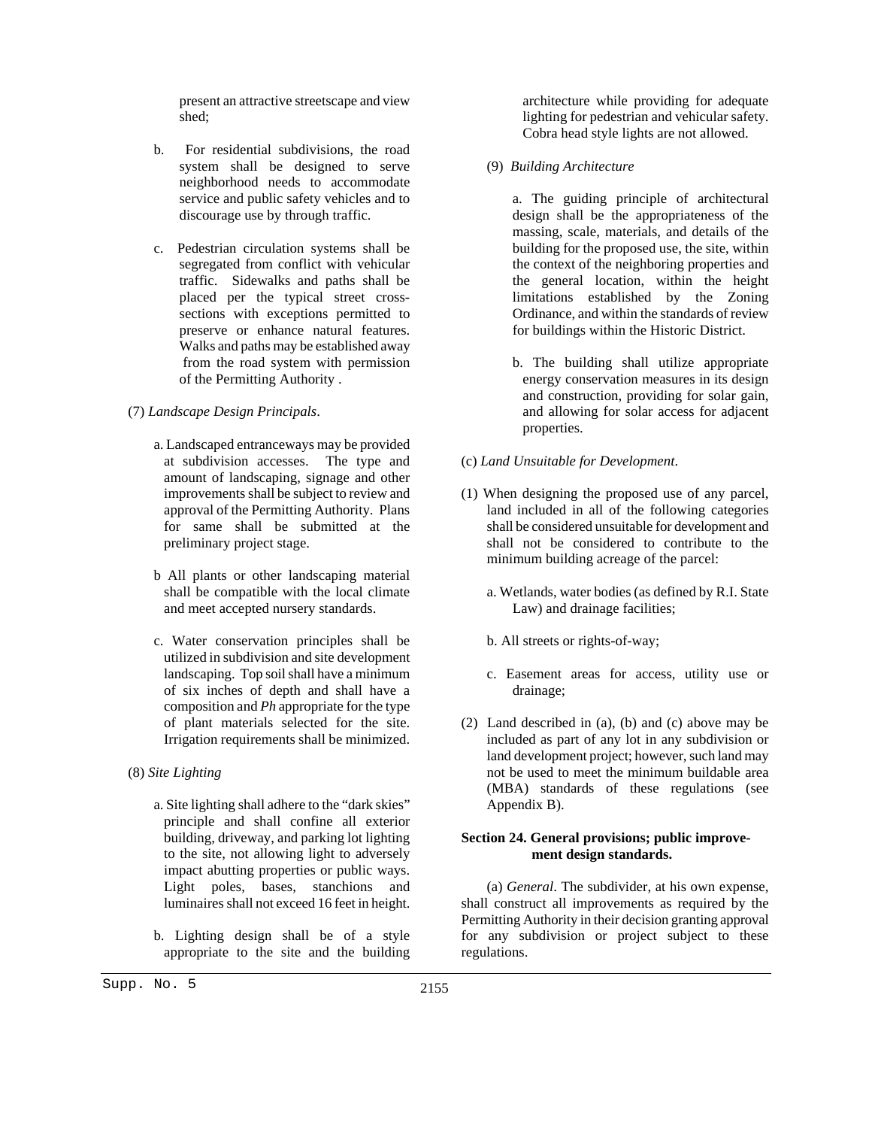present an attractive streetscape and view shed;

- b. For residential subdivisions, the road system shall be designed to serve neighborhood needs to accommodate service and public safety vehicles and to discourage use by through traffic.
- c. Pedestrian circulation systems shall be segregated from conflict with vehicular traffic. Sidewalks and paths shall be placed per the typical street crosssections with exceptions permitted to preserve or enhance natural features. Walks and paths may be established away from the road system with permission of the Permitting Authority .
- (7) *Landscape Design Principals*.
	- a. Landscaped entranceways may be provided at subdivision accesses. The type and amount of landscaping, signage and other improvements shall be subject to review and approval of the Permitting Authority. Plans for same shall be submitted at the preliminary project stage.
	- b All plants or other landscaping material shall be compatible with the local climate and meet accepted nursery standards.
	- c. Water conservation principles shall be utilized in subdivision and site development landscaping. Top soil shall have a minimum of six inches of depth and shall have a composition and *Ph* appropriate for the type of plant materials selected for the site. Irrigation requirements shall be minimized.
- (8) *Site Lighting*
	- a. Site lighting shall adhere to the "dark skies" principle and shall confine all exterior building, driveway, and parking lot lighting to the site, not allowing light to adversely impact abutting properties or public ways. Light poles, bases, stanchions and luminaires shall not exceed 16 feet in height.
	- b. Lighting design shall be of a style appropriate to the site and the building

architecture while providing for adequate lighting for pedestrian and vehicular safety. Cobra head style lights are not allowed.

- (9) *Building Architecture*
	- a. The guiding principle of architectural design shall be the appropriateness of the massing, scale, materials, and details of the building for the proposed use, the site, within the context of the neighboring properties and the general location, within the height limitations established by the Zoning Ordinance, and within the standards of review for buildings within the Historic District.
	- b. The building shall utilize appropriate energy conservation measures in its design and construction, providing for solar gain, and allowing for solar access for adjacent properties.
- (c) *Land Unsuitable for Development*.
- (1) When designing the proposed use of any parcel, land included in all of the following categories shall be considered unsuitable for development and shall not be considered to contribute to the minimum building acreage of the parcel:
	- a. Wetlands, water bodies (as defined by R.I. State Law) and drainage facilities;
	- b. All streets or rights-of-way;
	- c. Easement areas for access, utility use or drainage;
- (2) Land described in (a), (b) and (c) above may be included as part of any lot in any subdivision or land development project; however, such land may not be used to meet the minimum buildable area (MBA) standards of these regulations (see Appendix B).

# **Section 24. General provisions; public improvement design standards.**

(a) *General*. The subdivider, at his own expense, shall construct all improvements as required by the Permitting Authority in their decision granting approval for any subdivision or project subject to these regulations.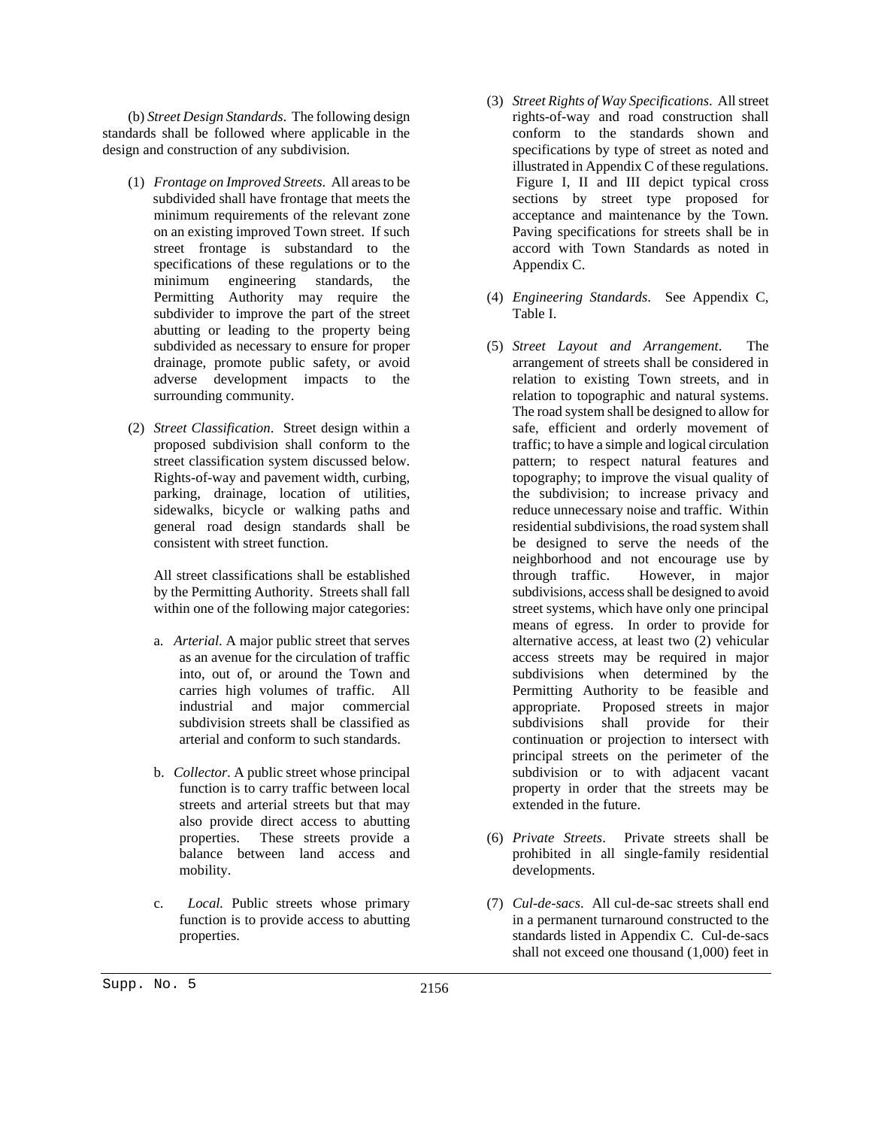(b) *Street Design Standards*. The following design standards shall be followed where applicable in the design and construction of any subdivision.

- (1) *Frontage on Improved Streets*. All areas to be subdivided shall have frontage that meets the minimum requirements of the relevant zone on an existing improved Town street. If such street frontage is substandard to the specifications of these regulations or to the minimum engineering standards, the Permitting Authority may require the subdivider to improve the part of the street abutting or leading to the property being subdivided as necessary to ensure for proper drainage, promote public safety, or avoid adverse development impacts to the surrounding community.
- (2) *Street Classification*. Street design within a proposed subdivision shall conform to the street classification system discussed below. Rights-of-way and pavement width, curbing, parking, drainage, location of utilities, sidewalks, bicycle or walking paths and general road design standards shall be consistent with street function.

All street classifications shall be established by the Permitting Authority. Streets shall fall within one of the following major categories:

- a. *Arterial*. A major public street that serves as an avenue for the circulation of traffic into, out of, or around the Town and carries high volumes of traffic. All industrial and major commercial subdivision streets shall be classified as arterial and conform to such standards.
- b. *Collector.* A public street whose principal function is to carry traffic between local streets and arterial streets but that may also provide direct access to abutting properties. These streets provide a balance between land access and mobility.
- c. *Local.* Public streets whose primary function is to provide access to abutting properties.
- (3) *Street Rights of Way Specifications*. All street rights-of-way and road construction shall conform to the standards shown and specifications by type of street as noted and illustrated in Appendix C of these regulations. Figure I, II and III depict typical cross sections by street type proposed for acceptance and maintenance by the Town. Paving specifications for streets shall be in accord with Town Standards as noted in Appendix C.
- (4) *Engineering Standards*. See Appendix C, Table I.
- (5) *Street Layout and Arrangement*. The arrangement of streets shall be considered in relation to existing Town streets, and in relation to topographic and natural systems. The road system shall be designed to allow for safe, efficient and orderly movement of traffic; to have a simple and logical circulation pattern; to respect natural features and topography; to improve the visual quality of the subdivision; to increase privacy and reduce unnecessary noise and traffic. Within residential subdivisions, the road system shall be designed to serve the needs of the neighborhood and not encourage use by through traffic. However, in major subdivisions, access shall be designed to avoid street systems, which have only one principal means of egress. In order to provide for alternative access, at least two (2) vehicular access streets may be required in major subdivisions when determined by the Permitting Authority to be feasible and appropriate. Proposed streets in major subdivisions shall provide for their continuation or projection to intersect with principal streets on the perimeter of the subdivision or to with adjacent vacant property in order that the streets may be extended in the future.
- (6) *Private Streets*. Private streets shall be prohibited in all single-family residential developments.
- (7) *Cul-de-sacs*. All cul-de-sac streets shall end in a permanent turnaround constructed to the standards listed in Appendix C. Cul-de-sacs shall not exceed one thousand (1,000) feet in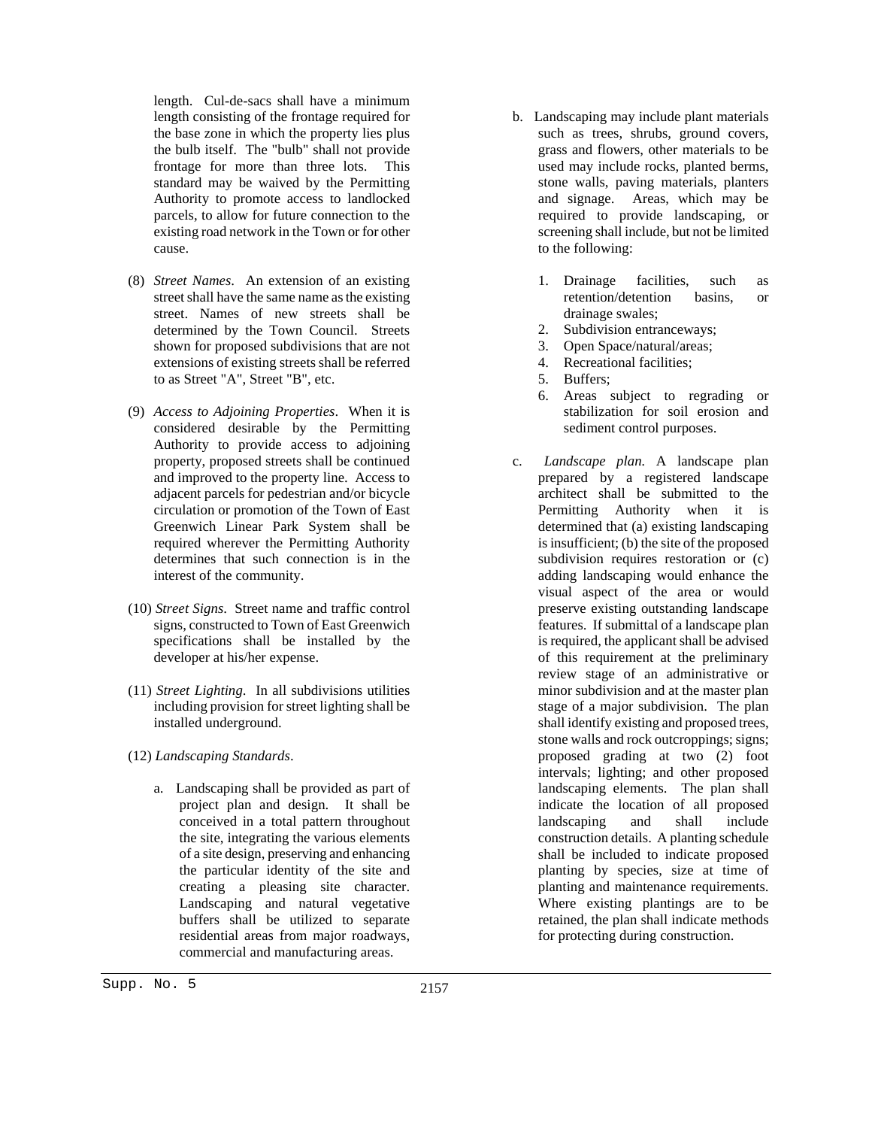length. Cul-de-sacs shall have a minimum length consisting of the frontage required for the base zone in which the property lies plus the bulb itself. The "bulb" shall not provide frontage for more than three lots. This standard may be waived by the Permitting Authority to promote access to landlocked parcels, to allow for future connection to the existing road network in the Town or for other cause.

- (8) *Street Names*. An extension of an existing street shall have the same name as the existing street. Names of new streets shall be determined by the Town Council. Streets shown for proposed subdivisions that are not extensions of existing streets shall be referred to as Street "A", Street "B", etc.
- (9) *Access to Adjoining Properties*. When it is considered desirable by the Permitting Authority to provide access to adjoining property, proposed streets shall be continued and improved to the property line. Access to adjacent parcels for pedestrian and/or bicycle circulation or promotion of the Town of East Greenwich Linear Park System shall be required wherever the Permitting Authority determines that such connection is in the interest of the community.
- (10) *Street Signs*. Street name and traffic control signs, constructed to Town of East Greenwich specifications shall be installed by the developer at his/her expense.
- (11) *Street Lighting*. In all subdivisions utilities including provision for street lighting shall be installed underground.
- (12) *Landscaping Standards*.
	- a. Landscaping shall be provided as part of project plan and design. It shall be conceived in a total pattern throughout the site, integrating the various elements of a site design, preserving and enhancing the particular identity of the site and creating a pleasing site character. Landscaping and natural vegetative buffers shall be utilized to separate residential areas from major roadways, commercial and manufacturing areas.
- b. Landscaping may include plant materials such as trees, shrubs, ground covers, grass and flowers, other materials to be used may include rocks, planted berms, stone walls, paving materials, planters and signage. Areas, which may be required to provide landscaping, or screening shall include, but not be limited to the following:
	- 1. Drainage facilities, such as retention/detention basins, or drainage swales;
	- 2. Subdivision entranceways;
	- 3. Open Space/natural/areas;
	- 4. Recreational facilities;
	- 5. Buffers;
	- 6. Areas subject to regrading or stabilization for soil erosion and sediment control purposes.
- c. *Landscape plan.* A landscape plan prepared by a registered landscape architect shall be submitted to the Permitting Authority when it is determined that (a) existing landscaping is insufficient; (b) the site of the proposed subdivision requires restoration or (c) adding landscaping would enhance the visual aspect of the area or would preserve existing outstanding landscape features. If submittal of a landscape plan is required, the applicant shall be advised of this requirement at the preliminary review stage of an administrative or minor subdivision and at the master plan stage of a major subdivision. The plan shall identify existing and proposed trees, stone walls and rock outcroppings; signs; proposed grading at two (2) foot intervals; lighting; and other proposed landscaping elements. The plan shall indicate the location of all proposed landscaping and shall include construction details. A planting schedule shall be included to indicate proposed planting by species, size at time of planting and maintenance requirements. Where existing plantings are to be retained, the plan shall indicate methods for protecting during construction.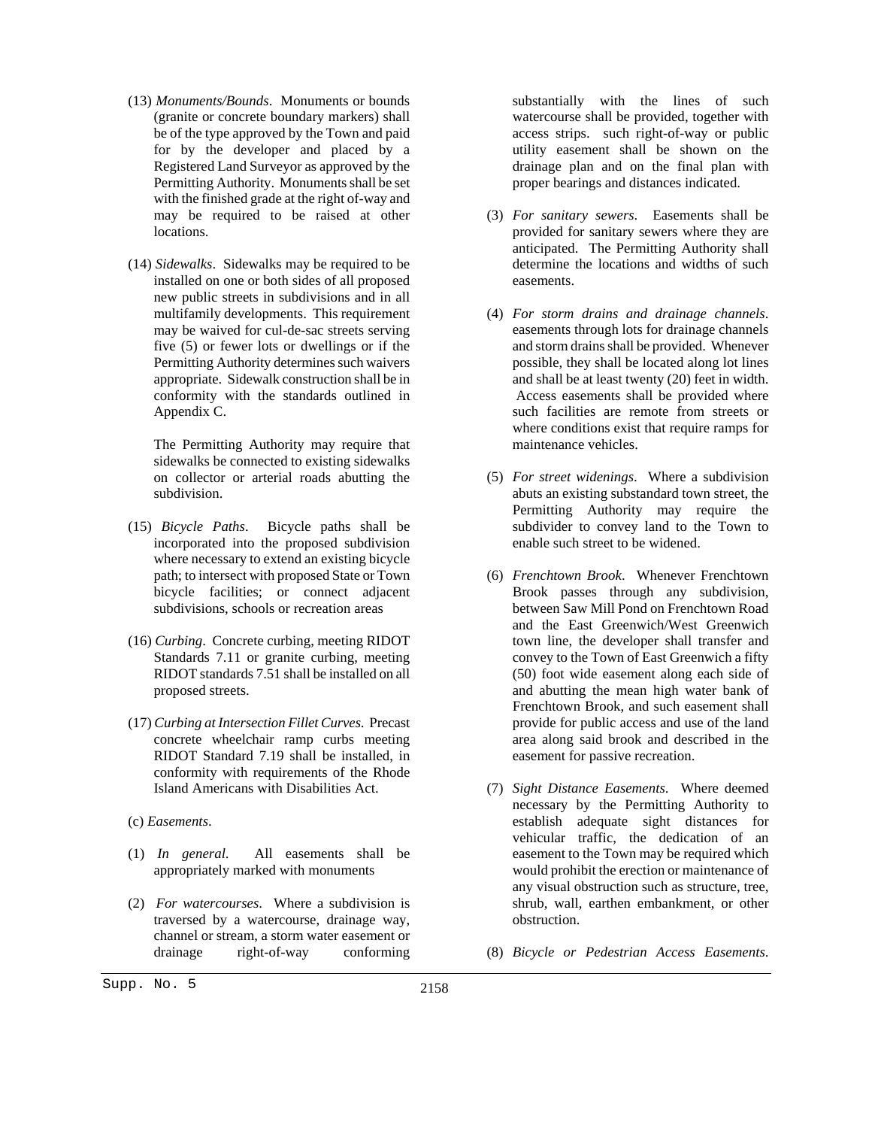- (13) *Monuments/Bounds*. Monuments or bounds (granite or concrete boundary markers) shall be of the type approved by the Town and paid for by the developer and placed by a Registered Land Surveyor as approved by the Permitting Authority. Monuments shall be set with the finished grade at the right of-way and may be required to be raised at other locations.
- (14) *Sidewalks*. Sidewalks may be required to be installed on one or both sides of all proposed new public streets in subdivisions and in all multifamily developments. This requirement may be waived for cul-de-sac streets serving five (5) or fewer lots or dwellings or if the Permitting Authority determines such waivers appropriate. Sidewalk construction shall be in conformity with the standards outlined in Appendix C.

The Permitting Authority may require that sidewalks be connected to existing sidewalks on collector or arterial roads abutting the subdivision.

- (15) *Bicycle Paths*. Bicycle paths shall be incorporated into the proposed subdivision where necessary to extend an existing bicycle path; to intersect with proposed State or Town bicycle facilities; or connect adjacent subdivisions, schools or recreation areas
- (16) *Curbing*. Concrete curbing, meeting RIDOT Standards 7.11 or granite curbing, meeting RIDOT standards 7.51 shall be installed on all proposed streets.
- (17) *Curbing at Intersection Fillet Curves*. Precast concrete wheelchair ramp curbs meeting RIDOT Standard 7.19 shall be installed, in conformity with requirements of the Rhode Island Americans with Disabilities Act.
- (c) *Easements*.
- (1) *In general*. All easements shall be appropriately marked with monuments
- (2) *For watercourses*. Where a subdivision is traversed by a watercourse, drainage way, channel or stream, a storm water easement or drainage right-of-way conforming
- (3) *For sanitary sewers*. Easements shall be provided for sanitary sewers where they are anticipated. The Permitting Authority shall determine the locations and widths of such easements.
- (4) *For storm drains and drainage channels*. easements through lots for drainage channels and storm drains shall be provided. Whenever possible, they shall be located along lot lines and shall be at least twenty (20) feet in width. Access easements shall be provided where such facilities are remote from streets or where conditions exist that require ramps for maintenance vehicles.
- (5) *For street widenings*. Where a subdivision abuts an existing substandard town street, the Permitting Authority may require the subdivider to convey land to the Town to enable such street to be widened.
- (6) *Frenchtown Brook*. Whenever Frenchtown Brook passes through any subdivision, between Saw Mill Pond on Frenchtown Road and the East Greenwich/West Greenwich town line, the developer shall transfer and convey to the Town of East Greenwich a fifty (50) foot wide easement along each side of and abutting the mean high water bank of Frenchtown Brook, and such easement shall provide for public access and use of the land area along said brook and described in the easement for passive recreation.
- (7) *Sight Distance Easements*. Where deemed necessary by the Permitting Authority to establish adequate sight distances for vehicular traffic, the dedication of an easement to the Town may be required which would prohibit the erection or maintenance of any visual obstruction such as structure, tree, shrub, wall, earthen embankment, or other obstruction.
- (8) *Bicycle or Pedestrian Access Easements*.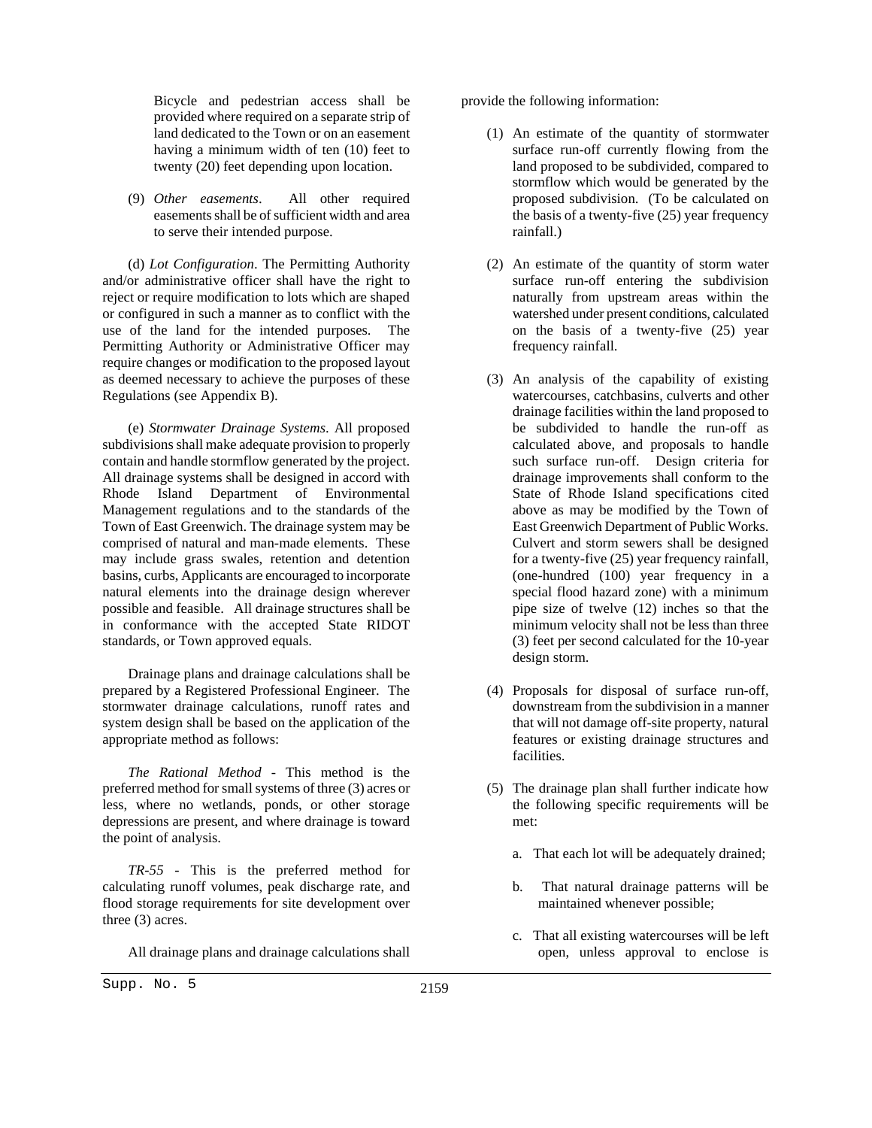Bicycle and pedestrian access shall be provided where required on a separate strip of land dedicated to the Town or on an easement having a minimum width of ten (10) feet to twenty (20) feet depending upon location.

(9) *Other easements*. All other required easements shall be of sufficient width and area to serve their intended purpose.

(d) *Lot Configuration*. The Permitting Authority and/or administrative officer shall have the right to reject or require modification to lots which are shaped or configured in such a manner as to conflict with the use of the land for the intended purposes. The Permitting Authority or Administrative Officer may require changes or modification to the proposed layout as deemed necessary to achieve the purposes of these Regulations (see Appendix B).

(e) *Stormwater Drainage Systems*. All proposed subdivisions shall make adequate provision to properly contain and handle stormflow generated by the project. All drainage systems shall be designed in accord with Rhode Island Department of Environmental Management regulations and to the standards of the Town of East Greenwich. The drainage system may be comprised of natural and man-made elements. These may include grass swales, retention and detention basins, curbs, Applicants are encouraged to incorporate natural elements into the drainage design wherever possible and feasible. All drainage structures shall be in conformance with the accepted State RIDOT standards, or Town approved equals.

Drainage plans and drainage calculations shall be prepared by a Registered Professional Engineer. The stormwater drainage calculations, runoff rates and system design shall be based on the application of the appropriate method as follows:

*The Rational Method* - This method is the preferred method for small systems of three (3) acres or less, where no wetlands, ponds, or other storage depressions are present, and where drainage is toward the point of analysis.

*TR-55* - This is the preferred method for calculating runoff volumes, peak discharge rate, and flood storage requirements for site development over three (3) acres.

All drainage plans and drainage calculations shall

Supp. No. 5 2159

- (1) An estimate of the quantity of stormwater surface run-off currently flowing from the land proposed to be subdivided, compared to stormflow which would be generated by the proposed subdivision. (To be calculated on the basis of a twenty-five (25) year frequency rainfall.)
- (2) An estimate of the quantity of storm water surface run-off entering the subdivision naturally from upstream areas within the watershed under present conditions, calculated on the basis of a twenty-five (25) year frequency rainfall.
- (3) An analysis of the capability of existing watercourses, catchbasins, culverts and other drainage facilities within the land proposed to be subdivided to handle the run-off as calculated above, and proposals to handle such surface run-off. Design criteria for drainage improvements shall conform to the State of Rhode Island specifications cited above as may be modified by the Town of East Greenwich Department of Public Works. Culvert and storm sewers shall be designed for a twenty-five (25) year frequency rainfall, (one-hundred (100) year frequency in a special flood hazard zone) with a minimum pipe size of twelve (12) inches so that the minimum velocity shall not be less than three (3) feet per second calculated for the 10-year design storm.
- (4) Proposals for disposal of surface run-off, downstream from the subdivision in a manner that will not damage off-site property, natural features or existing drainage structures and facilities.
- (5) The drainage plan shall further indicate how the following specific requirements will be met:
	- a. That each lot will be adequately drained;
	- b. That natural drainage patterns will be maintained whenever possible;
	- c. That all existing watercourses will be left open, unless approval to enclose is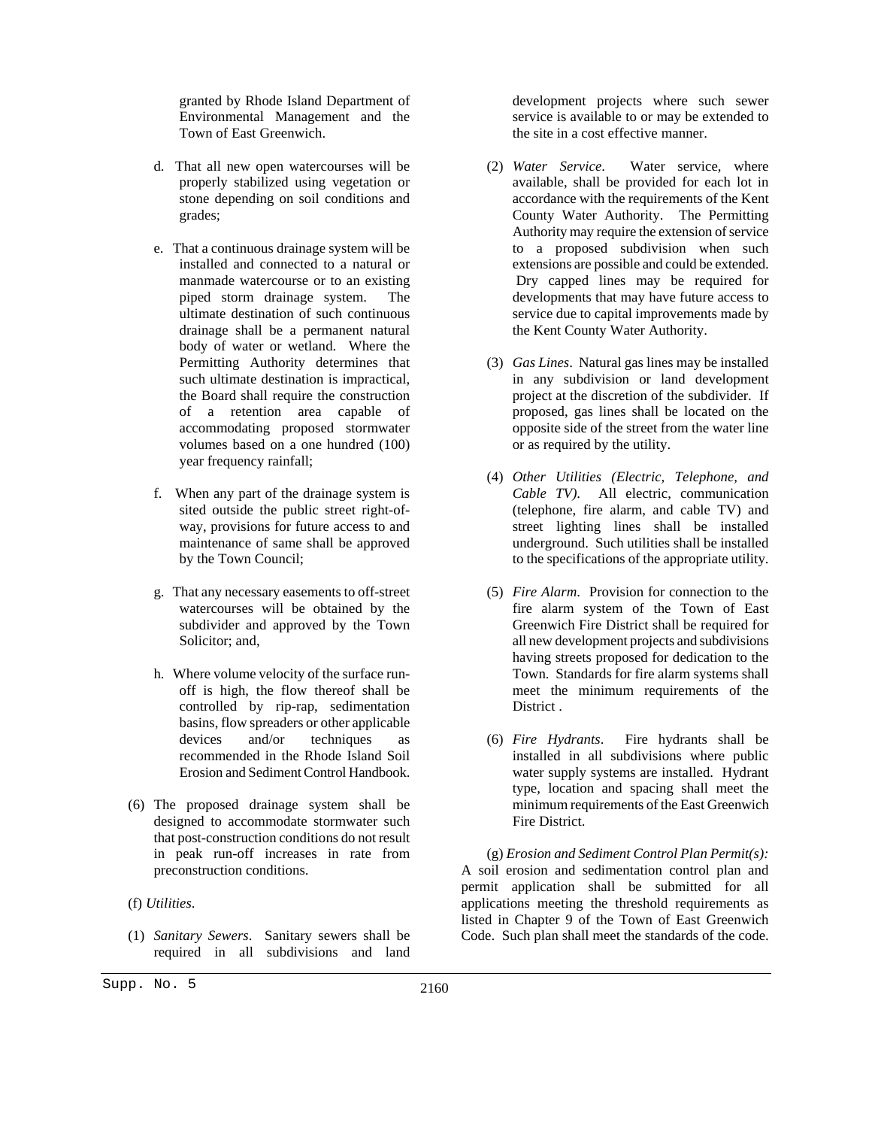granted by Rhode Island Department of Environmental Management and the Town of East Greenwich.

- d. That all new open watercourses will be properly stabilized using vegetation or stone depending on soil conditions and grades;
- e. That a continuous drainage system will be installed and connected to a natural or manmade watercourse or to an existing piped storm drainage system. The ultimate destination of such continuous drainage shall be a permanent natural body of water or wetland. Where the Permitting Authority determines that such ultimate destination is impractical, the Board shall require the construction of a retention area capable of accommodating proposed stormwater volumes based on a one hundred (100) year frequency rainfall;
- f. When any part of the drainage system is sited outside the public street right-ofway, provisions for future access to and maintenance of same shall be approved by the Town Council;
- g. That any necessary easements to off-street watercourses will be obtained by the subdivider and approved by the Town Solicitor; and,
- h. Where volume velocity of the surface runoff is high, the flow thereof shall be controlled by rip-rap, sedimentation basins, flow spreaders or other applicable devices and/or techniques as recommended in the Rhode Island Soil Erosion and Sediment Control Handbook.
- (6) The proposed drainage system shall be designed to accommodate stormwater such that post-construction conditions do not result in peak run-off increases in rate from preconstruction conditions.
- (f) *Utilities*.
- (1) *Sanitary Sewers*. Sanitary sewers shall be required in all subdivisions and land

development projects where such sewer service is available to or may be extended to the site in a cost effective manner.

- (2) *Water Service*. Water service, where available, shall be provided for each lot in accordance with the requirements of the Kent County Water Authority. The Permitting Authority may require the extension of service to a proposed subdivision when such extensions are possible and could be extended. Dry capped lines may be required for developments that may have future access to service due to capital improvements made by the Kent County Water Authority.
- (3) *Gas Lines*. Natural gas lines may be installed in any subdivision or land development project at the discretion of the subdivider. If proposed, gas lines shall be located on the opposite side of the street from the water line or as required by the utility.
- (4) *Other Utilities (Electric, Telephone, and Cable TV)*. All electric, communication (telephone, fire alarm, and cable TV) and street lighting lines shall be installed underground. Such utilities shall be installed to the specifications of the appropriate utility.
- (5) *Fire Alarm*. Provision for connection to the fire alarm system of the Town of East Greenwich Fire District shall be required for all new development projects and subdivisions having streets proposed for dedication to the Town. Standards for fire alarm systems shall meet the minimum requirements of the District .
- (6) *Fire Hydrants*. Fire hydrants shall be installed in all subdivisions where public water supply systems are installed. Hydrant type, location and spacing shall meet the minimum requirements of the East Greenwich Fire District.

(g) *Erosion and Sediment Control Plan Permit(s):* A soil erosion and sedimentation control plan and permit application shall be submitted for all applications meeting the threshold requirements as listed in Chapter 9 of the Town of East Greenwich Code. Such plan shall meet the standards of the code.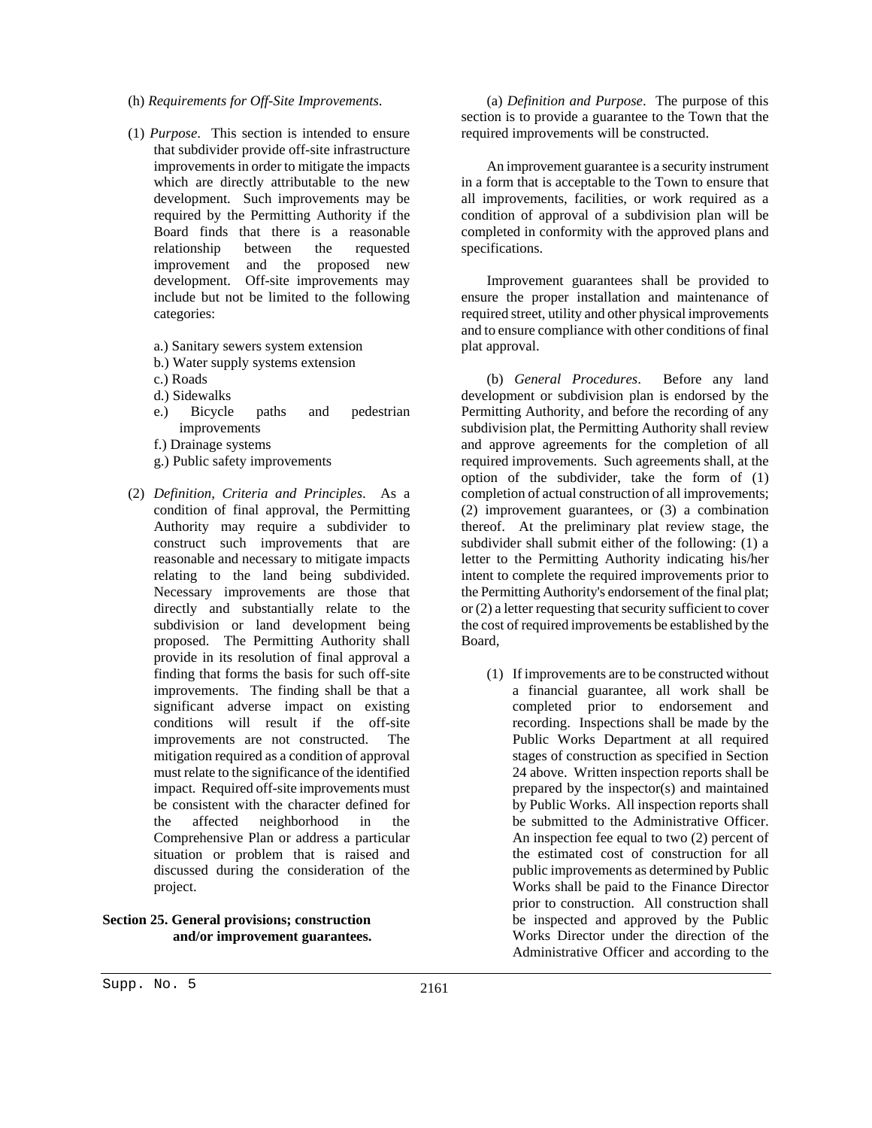- (h) *Requirements for Off-Site Improvements*.
- (1) *Purpose*. This section is intended to ensure that subdivider provide off-site infrastructure improvements in order to mitigate the impacts which are directly attributable to the new development. Such improvements may be required by the Permitting Authority if the Board finds that there is a reasonable relationship between the requested improvement and the proposed new development. Off-site improvements may include but not be limited to the following categories:
	- a.) Sanitary sewers system extension
	- b.) Water supply systems extension
	- c.) Roads
	- d.) Sidewalks
	- e.) Bicycle paths and pedestrian improvements
	- f.) Drainage systems
	- g.) Public safety improvements
- (2) *Definition, Criteria and Principles*. As a condition of final approval, the Permitting Authority may require a subdivider to construct such improvements that are reasonable and necessary to mitigate impacts relating to the land being subdivided. Necessary improvements are those that directly and substantially relate to the subdivision or land development being proposed. The Permitting Authority shall provide in its resolution of final approval a finding that forms the basis for such off-site improvements. The finding shall be that a significant adverse impact on existing conditions will result if the off-site improvements are not constructed. The mitigation required as a condition of approval must relate to the significance of the identified impact. Required off-site improvements must be consistent with the character defined for the affected neighborhood in the Comprehensive Plan or address a particular situation or problem that is raised and discussed during the consideration of the project.

# **Section 25. General provisions; construction and/or improvement guarantees.**

(a) *Definition and Purpose*. The purpose of this section is to provide a guarantee to the Town that the required improvements will be constructed.

An improvement guarantee is a security instrument in a form that is acceptable to the Town to ensure that all improvements, facilities, or work required as a condition of approval of a subdivision plan will be completed in conformity with the approved plans and specifications.

Improvement guarantees shall be provided to ensure the proper installation and maintenance of required street, utility and other physical improvements and to ensure compliance with other conditions of final plat approval.

(b) *General Procedures*. Before any land development or subdivision plan is endorsed by the Permitting Authority, and before the recording of any subdivision plat, the Permitting Authority shall review and approve agreements for the completion of all required improvements. Such agreements shall, at the option of the subdivider, take the form of (1) completion of actual construction of all improvements; (2) improvement guarantees, or (3) a combination thereof. At the preliminary plat review stage, the subdivider shall submit either of the following: (1) a letter to the Permitting Authority indicating his/her intent to complete the required improvements prior to the Permitting Authority's endorsement of the final plat; or (2) a letter requesting that security sufficient to cover the cost of required improvements be established by the Board,

(1) If improvements are to be constructed without a financial guarantee, all work shall be completed prior to endorsement and recording. Inspections shall be made by the Public Works Department at all required stages of construction as specified in Section 24 above. Written inspection reports shall be prepared by the inspector(s) and maintained by Public Works. All inspection reports shall be submitted to the Administrative Officer. An inspection fee equal to two (2) percent of the estimated cost of construction for all public improvements as determined by Public Works shall be paid to the Finance Director prior to construction. All construction shall be inspected and approved by the Public Works Director under the direction of the Administrative Officer and according to the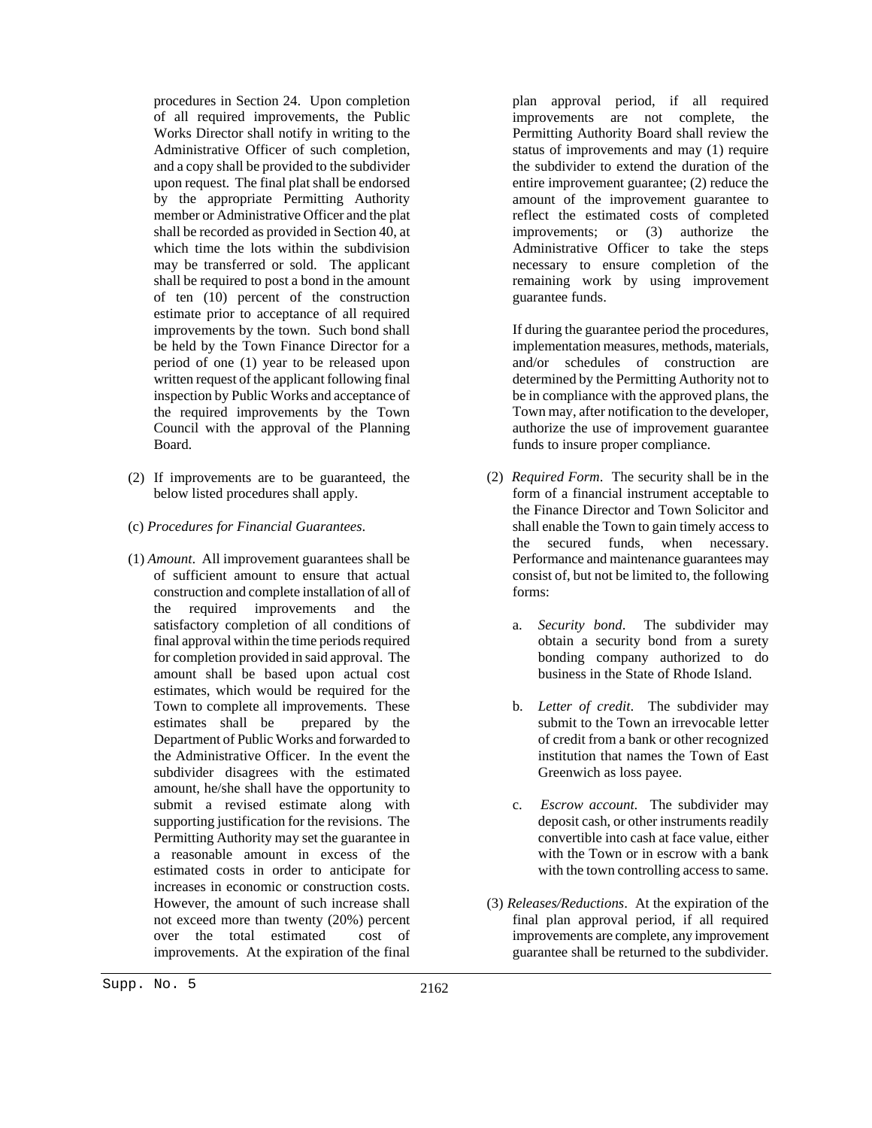procedures in Section 24. Upon completion of all required improvements, the Public Works Director shall notify in writing to the Administrative Officer of such completion, and a copy shall be provided to the subdivider upon request. The final plat shall be endorsed by the appropriate Permitting Authority member or Administrative Officer and the plat shall be recorded as provided in Section 40, at which time the lots within the subdivision may be transferred or sold. The applicant shall be required to post a bond in the amount of ten (10) percent of the construction estimate prior to acceptance of all required improvements by the town. Such bond shall be held by the Town Finance Director for a period of one (1) year to be released upon written request of the applicant following final inspection by Public Works and acceptance of the required improvements by the Town Council with the approval of the Planning Board.

- (2) If improvements are to be guaranteed, the below listed procedures shall apply.
- (c) *Procedures for Financial Guarantees*.
- (1) *Amount*. All improvement guarantees shall be of sufficient amount to ensure that actual construction and complete installation of all of the required improvements and the satisfactory completion of all conditions of final approval within the time periods required for completion provided in said approval. The amount shall be based upon actual cost estimates, which would be required for the Town to complete all improvements. These estimates shall be prepared by the Department of Public Works and forwarded to the Administrative Officer. In the event the subdivider disagrees with the estimated amount, he/she shall have the opportunity to submit a revised estimate along with supporting justification for the revisions. The Permitting Authority may set the guarantee in a reasonable amount in excess of the estimated costs in order to anticipate for increases in economic or construction costs. However, the amount of such increase shall not exceed more than twenty (20%) percent over the total estimated cost of improvements. At the expiration of the final

plan approval period, if all required improvements are not complete, the Permitting Authority Board shall review the status of improvements and may (1) require the subdivider to extend the duration of the entire improvement guarantee; (2) reduce the amount of the improvement guarantee to reflect the estimated costs of completed improvements; or (3) authorize the Administrative Officer to take the steps necessary to ensure completion of the remaining work by using improvement guarantee funds.

If during the guarantee period the procedures, implementation measures, methods, materials, and/or schedules of construction are determined by the Permitting Authority not to be in compliance with the approved plans, the Town may, after notification to the developer, authorize the use of improvement guarantee funds to insure proper compliance.

- (2) *Required Form*. The security shall be in the form of a financial instrument acceptable to the Finance Director and Town Solicitor and shall enable the Town to gain timely access to the secured funds, when necessary. Performance and maintenance guarantees may consist of, but not be limited to, the following forms:
	- a. *Security bond*. The subdivider may obtain a security bond from a surety bonding company authorized to do business in the State of Rhode Island.
	- b. *Letter of credit*. The subdivider may submit to the Town an irrevocable letter of credit from a bank or other recognized institution that names the Town of East Greenwich as loss payee.
	- c. *Escrow account*. The subdivider may deposit cash, or other instruments readily convertible into cash at face value, either with the Town or in escrow with a bank with the town controlling access to same.
- (3) *Releases/Reductions*. At the expiration of the final plan approval period, if all required improvements are complete, any improvement guarantee shall be returned to the subdivider.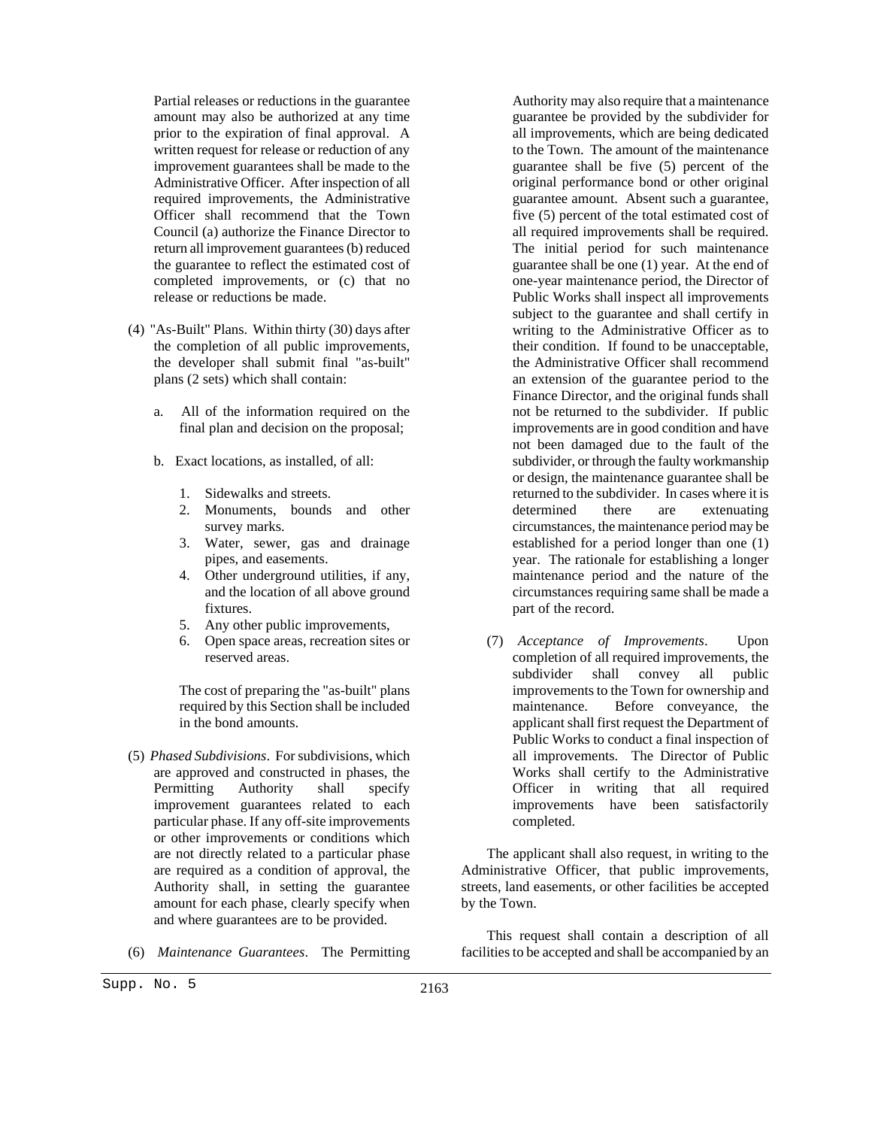Partial releases or reductions in the guarantee amount may also be authorized at any time prior to the expiration of final approval. A written request for release or reduction of any improvement guarantees shall be made to the Administrative Officer. After inspection of all required improvements, the Administrative Officer shall recommend that the Town Council (a) authorize the Finance Director to return all improvement guarantees (b) reduced the guarantee to reflect the estimated cost of completed improvements, or (c) that no release or reductions be made.

- (4) "As-Built" Plans. Within thirty (30) days after the completion of all public improvements, the developer shall submit final "as-built" plans (2 sets) which shall contain:
	- a. All of the information required on the final plan and decision on the proposal;
	- b. Exact locations, as installed, of all:
		- 1. Sidewalks and streets.
		- 2. Monuments, bounds and other survey marks.
		- 3. Water, sewer, gas and drainage pipes, and easements.
		- 4. Other underground utilities, if any, and the location of all above ground fixtures.
		- 5. Any other public improvements,
		- 6. Open space areas, recreation sites or reserved areas.

The cost of preparing the "as-built" plans required by this Section shall be included in the bond amounts.

- (5) *Phased Subdivisions*. For subdivisions, which are approved and constructed in phases, the Permitting Authority shall specify improvement guarantees related to each particular phase. If any off-site improvements or other improvements or conditions which are not directly related to a particular phase are required as a condition of approval, the Authority shall, in setting the guarantee amount for each phase, clearly specify when and where guarantees are to be provided.
- (6) *Maintenance Guarantees*. The Permitting

Authority may also require that a maintenance guarantee be provided by the subdivider for all improvements, which are being dedicated to the Town. The amount of the maintenance guarantee shall be five (5) percent of the original performance bond or other original guarantee amount. Absent such a guarantee, five (5) percent of the total estimated cost of all required improvements shall be required. The initial period for such maintenance guarantee shall be one (1) year. At the end of one-year maintenance period, the Director of Public Works shall inspect all improvements subject to the guarantee and shall certify in writing to the Administrative Officer as to their condition. If found to be unacceptable, the Administrative Officer shall recommend an extension of the guarantee period to the Finance Director, and the original funds shall not be returned to the subdivider. If public improvements are in good condition and have not been damaged due to the fault of the subdivider, or through the faulty workmanship or design, the maintenance guarantee shall be returned to the subdivider. In cases where it is determined there are extenuating circumstances, the maintenance period may be established for a period longer than one (1) year. The rationale for establishing a longer maintenance period and the nature of the circumstances requiring same shall be made a part of the record.

(7) *Acceptance of Improvements*. Upon completion of all required improvements, the subdivider shall convey all public improvements to the Town for ownership and maintenance. Before conveyance, the applicant shall first request the Department of Public Works to conduct a final inspection of all improvements. The Director of Public Works shall certify to the Administrative Officer in writing that all required improvements have been satisfactorily completed.

The applicant shall also request, in writing to the Administrative Officer, that public improvements, streets, land easements, or other facilities be accepted by the Town.

This request shall contain a description of all facilities to be accepted and shall be accompanied by an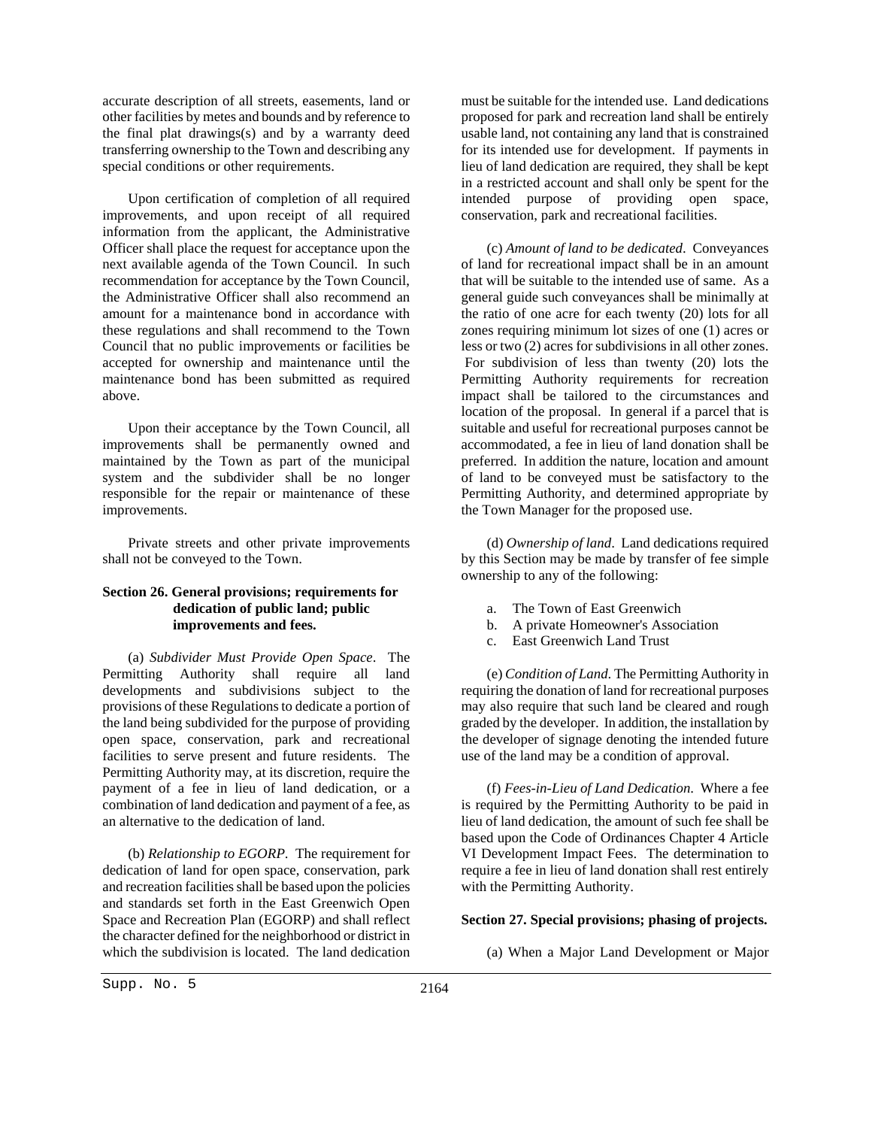accurate description of all streets, easements, land or other facilities by metes and bounds and by reference to the final plat drawings(s) and by a warranty deed transferring ownership to the Town and describing any special conditions or other requirements.

Upon certification of completion of all required improvements, and upon receipt of all required information from the applicant, the Administrative Officer shall place the request for acceptance upon the next available agenda of the Town Council. In such recommendation for acceptance by the Town Council, the Administrative Officer shall also recommend an amount for a maintenance bond in accordance with these regulations and shall recommend to the Town Council that no public improvements or facilities be accepted for ownership and maintenance until the maintenance bond has been submitted as required above.

Upon their acceptance by the Town Council, all improvements shall be permanently owned and maintained by the Town as part of the municipal system and the subdivider shall be no longer responsible for the repair or maintenance of these improvements.

Private streets and other private improvements shall not be conveyed to the Town.

#### **Section 26. General provisions; requirements for dedication of public land; public improvements and fees.**

(a) *Subdivider Must Provide Open Space*. The Permitting Authority shall require all land developments and subdivisions subject to the provisions of these Regulations to dedicate a portion of the land being subdivided for the purpose of providing open space, conservation, park and recreational facilities to serve present and future residents. The Permitting Authority may, at its discretion, require the payment of a fee in lieu of land dedication, or a combination of land dedication and payment of a fee, as an alternative to the dedication of land.

(b) *Relationship to EGORP*. The requirement for dedication of land for open space, conservation, park and recreation facilities shall be based upon the policies and standards set forth in the East Greenwich Open Space and Recreation Plan (EGORP) and shall reflect the character defined for the neighborhood or district in which the subdivision is located. The land dedication must be suitable for the intended use. Land dedications proposed for park and recreation land shall be entirely usable land, not containing any land that is constrained for its intended use for development. If payments in lieu of land dedication are required, they shall be kept in a restricted account and shall only be spent for the intended purpose of providing open space, conservation, park and recreational facilities.

(c) *Amount of land to be dedicated*. Conveyances of land for recreational impact shall be in an amount that will be suitable to the intended use of same. As a general guide such conveyances shall be minimally at the ratio of one acre for each twenty (20) lots for all zones requiring minimum lot sizes of one (1) acres or less or two (2) acres for subdivisions in all other zones. For subdivision of less than twenty (20) lots the Permitting Authority requirements for recreation impact shall be tailored to the circumstances and location of the proposal. In general if a parcel that is suitable and useful for recreational purposes cannot be accommodated, a fee in lieu of land donation shall be preferred. In addition the nature, location and amount of land to be conveyed must be satisfactory to the Permitting Authority, and determined appropriate by the Town Manager for the proposed use.

(d) *Ownership of land*. Land dedications required by this Section may be made by transfer of fee simple ownership to any of the following:

- a. The Town of East Greenwich
- b. A private Homeowner's Association
- c. East Greenwich Land Trust

(e) *Condition of Land*. The Permitting Authority in requiring the donation of land for recreational purposes may also require that such land be cleared and rough graded by the developer. In addition, the installation by the developer of signage denoting the intended future use of the land may be a condition of approval.

(f) *Fees-in-Lieu of Land Dedication*. Where a fee is required by the Permitting Authority to be paid in lieu of land dedication, the amount of such fee shall be based upon the Code of Ordinances Chapter 4 Article VI Development Impact Fees. The determination to require a fee in lieu of land donation shall rest entirely with the Permitting Authority.

#### **Section 27. Special provisions; phasing of projects.**

(a) When a Major Land Development or Major

Supp. No. 5 2164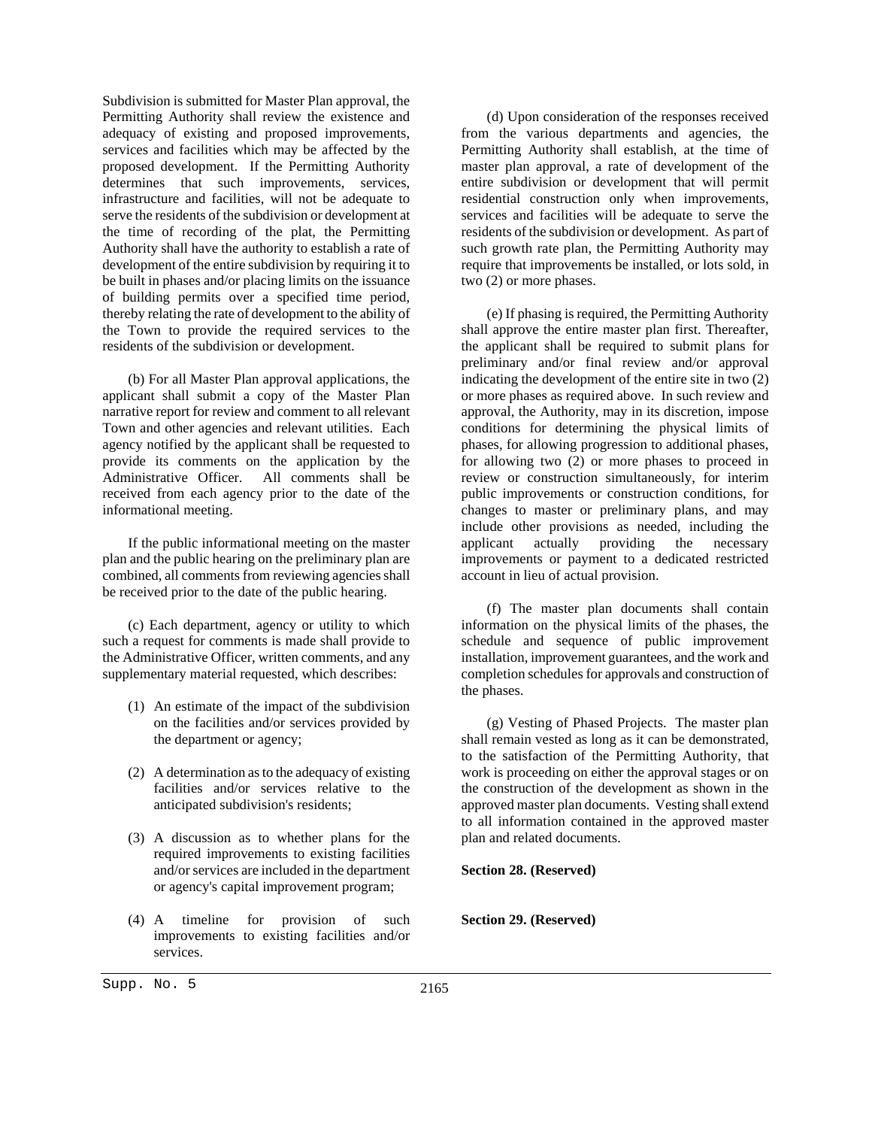Subdivision is submitted for Master Plan approval, the Permitting Authority shall review the existence and adequacy of existing and proposed improvements, services and facilities which may be affected by the proposed development. If the Permitting Authority determines that such improvements, services, infrastructure and facilities, will not be adequate to serve the residents of the subdivision or development at the time of recording of the plat, the Permitting Authority shall have the authority to establish a rate of development of the entire subdivision by requiring it to be built in phases and/or placing limits on the issuance of building permits over a specified time period, thereby relating the rate of development to the ability of the Town to provide the required services to the residents of the subdivision or development.

(b) For all Master Plan approval applications, the applicant shall submit a copy of the Master Plan narrative report for review and comment to all relevant Town and other agencies and relevant utilities. Each agency notified by the applicant shall be requested to provide its comments on the application by the Administrative Officer. All comments shall be received from each agency prior to the date of the informational meeting.

If the public informational meeting on the master plan and the public hearing on the preliminary plan are combined, all comments from reviewing agencies shall be received prior to the date of the public hearing.

(c) Each department, agency or utility to which such a request for comments is made shall provide to the Administrative Officer, written comments, and any supplementary material requested, which describes:

- (1) An estimate of the impact of the subdivision on the facilities and/or services provided by the department or agency;
- (2) A determination as to the adequacy of existing facilities and/or services relative to the anticipated subdivision's residents;
- (3) A discussion as to whether plans for the required improvements to existing facilities and/or services are included in the department or agency's capital improvement program;
- (4) A timeline for provision of such improvements to existing facilities and/or services.

(d) Upon consideration of the responses received from the various departments and agencies, the Permitting Authority shall establish, at the time of master plan approval, a rate of development of the entire subdivision or development that will permit residential construction only when improvements, services and facilities will be adequate to serve the residents of the subdivision or development. As part of such growth rate plan, the Permitting Authority may require that improvements be installed, or lots sold, in two (2) or more phases.

(e) If phasing is required, the Permitting Authority shall approve the entire master plan first. Thereafter, the applicant shall be required to submit plans for preliminary and/or final review and/or approval indicating the development of the entire site in two (2) or more phases as required above. In such review and approval, the Authority, may in its discretion, impose conditions for determining the physical limits of phases, for allowing progression to additional phases, for allowing two (2) or more phases to proceed in review or construction simultaneously, for interim public improvements or construction conditions, for changes to master or preliminary plans, and may include other provisions as needed, including the applicant actually providing the necessary improvements or payment to a dedicated restricted account in lieu of actual provision.

(f) The master plan documents shall contain information on the physical limits of the phases, the schedule and sequence of public improvement installation, improvement guarantees, and the work and completion schedules for approvals and construction of the phases.

(g) Vesting of Phased Projects. The master plan shall remain vested as long as it can be demonstrated, to the satisfaction of the Permitting Authority, that work is proceeding on either the approval stages or on the construction of the development as shown in the approved master plan documents. Vesting shall extend to all information contained in the approved master plan and related documents.

#### **Section 28. (Reserved)**

**Section 29. (Reserved)**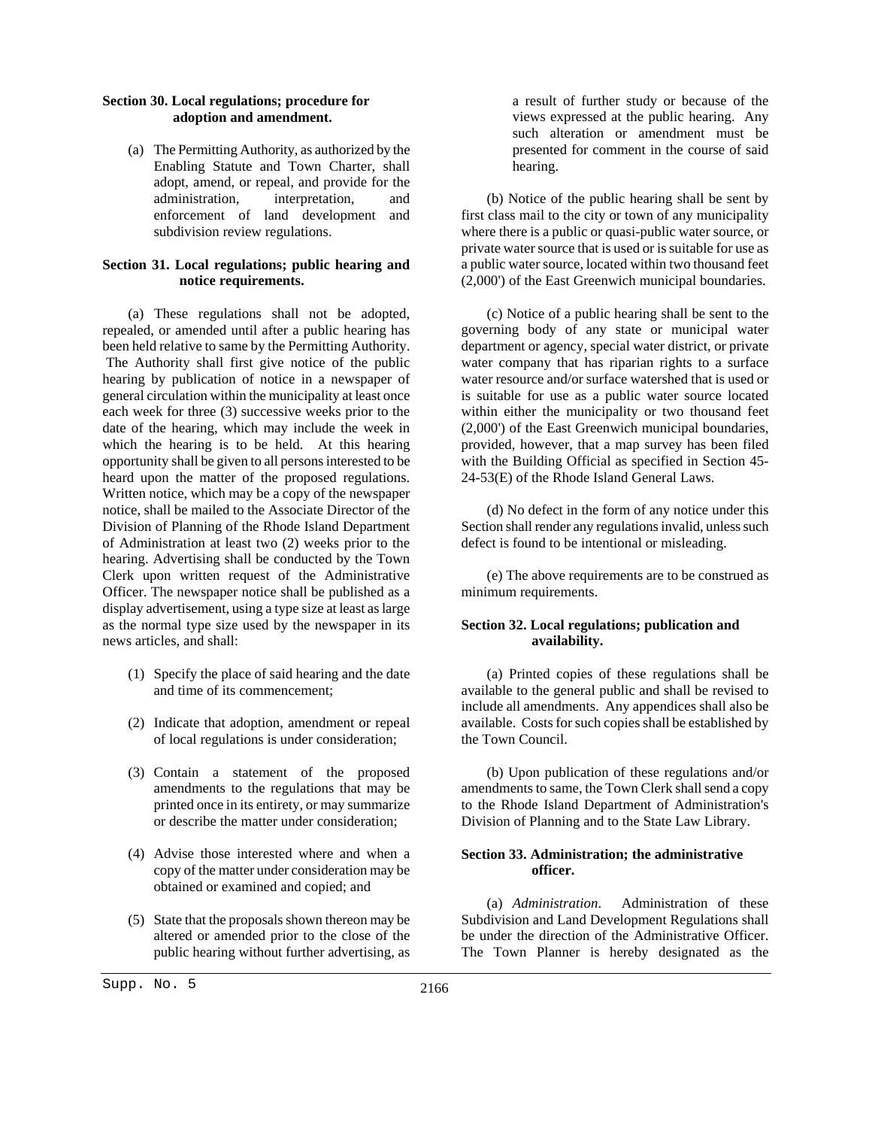#### **Section 30. Local regulations; procedure for adoption and amendment.**

(a) The Permitting Authority, as authorized by the Enabling Statute and Town Charter, shall adopt, amend, or repeal, and provide for the administration, interpretation, and enforcement of land development and subdivision review regulations.

# **Section 31. Local regulations; public hearing and notice requirements.**

(a) These regulations shall not be adopted, repealed, or amended until after a public hearing has been held relative to same by the Permitting Authority. The Authority shall first give notice of the public hearing by publication of notice in a newspaper of general circulation within the municipality at least once each week for three (3) successive weeks prior to the date of the hearing, which may include the week in which the hearing is to be held. At this hearing opportunity shall be given to all persons interested to be heard upon the matter of the proposed regulations. Written notice, which may be a copy of the newspaper notice, shall be mailed to the Associate Director of the Division of Planning of the Rhode Island Department of Administration at least two (2) weeks prior to the hearing. Advertising shall be conducted by the Town Clerk upon written request of the Administrative Officer. The newspaper notice shall be published as a display advertisement, using a type size at least as large as the normal type size used by the newspaper in its news articles, and shall:

- (1) Specify the place of said hearing and the date and time of its commencement;
- (2) Indicate that adoption, amendment or repeal of local regulations is under consideration;
- (3) Contain a statement of the proposed amendments to the regulations that may be printed once in its entirety, or may summarize or describe the matter under consideration;
- (4) Advise those interested where and when a copy of the matter under consideration may be obtained or examined and copied; and
- (5) State that the proposals shown thereon may be altered or amended prior to the close of the public hearing without further advertising, as

a result of further study or because of the views expressed at the public hearing. Any such alteration or amendment must be presented for comment in the course of said hearing.

(b) Notice of the public hearing shall be sent by first class mail to the city or town of any municipality where there is a public or quasi-public water source, or private water source that is used or is suitable for use as a public water source, located within two thousand feet (2,000') of the East Greenwich municipal boundaries.

(c) Notice of a public hearing shall be sent to the governing body of any state or municipal water department or agency, special water district, or private water company that has riparian rights to a surface water resource and/or surface watershed that is used or is suitable for use as a public water source located within either the municipality or two thousand feet (2,000') of the East Greenwich municipal boundaries, provided, however, that a map survey has been filed with the Building Official as specified in Section 45- 24-53(E) of the Rhode Island General Laws.

(d) No defect in the form of any notice under this Section shall render any regulations invalid, unless such defect is found to be intentional or misleading.

(e) The above requirements are to be construed as minimum requirements.

# **Section 32. Local regulations; publication and availability.**

(a) Printed copies of these regulations shall be available to the general public and shall be revised to include all amendments. Any appendices shall also be available. Costs for such copies shall be established by the Town Council.

(b) Upon publication of these regulations and/or amendments to same, the Town Clerk shall send a copy to the Rhode Island Department of Administration's Division of Planning and to the State Law Library.

# **Section 33. Administration; the administrative officer.**

(a) *Administration*. Administration of these Subdivision and Land Development Regulations shall be under the direction of the Administrative Officer. The Town Planner is hereby designated as the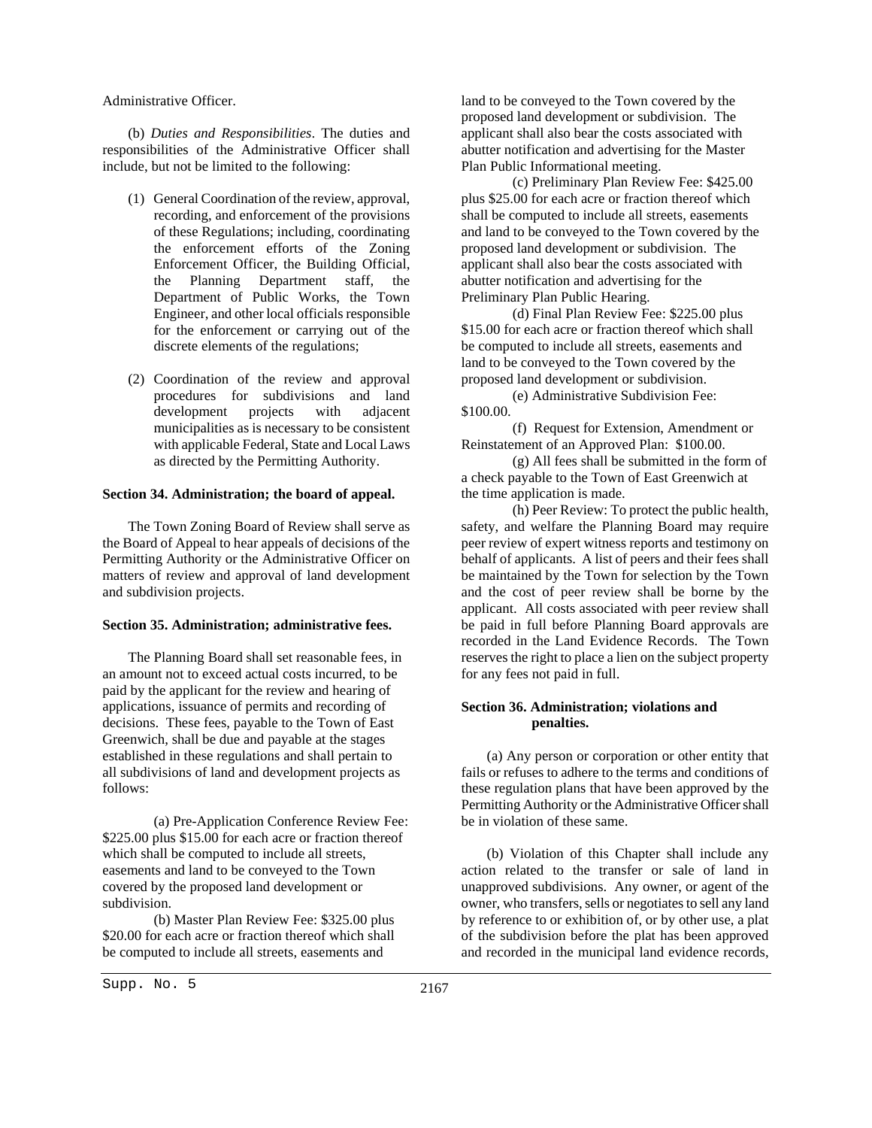#### Administrative Officer.

(b) *Duties and Responsibilities*. The duties and responsibilities of the Administrative Officer shall include, but not be limited to the following:

- (1) General Coordination of the review, approval, recording, and enforcement of the provisions of these Regulations; including, coordinating the enforcement efforts of the Zoning Enforcement Officer, the Building Official, the Planning Department staff, the Department of Public Works, the Town Engineer, and other local officials responsible for the enforcement or carrying out of the discrete elements of the regulations;
- (2) Coordination of the review and approval procedures for subdivisions and land development projects with adjacent municipalities as is necessary to be consistent with applicable Federal, State and Local Laws as directed by the Permitting Authority.

#### **Section 34. Administration; the board of appeal.**

The Town Zoning Board of Review shall serve as the Board of Appeal to hear appeals of decisions of the Permitting Authority or the Administrative Officer on matters of review and approval of land development and subdivision projects.

#### **Section 35. Administration; administrative fees.**

The Planning Board shall set reasonable fees, in an amount not to exceed actual costs incurred, to be paid by the applicant for the review and hearing of applications, issuance of permits and recording of decisions. These fees, payable to the Town of East Greenwich, shall be due and payable at the stages established in these regulations and shall pertain to all subdivisions of land and development projects as follows:

 (a) Pre-Application Conference Review Fee: \$225.00 plus \$15.00 for each acre or fraction thereof which shall be computed to include all streets, easements and land to be conveyed to the Town covered by the proposed land development or subdivision.

 (b) Master Plan Review Fee: \$325.00 plus \$20.00 for each acre or fraction thereof which shall be computed to include all streets, easements and

land to be conveyed to the Town covered by the proposed land development or subdivision. The applicant shall also bear the costs associated with abutter notification and advertising for the Master Plan Public Informational meeting.

 (c) Preliminary Plan Review Fee: \$425.00 plus \$25.00 for each acre or fraction thereof which shall be computed to include all streets, easements and land to be conveyed to the Town covered by the proposed land development or subdivision. The applicant shall also bear the costs associated with abutter notification and advertising for the Preliminary Plan Public Hearing.

 (d) Final Plan Review Fee: \$225.00 plus \$15.00 for each acre or fraction thereof which shall be computed to include all streets, easements and land to be conveyed to the Town covered by the proposed land development or subdivision.

 (e) Administrative Subdivision Fee: \$100.00.

 (f) Request for Extension, Amendment or Reinstatement of an Approved Plan: \$100.00.

 (g) All fees shall be submitted in the form of a check payable to the Town of East Greenwich at the time application is made.

 (h) Peer Review: To protect the public health, safety, and welfare the Planning Board may require peer review of expert witness reports and testimony on behalf of applicants. A list of peers and their fees shall be maintained by the Town for selection by the Town and the cost of peer review shall be borne by the applicant. All costs associated with peer review shall be paid in full before Planning Board approvals are recorded in the Land Evidence Records. The Town reserves the right to place a lien on the subject property for any fees not paid in full.

### **Section 36. Administration; violations and penalties.**

(a) Any person or corporation or other entity that fails or refuses to adhere to the terms and conditions of these regulation plans that have been approved by the Permitting Authority or the Administrative Officer shall be in violation of these same.

(b) Violation of this Chapter shall include any action related to the transfer or sale of land in unapproved subdivisions. Any owner, or agent of the owner, who transfers, sells or negotiates to sell any land by reference to or exhibition of, or by other use, a plat of the subdivision before the plat has been approved and recorded in the municipal land evidence records,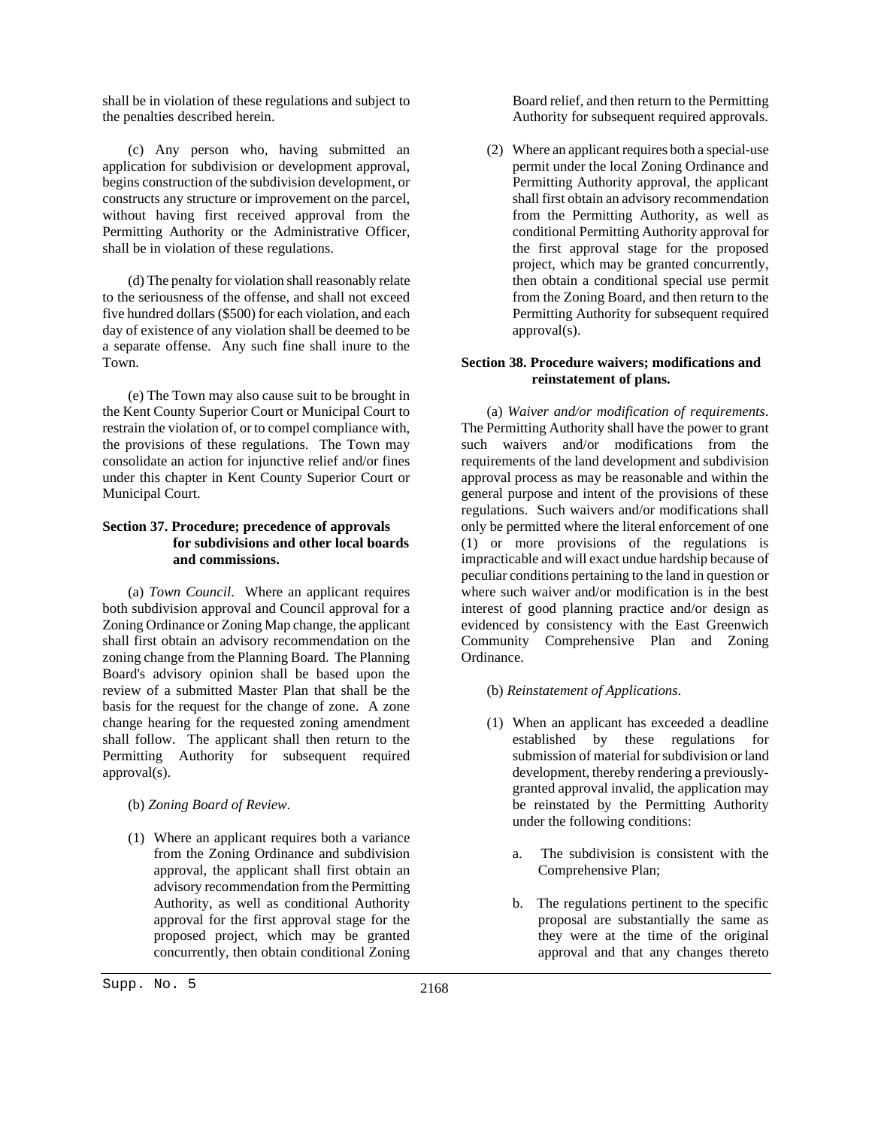shall be in violation of these regulations and subject to the penalties described herein.

(c) Any person who, having submitted an application for subdivision or development approval, begins construction of the subdivision development, or constructs any structure or improvement on the parcel, without having first received approval from the Permitting Authority or the Administrative Officer, shall be in violation of these regulations.

(d) The penalty for violation shall reasonably relate to the seriousness of the offense, and shall not exceed five hundred dollars (\$500) for each violation, and each day of existence of any violation shall be deemed to be a separate offense. Any such fine shall inure to the Town.

(e) The Town may also cause suit to be brought in the Kent County Superior Court or Municipal Court to restrain the violation of, or to compel compliance with, the provisions of these regulations. The Town may consolidate an action for injunctive relief and/or fines under this chapter in Kent County Superior Court or Municipal Court.

# **Section 37. Procedure; precedence of approvals for subdivisions and other local boards and commissions.**

(a) *Town Council*. Where an applicant requires both subdivision approval and Council approval for a Zoning Ordinance or Zoning Map change, the applicant shall first obtain an advisory recommendation on the zoning change from the Planning Board. The Planning Board's advisory opinion shall be based upon the review of a submitted Master Plan that shall be the basis for the request for the change of zone. A zone change hearing for the requested zoning amendment shall follow. The applicant shall then return to the Permitting Authority for subsequent required approval(s).

(b) *Zoning Board of Review*.

(1) Where an applicant requires both a variance from the Zoning Ordinance and subdivision approval, the applicant shall first obtain an advisory recommendation from the Permitting Authority, as well as conditional Authority approval for the first approval stage for the proposed project, which may be granted concurrently, then obtain conditional Zoning

Board relief, and then return to the Permitting Authority for subsequent required approvals.

(2) Where an applicant requires both a special-use permit under the local Zoning Ordinance and Permitting Authority approval, the applicant shall first obtain an advisory recommendation from the Permitting Authority, as well as conditional Permitting Authority approval for the first approval stage for the proposed project, which may be granted concurrently, then obtain a conditional special use permit from the Zoning Board, and then return to the Permitting Authority for subsequent required approval(s).

# **Section 38. Procedure waivers; modifications and reinstatement of plans.**

(a) *Waiver and/or modification of requirements*. The Permitting Authority shall have the power to grant such waivers and/or modifications from the requirements of the land development and subdivision approval process as may be reasonable and within the general purpose and intent of the provisions of these regulations. Such waivers and/or modifications shall only be permitted where the literal enforcement of one (1) or more provisions of the regulations is impracticable and will exact undue hardship because of peculiar conditions pertaining to the land in question or where such waiver and/or modification is in the best interest of good planning practice and/or design as evidenced by consistency with the East Greenwich Community Comprehensive Plan and Zoning Ordinance.

# (b) *Reinstatement of Applications*.

- (1) When an applicant has exceeded a deadline established by these regulations for submission of material for subdivision or land development, thereby rendering a previouslygranted approval invalid, the application may be reinstated by the Permitting Authority under the following conditions:
	- a. The subdivision is consistent with the Comprehensive Plan;
	- b. The regulations pertinent to the specific proposal are substantially the same as they were at the time of the original approval and that any changes thereto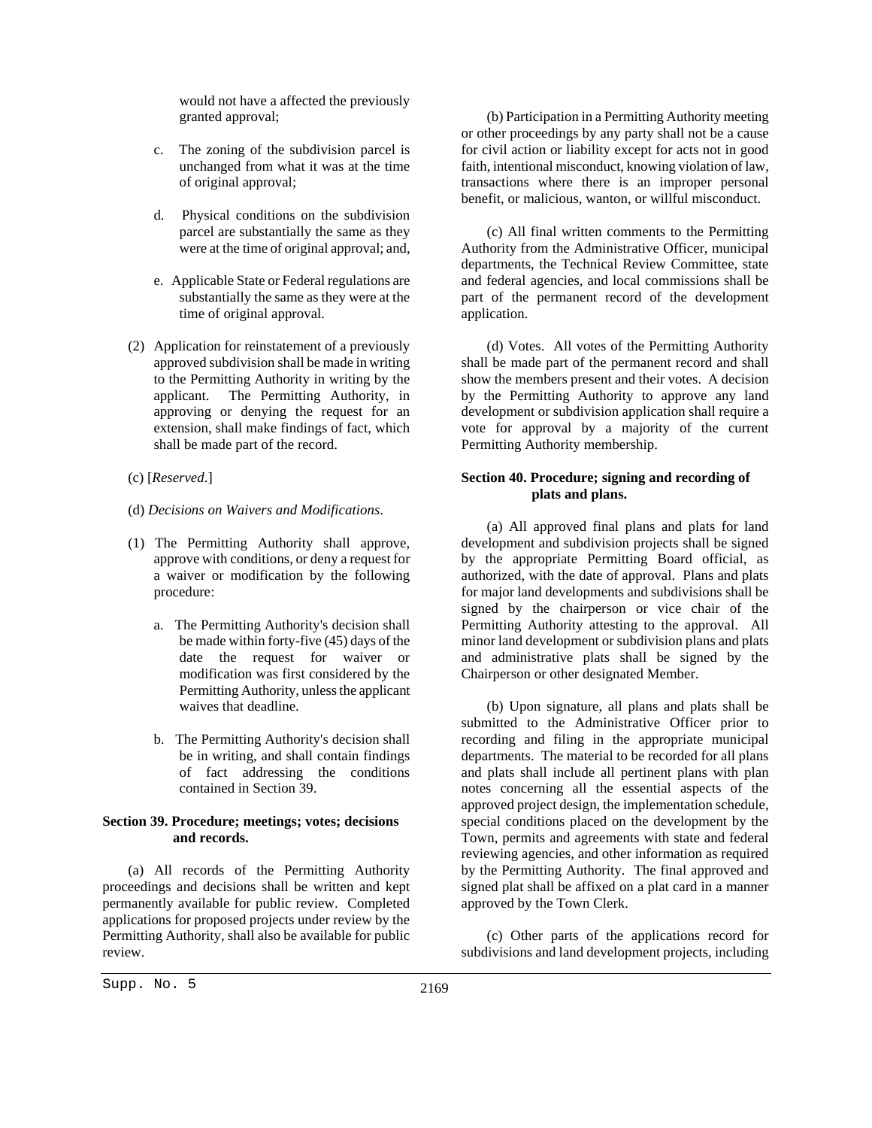would not have a affected the previously granted approval;

- c. The zoning of the subdivision parcel is unchanged from what it was at the time of original approval;
- d. Physical conditions on the subdivision parcel are substantially the same as they were at the time of original approval; and,
- e. Applicable State or Federal regulations are substantially the same as they were at the time of original approval.
- (2) Application for reinstatement of a previously approved subdivision shall be made in writing to the Permitting Authority in writing by the applicant. The Permitting Authority, in approving or denying the request for an extension, shall make findings of fact, which shall be made part of the record.
- (c) [*Reserved*.]
- (d) *Decisions on Waivers and Modifications*.
- (1) The Permitting Authority shall approve, approve with conditions, or deny a request for a waiver or modification by the following procedure:
	- a. The Permitting Authority's decision shall be made within forty-five (45) days of the date the request for waiver or modification was first considered by the Permitting Authority, unless the applicant waives that deadline.
	- b. The Permitting Authority's decision shall be in writing, and shall contain findings of fact addressing the conditions contained in Section 39.

# **Section 39. Procedure; meetings; votes; decisions and records.**

(a) All records of the Permitting Authority proceedings and decisions shall be written and kept permanently available for public review. Completed applications for proposed projects under review by the Permitting Authority, shall also be available for public review.

(b) Participation in a Permitting Authority meeting or other proceedings by any party shall not be a cause for civil action or liability except for acts not in good faith, intentional misconduct, knowing violation of law, transactions where there is an improper personal benefit, or malicious, wanton, or willful misconduct.

(c) All final written comments to the Permitting Authority from the Administrative Officer, municipal departments, the Technical Review Committee, state and federal agencies, and local commissions shall be part of the permanent record of the development application.

(d) Votes. All votes of the Permitting Authority shall be made part of the permanent record and shall show the members present and their votes. A decision by the Permitting Authority to approve any land development or subdivision application shall require a vote for approval by a majority of the current Permitting Authority membership.

# **Section 40. Procedure; signing and recording of plats and plans.**

(a) All approved final plans and plats for land development and subdivision projects shall be signed by the appropriate Permitting Board official, as authorized, with the date of approval. Plans and plats for major land developments and subdivisions shall be signed by the chairperson or vice chair of the Permitting Authority attesting to the approval. All minor land development or subdivision plans and plats and administrative plats shall be signed by the Chairperson or other designated Member.

(b) Upon signature, all plans and plats shall be submitted to the Administrative Officer prior to recording and filing in the appropriate municipal departments. The material to be recorded for all plans and plats shall include all pertinent plans with plan notes concerning all the essential aspects of the approved project design, the implementation schedule, special conditions placed on the development by the Town, permits and agreements with state and federal reviewing agencies, and other information as required by the Permitting Authority. The final approved and signed plat shall be affixed on a plat card in a manner approved by the Town Clerk.

(c) Other parts of the applications record for subdivisions and land development projects, including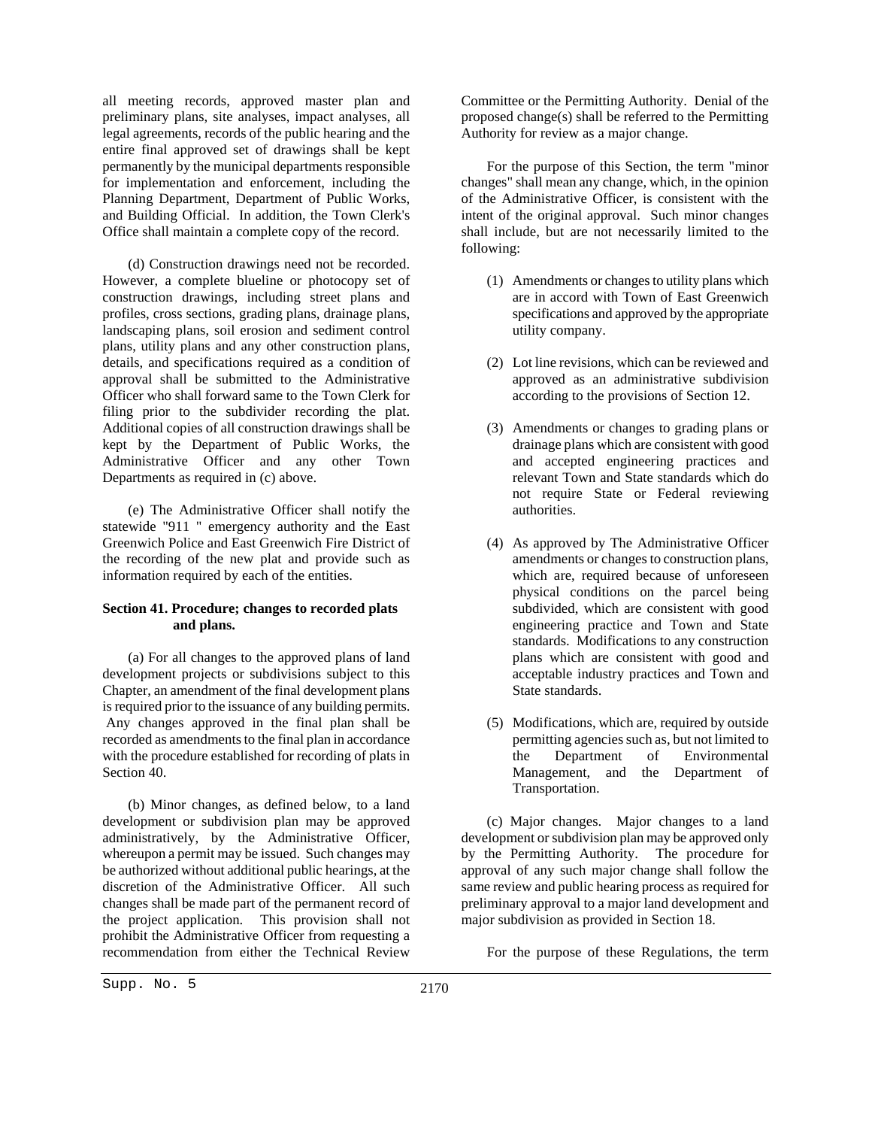all meeting records, approved master plan and preliminary plans, site analyses, impact analyses, all legal agreements, records of the public hearing and the entire final approved set of drawings shall be kept permanently by the municipal departments responsible for implementation and enforcement, including the Planning Department, Department of Public Works, and Building Official. In addition, the Town Clerk's Office shall maintain a complete copy of the record.

(d) Construction drawings need not be recorded. However, a complete blueline or photocopy set of construction drawings, including street plans and profiles, cross sections, grading plans, drainage plans, landscaping plans, soil erosion and sediment control plans, utility plans and any other construction plans, details, and specifications required as a condition of approval shall be submitted to the Administrative Officer who shall forward same to the Town Clerk for filing prior to the subdivider recording the plat. Additional copies of all construction drawings shall be kept by the Department of Public Works, the Administrative Officer and any other Town Departments as required in (c) above.

(e) The Administrative Officer shall notify the statewide "911 " emergency authority and the East Greenwich Police and East Greenwich Fire District of the recording of the new plat and provide such as information required by each of the entities.

# **Section 41. Procedure; changes to recorded plats and plans.**

(a) For all changes to the approved plans of land development projects or subdivisions subject to this Chapter, an amendment of the final development plans is required prior to the issuance of any building permits. Any changes approved in the final plan shall be recorded as amendments to the final plan in accordance with the procedure established for recording of plats in Section 40.

(b) Minor changes, as defined below, to a land development or subdivision plan may be approved administratively, by the Administrative Officer, whereupon a permit may be issued. Such changes may be authorized without additional public hearings, at the discretion of the Administrative Officer. All such changes shall be made part of the permanent record of the project application. This provision shall not prohibit the Administrative Officer from requesting a recommendation from either the Technical Review

Committee or the Permitting Authority. Denial of the proposed change(s) shall be referred to the Permitting Authority for review as a major change.

For the purpose of this Section, the term "minor changes" shall mean any change, which, in the opinion of the Administrative Officer, is consistent with the intent of the original approval. Such minor changes shall include, but are not necessarily limited to the following:

- (1) Amendments or changes to utility plans which are in accord with Town of East Greenwich specifications and approved by the appropriate utility company.
- (2) Lot line revisions, which can be reviewed and approved as an administrative subdivision according to the provisions of Section 12.
- (3) Amendments or changes to grading plans or drainage plans which are consistent with good and accepted engineering practices and relevant Town and State standards which do not require State or Federal reviewing authorities.
- (4) As approved by The Administrative Officer amendments or changes to construction plans, which are, required because of unforeseen physical conditions on the parcel being subdivided, which are consistent with good engineering practice and Town and State standards. Modifications to any construction plans which are consistent with good and acceptable industry practices and Town and State standards.
- (5) Modifications, which are, required by outside permitting agencies such as, but not limited to the Department of Environmental Management, and the Department of Transportation.

(c) Major changes. Major changes to a land development or subdivision plan may be approved only by the Permitting Authority. The procedure for approval of any such major change shall follow the same review and public hearing process as required for preliminary approval to a major land development and major subdivision as provided in Section 18.

For the purpose of these Regulations, the term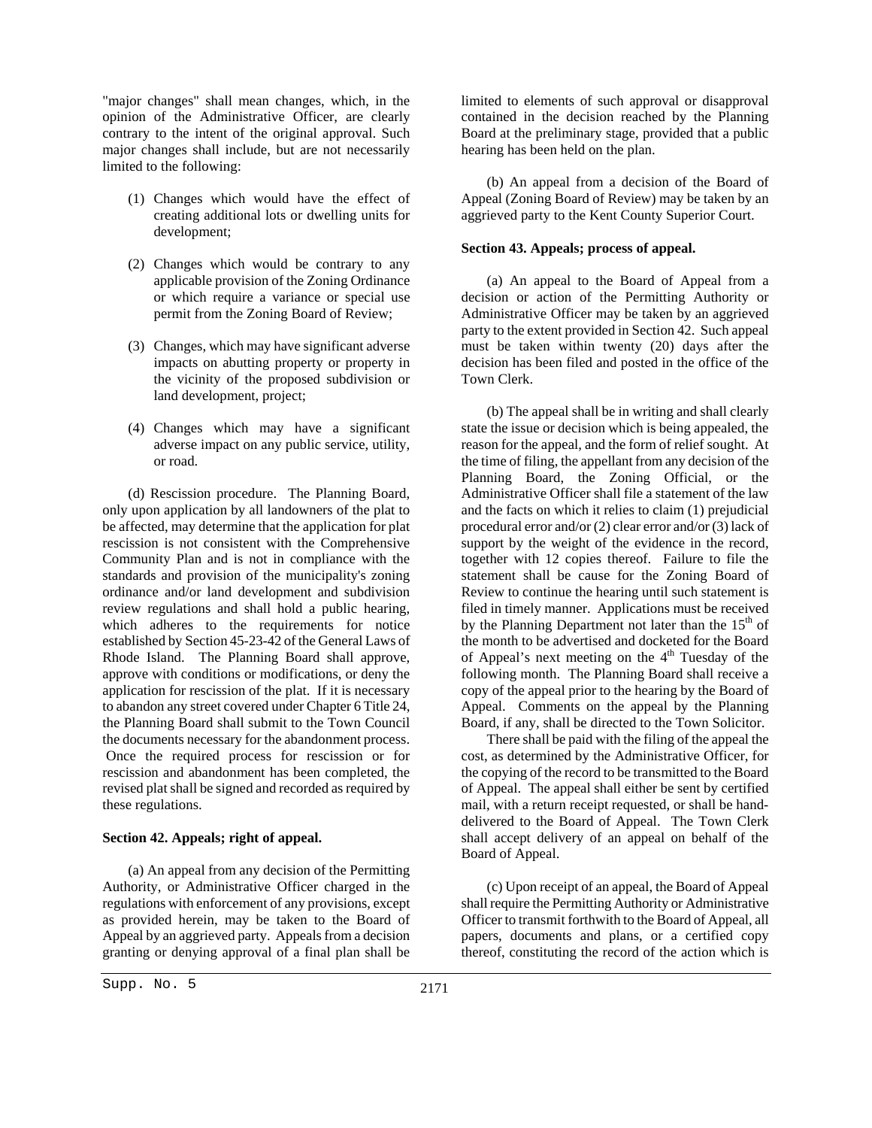"major changes" shall mean changes, which, in the opinion of the Administrative Officer, are clearly contrary to the intent of the original approval. Such major changes shall include, but are not necessarily limited to the following:

- (1) Changes which would have the effect of creating additional lots or dwelling units for development;
- (2) Changes which would be contrary to any applicable provision of the Zoning Ordinance or which require a variance or special use permit from the Zoning Board of Review;
- (3) Changes, which may have significant adverse impacts on abutting property or property in the vicinity of the proposed subdivision or land development, project;
- (4) Changes which may have a significant adverse impact on any public service, utility, or road.

(d) Rescission procedure. The Planning Board, only upon application by all landowners of the plat to be affected, may determine that the application for plat rescission is not consistent with the Comprehensive Community Plan and is not in compliance with the standards and provision of the municipality's zoning ordinance and/or land development and subdivision review regulations and shall hold a public hearing, which adheres to the requirements for notice established by Section 45-23-42 of the General Laws of Rhode Island. The Planning Board shall approve, approve with conditions or modifications, or deny the application for rescission of the plat. If it is necessary to abandon any street covered under Chapter 6 Title 24, the Planning Board shall submit to the Town Council the documents necessary for the abandonment process. Once the required process for rescission or for rescission and abandonment has been completed, the revised plat shall be signed and recorded as required by these regulations.

#### **Section 42. Appeals; right of appeal.**

(a) An appeal from any decision of the Permitting Authority, or Administrative Officer charged in the regulations with enforcement of any provisions, except as provided herein, may be taken to the Board of Appeal by an aggrieved party. Appeals from a decision granting or denying approval of a final plan shall be

limited to elements of such approval or disapproval contained in the decision reached by the Planning Board at the preliminary stage, provided that a public hearing has been held on the plan.

(b) An appeal from a decision of the Board of Appeal (Zoning Board of Review) may be taken by an aggrieved party to the Kent County Superior Court.

#### **Section 43. Appeals; process of appeal.**

(a) An appeal to the Board of Appeal from a decision or action of the Permitting Authority or Administrative Officer may be taken by an aggrieved party to the extent provided in Section 42. Such appeal must be taken within twenty (20) days after the decision has been filed and posted in the office of the Town Clerk.

(b) The appeal shall be in writing and shall clearly state the issue or decision which is being appealed, the reason for the appeal, and the form of relief sought. At the time of filing, the appellant from any decision of the Planning Board, the Zoning Official, or the Administrative Officer shall file a statement of the law and the facts on which it relies to claim (1) prejudicial procedural error and/or (2) clear error and/or (3) lack of support by the weight of the evidence in the record, together with 12 copies thereof. Failure to file the statement shall be cause for the Zoning Board of Review to continue the hearing until such statement is filed in timely manner. Applications must be received by the Planning Department not later than the  $15<sup>th</sup>$  of the month to be advertised and docketed for the Board of Appeal's next meeting on the  $4<sup>th</sup>$  Tuesday of the following month. The Planning Board shall receive a copy of the appeal prior to the hearing by the Board of Appeal. Comments on the appeal by the Planning Board, if any, shall be directed to the Town Solicitor.

There shall be paid with the filing of the appeal the cost, as determined by the Administrative Officer, for the copying of the record to be transmitted to the Board of Appeal. The appeal shall either be sent by certified mail, with a return receipt requested, or shall be handdelivered to the Board of Appeal. The Town Clerk shall accept delivery of an appeal on behalf of the Board of Appeal.

(c) Upon receipt of an appeal, the Board of Appeal shall require the Permitting Authority or Administrative Officer to transmit forthwith to the Board of Appeal, all papers, documents and plans, or a certified copy thereof, constituting the record of the action which is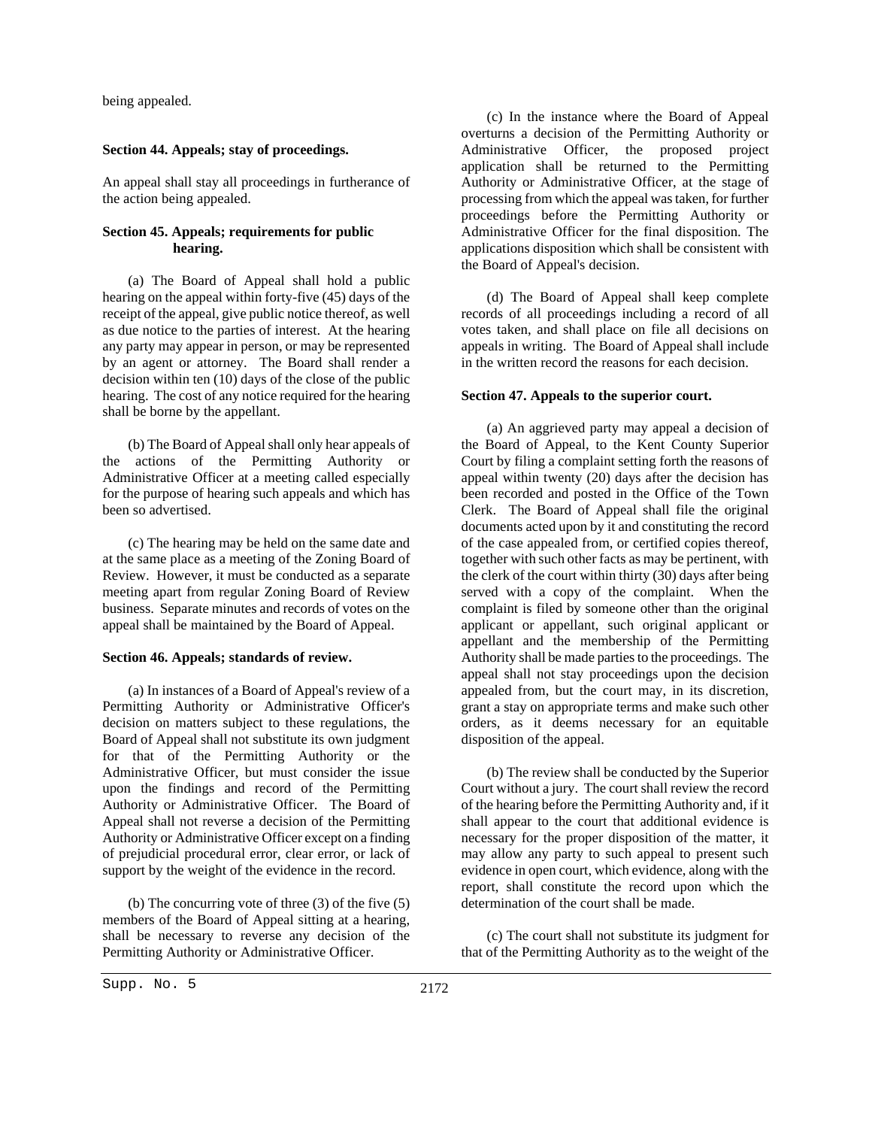being appealed.

#### **Section 44. Appeals; stay of proceedings.**

An appeal shall stay all proceedings in furtherance of the action being appealed.

#### **Section 45. Appeals; requirements for public hearing.**

(a) The Board of Appeal shall hold a public hearing on the appeal within forty-five (45) days of the receipt of the appeal, give public notice thereof, as well as due notice to the parties of interest. At the hearing any party may appear in person, or may be represented by an agent or attorney. The Board shall render a decision within ten (10) days of the close of the public hearing. The cost of any notice required for the hearing shall be borne by the appellant.

(b) The Board of Appeal shall only hear appeals of the actions of the Permitting Authority or Administrative Officer at a meeting called especially for the purpose of hearing such appeals and which has been so advertised.

(c) The hearing may be held on the same date and at the same place as a meeting of the Zoning Board of Review. However, it must be conducted as a separate meeting apart from regular Zoning Board of Review business. Separate minutes and records of votes on the appeal shall be maintained by the Board of Appeal.

## **Section 46. Appeals; standards of review.**

(a) In instances of a Board of Appeal's review of a Permitting Authority or Administrative Officer's decision on matters subject to these regulations, the Board of Appeal shall not substitute its own judgment for that of the Permitting Authority or the Administrative Officer, but must consider the issue upon the findings and record of the Permitting Authority or Administrative Officer. The Board of Appeal shall not reverse a decision of the Permitting Authority or Administrative Officer except on a finding of prejudicial procedural error, clear error, or lack of support by the weight of the evidence in the record.

(b) The concurring vote of three (3) of the five (5) members of the Board of Appeal sitting at a hearing, shall be necessary to reverse any decision of the Permitting Authority or Administrative Officer.

(c) In the instance where the Board of Appeal overturns a decision of the Permitting Authority or Administrative Officer, the proposed project application shall be returned to the Permitting Authority or Administrative Officer, at the stage of processing from which the appeal was taken, for further proceedings before the Permitting Authority or Administrative Officer for the final disposition. The applications disposition which shall be consistent with the Board of Appeal's decision.

(d) The Board of Appeal shall keep complete records of all proceedings including a record of all votes taken, and shall place on file all decisions on appeals in writing. The Board of Appeal shall include in the written record the reasons for each decision.

#### **Section 47. Appeals to the superior court.**

(a) An aggrieved party may appeal a decision of the Board of Appeal, to the Kent County Superior Court by filing a complaint setting forth the reasons of appeal within twenty (20) days after the decision has been recorded and posted in the Office of the Town Clerk. The Board of Appeal shall file the original documents acted upon by it and constituting the record of the case appealed from, or certified copies thereof, together with such other facts as may be pertinent, with the clerk of the court within thirty (30) days after being served with a copy of the complaint. When the complaint is filed by someone other than the original applicant or appellant, such original applicant or appellant and the membership of the Permitting Authority shall be made parties to the proceedings. The appeal shall not stay proceedings upon the decision appealed from, but the court may, in its discretion, grant a stay on appropriate terms and make such other orders, as it deems necessary for an equitable disposition of the appeal.

(b) The review shall be conducted by the Superior Court without a jury. The court shall review the record of the hearing before the Permitting Authority and, if it shall appear to the court that additional evidence is necessary for the proper disposition of the matter, it may allow any party to such appeal to present such evidence in open court, which evidence, along with the report, shall constitute the record upon which the determination of the court shall be made.

(c) The court shall not substitute its judgment for that of the Permitting Authority as to the weight of the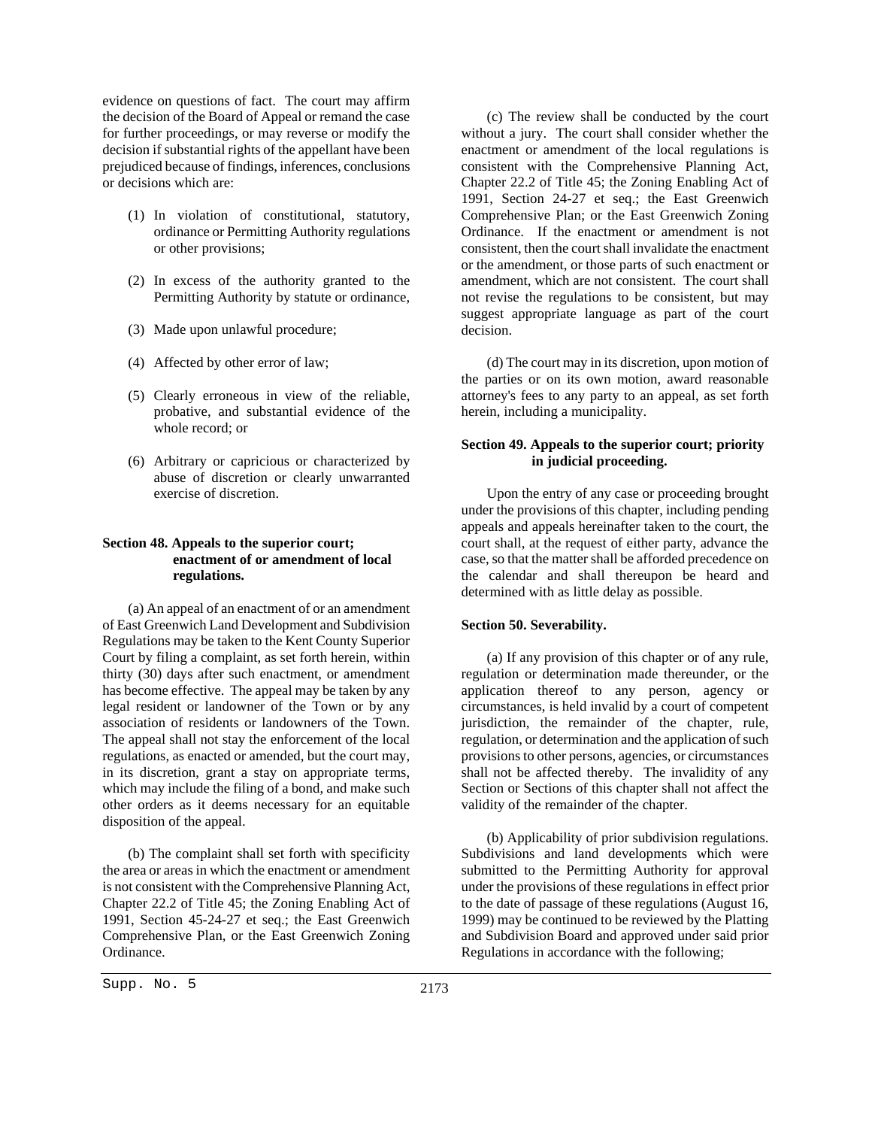evidence on questions of fact. The court may affirm the decision of the Board of Appeal or remand the case for further proceedings, or may reverse or modify the decision if substantial rights of the appellant have been prejudiced because of findings, inferences, conclusions or decisions which are:

- (1) In violation of constitutional, statutory, ordinance or Permitting Authority regulations or other provisions;
- (2) In excess of the authority granted to the Permitting Authority by statute or ordinance,
- (3) Made upon unlawful procedure;
- (4) Affected by other error of law;
- (5) Clearly erroneous in view of the reliable, probative, and substantial evidence of the whole record; or
- (6) Arbitrary or capricious or characterized by abuse of discretion or clearly unwarranted exercise of discretion.

### **Section 48. Appeals to the superior court; enactment of or amendment of local regulations.**

(a) An appeal of an enactment of or an amendment of East Greenwich Land Development and Subdivision Regulations may be taken to the Kent County Superior Court by filing a complaint, as set forth herein, within thirty (30) days after such enactment, or amendment has become effective. The appeal may be taken by any legal resident or landowner of the Town or by any association of residents or landowners of the Town. The appeal shall not stay the enforcement of the local regulations, as enacted or amended, but the court may, in its discretion, grant a stay on appropriate terms, which may include the filing of a bond, and make such other orders as it deems necessary for an equitable disposition of the appeal.

(b) The complaint shall set forth with specificity the area or areas in which the enactment or amendment is not consistent with the Comprehensive Planning Act, Chapter 22.2 of Title 45; the Zoning Enabling Act of 1991, Section 45-24-27 et seq.; the East Greenwich Comprehensive Plan, or the East Greenwich Zoning Ordinance.

(c) The review shall be conducted by the court without a jury. The court shall consider whether the enactment or amendment of the local regulations is consistent with the Comprehensive Planning Act, Chapter 22.2 of Title 45; the Zoning Enabling Act of 1991, Section 24-27 et seq.; the East Greenwich Comprehensive Plan; or the East Greenwich Zoning Ordinance. If the enactment or amendment is not consistent, then the court shall invalidate the enactment or the amendment, or those parts of such enactment or amendment, which are not consistent. The court shall not revise the regulations to be consistent, but may suggest appropriate language as part of the court decision.

(d) The court may in its discretion, upon motion of the parties or on its own motion, award reasonable attorney's fees to any party to an appeal, as set forth herein, including a municipality.

# **Section 49. Appeals to the superior court; priority in judicial proceeding.**

Upon the entry of any case or proceeding brought under the provisions of this chapter, including pending appeals and appeals hereinafter taken to the court, the court shall, at the request of either party, advance the case, so that the matter shall be afforded precedence on the calendar and shall thereupon be heard and determined with as little delay as possible.

#### **Section 50. Severability.**

(a) If any provision of this chapter or of any rule, regulation or determination made thereunder, or the application thereof to any person, agency or circumstances, is held invalid by a court of competent jurisdiction, the remainder of the chapter, rule, regulation, or determination and the application of such provisions to other persons, agencies, or circumstances shall not be affected thereby. The invalidity of any Section or Sections of this chapter shall not affect the validity of the remainder of the chapter.

(b) Applicability of prior subdivision regulations. Subdivisions and land developments which were submitted to the Permitting Authority for approval under the provisions of these regulations in effect prior to the date of passage of these regulations (August 16, 1999) may be continued to be reviewed by the Platting and Subdivision Board and approved under said prior Regulations in accordance with the following;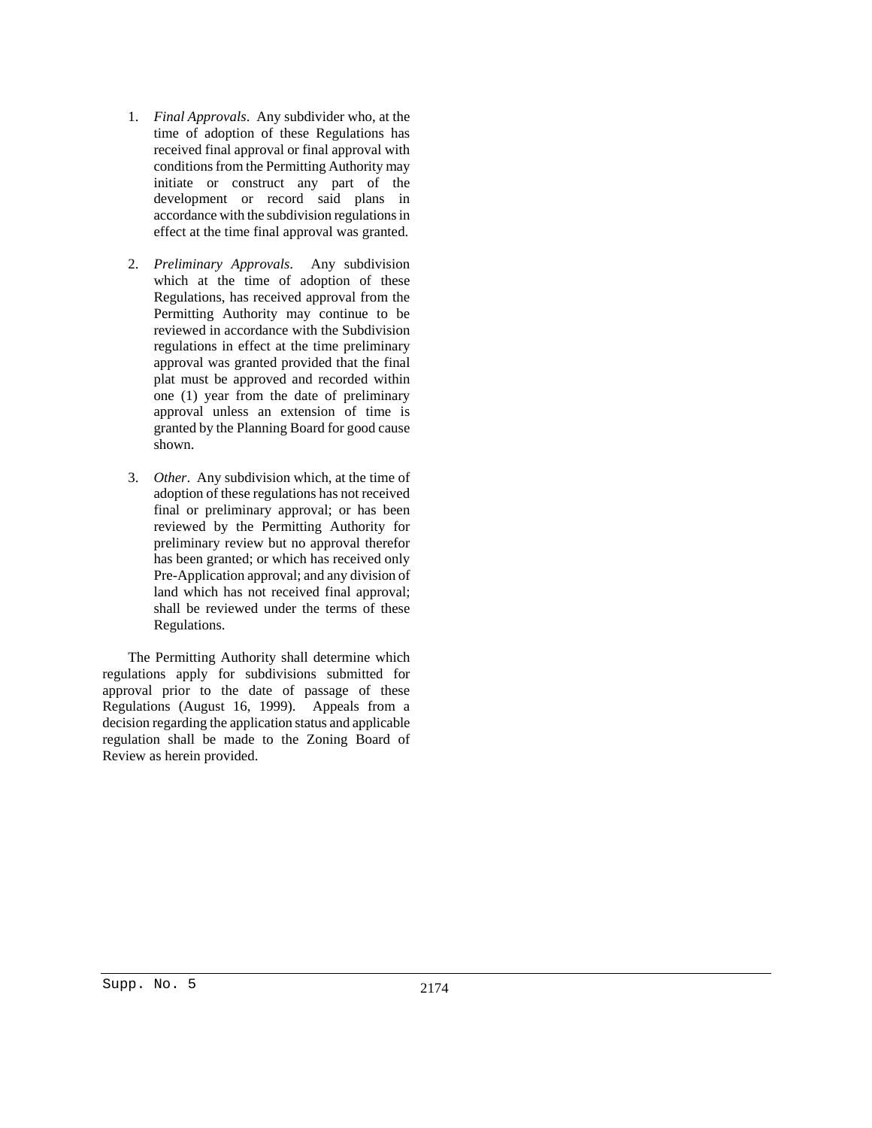- 1. *Final Approvals*. Any subdivider who, at the time of adoption of these Regulations has received final approval or final approval with conditions from the Permitting Authority may initiate or construct any part of the development or record said plans in accordance with the subdivision regulations in effect at the time final approval was granted.
- 2. *Preliminary Approvals*. Any subdivision which at the time of adoption of these Regulations, has received approval from the Permitting Authority may continue to be reviewed in accordance with the Subdivision regulations in effect at the time preliminary approval was granted provided that the final plat must be approved and recorded within one (1) year from the date of preliminary approval unless an extension of time is granted by the Planning Board for good cause shown.
- 3. *Other*. Any subdivision which, at the time of adoption of these regulations has not received final or preliminary approval; or has been reviewed by the Permitting Authority for preliminary review but no approval therefor has been granted; or which has received only Pre-Application approval; and any division of land which has not received final approval; shall be reviewed under the terms of these Regulations.

The Permitting Authority shall determine which regulations apply for subdivisions submitted for approval prior to the date of passage of these Regulations (August 16, 1999). Appeals from a decision regarding the application status and applicable regulation shall be made to the Zoning Board of Review as herein provided.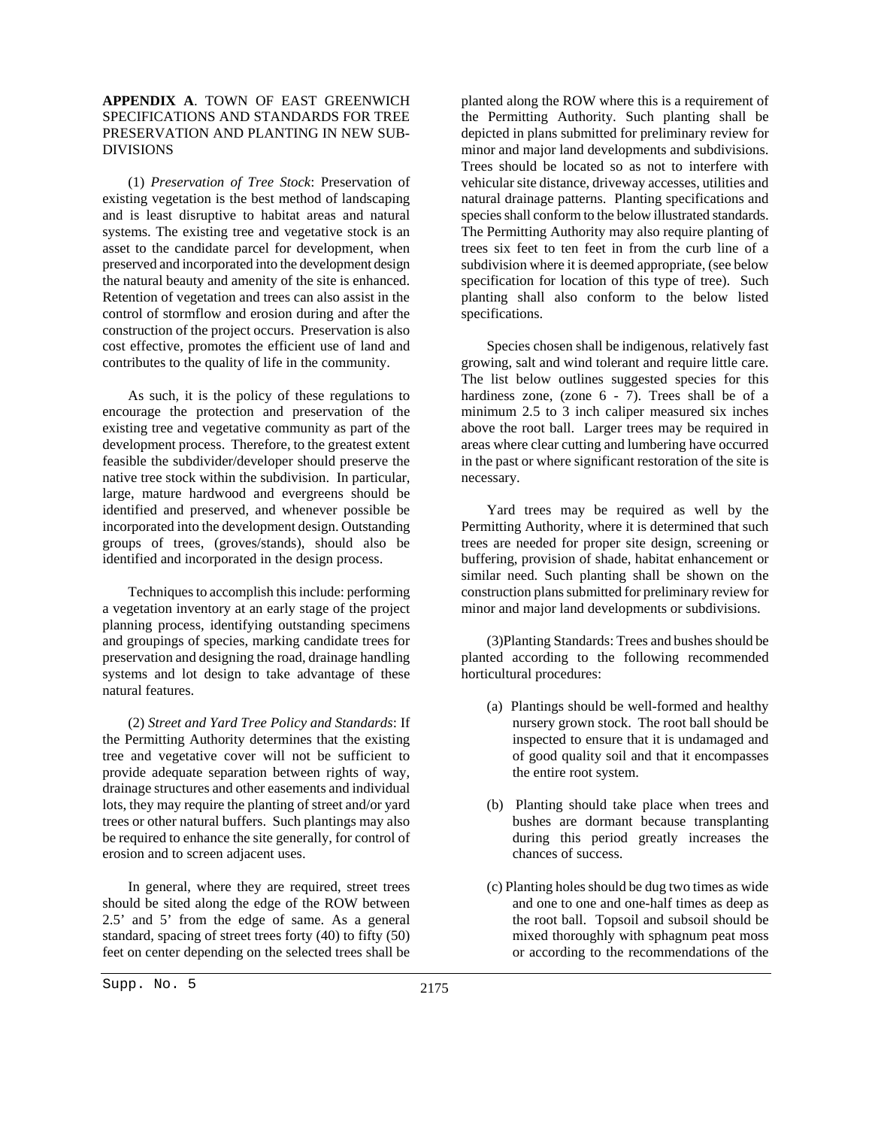# **APPENDIX A**. TOWN OF EAST GREENWICH SPECIFICATIONS AND STANDARDS FOR TREE PRESERVATION AND PLANTING IN NEW SUB-DIVISIONS

(1) *Preservation of Tree Stock*: Preservation of existing vegetation is the best method of landscaping and is least disruptive to habitat areas and natural systems. The existing tree and vegetative stock is an asset to the candidate parcel for development, when preserved and incorporated into the development design the natural beauty and amenity of the site is enhanced. Retention of vegetation and trees can also assist in the control of stormflow and erosion during and after the construction of the project occurs. Preservation is also cost effective, promotes the efficient use of land and contributes to the quality of life in the community.

As such, it is the policy of these regulations to encourage the protection and preservation of the existing tree and vegetative community as part of the development process. Therefore, to the greatest extent feasible the subdivider/developer should preserve the native tree stock within the subdivision. In particular, large, mature hardwood and evergreens should be identified and preserved, and whenever possible be incorporated into the development design. Outstanding groups of trees, (groves/stands), should also be identified and incorporated in the design process.

Techniques to accomplish this include: performing a vegetation inventory at an early stage of the project planning process, identifying outstanding specimens and groupings of species, marking candidate trees for preservation and designing the road, drainage handling systems and lot design to take advantage of these natural features.

(2) *Street and Yard Tree Policy and Standards*: If the Permitting Authority determines that the existing tree and vegetative cover will not be sufficient to provide adequate separation between rights of way, drainage structures and other easements and individual lots, they may require the planting of street and/or yard trees or other natural buffers. Such plantings may also be required to enhance the site generally, for control of erosion and to screen adjacent uses.

In general, where they are required, street trees should be sited along the edge of the ROW between 2.5' and 5' from the edge of same. As a general standard, spacing of street trees forty (40) to fifty (50) feet on center depending on the selected trees shall be

planted along the ROW where this is a requirement of the Permitting Authority. Such planting shall be depicted in plans submitted for preliminary review for minor and major land developments and subdivisions. Trees should be located so as not to interfere with vehicular site distance, driveway accesses, utilities and natural drainage patterns. Planting specifications and species shall conform to the below illustrated standards. The Permitting Authority may also require planting of trees six feet to ten feet in from the curb line of a subdivision where it is deemed appropriate, (see below specification for location of this type of tree). Such planting shall also conform to the below listed specifications.

Species chosen shall be indigenous, relatively fast growing, salt and wind tolerant and require little care. The list below outlines suggested species for this hardiness zone, (zone 6 - 7). Trees shall be of a minimum 2.5 to 3 inch caliper measured six inches above the root ball. Larger trees may be required in areas where clear cutting and lumbering have occurred in the past or where significant restoration of the site is necessary.

Yard trees may be required as well by the Permitting Authority, where it is determined that such trees are needed for proper site design, screening or buffering, provision of shade, habitat enhancement or similar need. Such planting shall be shown on the construction plans submitted for preliminary review for minor and major land developments or subdivisions.

(3)Planting Standards: Trees and bushes should be planted according to the following recommended horticultural procedures:

- (a) Plantings should be well-formed and healthy nursery grown stock. The root ball should be inspected to ensure that it is undamaged and of good quality soil and that it encompasses the entire root system.
- (b) Planting should take place when trees and bushes are dormant because transplanting during this period greatly increases the chances of success.
- (c) Planting holes should be dug two times as wide and one to one and one-half times as deep as the root ball. Topsoil and subsoil should be mixed thoroughly with sphagnum peat moss or according to the recommendations of the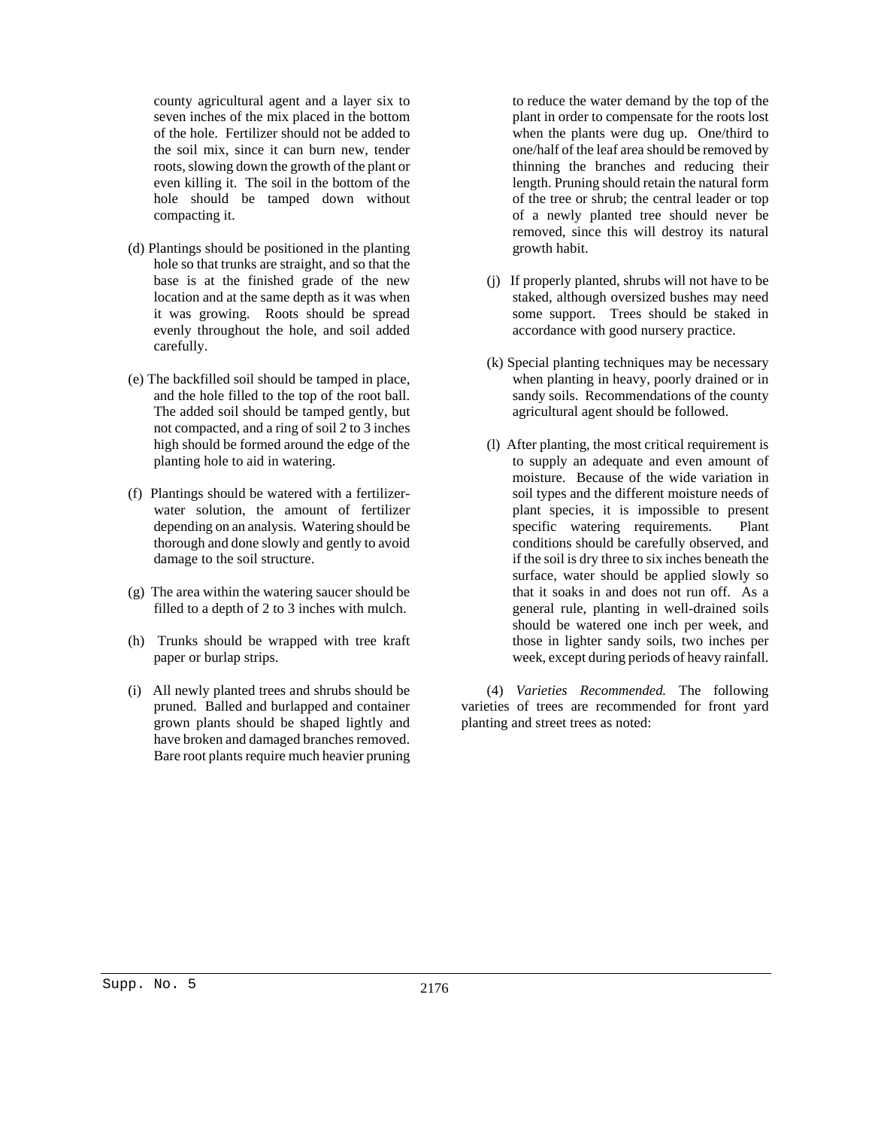county agricultural agent and a layer six to seven inches of the mix placed in the bottom of the hole. Fertilizer should not be added to the soil mix, since it can burn new, tender roots, slowing down the growth of the plant or even killing it. The soil in the bottom of the hole should be tamped down without compacting it.

- (d) Plantings should be positioned in the planting hole so that trunks are straight, and so that the base is at the finished grade of the new location and at the same depth as it was when it was growing. Roots should be spread evenly throughout the hole, and soil added carefully.
- (e) The backfilled soil should be tamped in place, and the hole filled to the top of the root ball. The added soil should be tamped gently, but not compacted, and a ring of soil 2 to 3 inches high should be formed around the edge of the planting hole to aid in watering.
- (f) Plantings should be watered with a fertilizerwater solution, the amount of fertilizer depending on an analysis. Watering should be thorough and done slowly and gently to avoid damage to the soil structure.
- (g) The area within the watering saucer should be filled to a depth of 2 to 3 inches with mulch.
- (h) Trunks should be wrapped with tree kraft paper or burlap strips.
- (i) All newly planted trees and shrubs should be pruned. Balled and burlapped and container grown plants should be shaped lightly and have broken and damaged branches removed. Bare root plants require much heavier pruning

to reduce the water demand by the top of the plant in order to compensate for the roots lost when the plants were dug up. One/third to one/half of the leaf area should be removed by thinning the branches and reducing their length. Pruning should retain the natural form of the tree or shrub; the central leader or top of a newly planted tree should never be removed, since this will destroy its natural growth habit.

- (j) If properly planted, shrubs will not have to be staked, although oversized bushes may need some support. Trees should be staked in accordance with good nursery practice.
- (k) Special planting techniques may be necessary when planting in heavy, poorly drained or in sandy soils. Recommendations of the county agricultural agent should be followed.
- (l) After planting, the most critical requirement is to supply an adequate and even amount of moisture. Because of the wide variation in soil types and the different moisture needs of plant species, it is impossible to present specific watering requirements. Plant conditions should be carefully observed, and if the soil is dry three to six inches beneath the surface, water should be applied slowly so that it soaks in and does not run off. As a general rule, planting in well-drained soils should be watered one inch per week, and those in lighter sandy soils, two inches per week, except during periods of heavy rainfall.

(4) *Varieties Recommended.* The following varieties of trees are recommended for front yard planting and street trees as noted: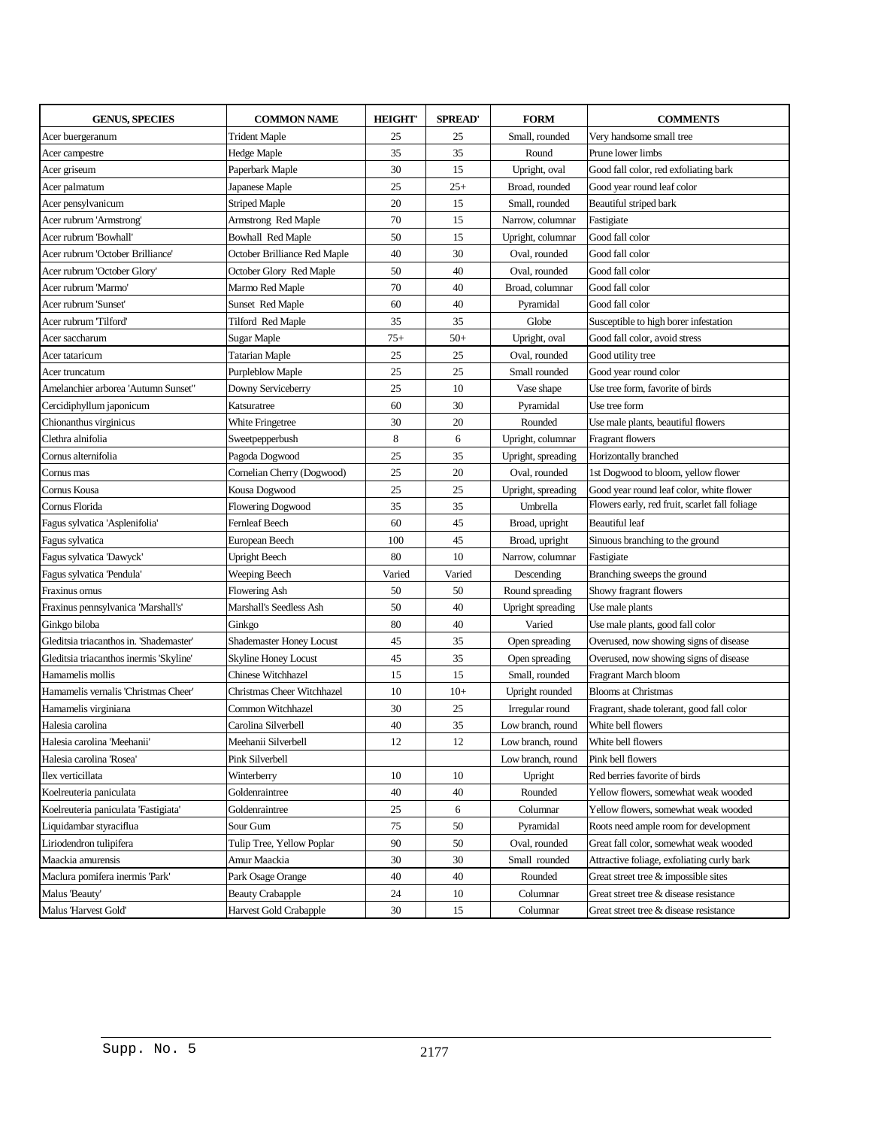| <b>GENUS, SPECIES</b>                   | <b>COMMON NAME</b>              | <b>HEIGHT'</b> | <b>SPREAD'</b> | <b>FORM</b>        | <b>COMMENTS</b>                                |
|-----------------------------------------|---------------------------------|----------------|----------------|--------------------|------------------------------------------------|
| Acer buergeranum                        | <b>Trident Maple</b>            | 25             | 25             | Small, rounded     | Very handsome small tree                       |
| Acer campestre                          | Hedge Maple                     | 35             | 35             | Round              | Prune lower limbs                              |
| Acer griseum                            | Paperbark Maple                 | 30             | 15             | Upright, oval      | Good fall color, red exfoliating bark          |
| Acer palmatum                           | Japanese Maple                  | 25             | $25+$          | Broad, rounded     | Good year round leaf color                     |
| Acer pensylvanicum                      | Striped Maple                   | 20             | 15             | Small, rounded     | Beautiful striped bark                         |
| Acer rubrum 'Armstrong'                 | Armstrong Red Maple             | 70             | 15             | Narrow, columnar   | Fastigiate                                     |
| Acer rubrum 'Bowhall'                   | <b>Bowhall Red Maple</b>        | 50             | 15             | Upright, columnar  | Good fall color                                |
| Acer rubrum 'October Brilliance'        | October Brilliance Red Maple    | 40             | 30             | Oval, rounded      | Good fall color                                |
| Acer rubrum 'October Glory'             | October Glory Red Maple         | 50             | 40             | Oval, rounded      | Good fall color                                |
| Acer rubrum 'Marmo'                     | Marmo Red Maple                 | 70             | 40             | Broad, columnar    | Good fall color                                |
| Acer rubrum 'Sunset'                    | Sunset Red Maple                | 60             | 40             | Pyramidal          | Good fall color                                |
| Acer rubrum 'Tilford'                   | Tilford Red Maple               | 35             | 35             | Globe              | Susceptible to high borer infestation          |
| Acer saccharum                          | Sugar Maple                     | $75+$          | $50+$          | Upright, oval      | Good fall color, avoid stress                  |
| Acer tataricum                          | Tatarian Maple                  | 25             | 25             | Oval, rounded      | Good utility tree                              |
| Acer truncatum                          | Purpleblow Maple                | 25             | 25             | Small rounded      | Good year round color                          |
| Amelanchier arborea 'Autumn Sunset"     | Downy Serviceberry              | 25             | 10             | Vase shape         | Use tree form, favorite of birds               |
| Cercidiphyllum japonicum                | Katsuratree                     | 60             | 30             | Pyramidal          | Use tree form                                  |
| Chionanthus virginicus                  | White Fringetree                | 30             | 20             | Rounded            | Use male plants, beautiful flowers             |
| Clethra alnifolia                       | Sweetpepperbush                 | 8              | 6              | Upright, columnar  | Fragrant flowers                               |
| Cornus alternifolia                     | Pagoda Dogwood                  | 25             | 35             | Upright, spreading | Horizontally branched                          |
| Cornus mas                              | Cornelian Cherry (Dogwood)      | 25             | 20             | Oval, rounded      | 1st Dogwood to bloom, yellow flower            |
| Cornus Kousa                            | Kousa Dogwood                   | 25             | 25             | Upright, spreading | Good year round leaf color, white flower       |
| Cornus Florida                          | Flowering Dogwood               | 35             | 35             | Umbrella           | Flowers early, red fruit, scarlet fall foliage |
| Fagus sylvatica 'Asplenifolia'          | Fernleaf Beech                  | 60             | 45             | Broad, upright     | Beautiful leaf                                 |
| Fagus sylvatica                         | European Beech                  | 100            | 45             | Broad, upright     | Sinuous branching to the ground                |
| Fagus sylvatica 'Dawyck'                | <b>Upright Beech</b>            | 80             | 10             | Narrow, columnar   | Fastigiate                                     |
| Fagus sylvatica Pendula'                | Weeping Beech                   | Varied         | Varied         | Descending         | Branching sweeps the ground                    |
| Fraxinus ornus                          | Flowering Ash                   | 50             | 50             | Round spreading    | Showy fragrant flowers                         |
| Fraxinus pennsylvanica 'Marshall's'     | Marshall's Seedless Ash         | 50             | 40             | Upright spreading  | Use male plants                                |
| Ginkgo biloba                           | Ginkgo                          | 80             | 40             | Varied             | Use male plants, good fall color               |
| Gleditsia triacanthos in. 'Shademaster' | <b>Shademaster Honey Locust</b> | 45             | 35             | Open spreading     | Overused, now showing signs of disease         |
| Gleditsia triacanthos inermis 'Skyline' | <b>Skyline Honey Locust</b>     | 45             | 35             | Open spreading     | Overused, now showing signs of disease         |
| Hamamelis mollis                        | Chinese Witchhazel              | 15             | 15             | Small, rounded     | Fragrant March bloom                           |
| Hamamelis vernalis 'Christmas Cheer'    | Christmas Cheer Witchhazel      | 10             | $10+$          | Upright rounded    | <b>Blooms at Christmas</b>                     |
| Hamamelis virginiana                    | Common Witchhazel               | 30             | 25             | Irregular round    | Fragrant, shade tolerant, good fall color      |
| Halesia carolina                        | Carolina Silverbell             | 40             | 35             | Low branch, round  | White bell flowers                             |
| Halesia carolina 'Meehanii'             | Meehanii Silverbell             | 12             | 12             | Low branch, round  | White bell flowers                             |
| Halesia carolina 'Rosea'                | Pink Silverbell                 |                |                | Low branch, round  | Pink bell flowers                              |
| Ilex verticillata                       | Winterberry                     | 10             | 10             | Upright            | Red berries favorite of birds                  |
| Koelreuteria paniculata                 | Goldenraintree                  | 40             | 40             | Rounded            | Yellow flowers, somewhat weak wooded           |
| Koelreuteria paniculata Fastigiata'     | Goldenraintree                  | 25             | 6              | Columnar           | Yellow flowers, somewhat weak wooded           |
| Liquidambar styraciflua                 | Sour Gum                        | 75             | 50             | Pyramidal          | Roots need ample room for development          |
| Liriodendron tulipifera                 | Tulip Tree, Yellow Poplar       | 90             | 50             | Oval, rounded      | Great fall color, somewhat weak wooded         |
| Maackia amurensis                       | Amur Maackia                    | 30             | 30             | Small rounded      | Attractive foliage, exfoliating curly bark     |
| Maclura pomifera inermis 'Park'         | Park Osage Orange               | 40             | 40             | Rounded            | Great street tree & impossible sites           |
| Malus Beauty'                           | <b>Beauty Crabapple</b>         | 24             | 10             | Columnar           | Great street tree & disease resistance         |
| Malus Harvest Gold'                     | Harvest Gold Crabapple          | 30             | 15             | Columnar           | Great street tree & disease resistance         |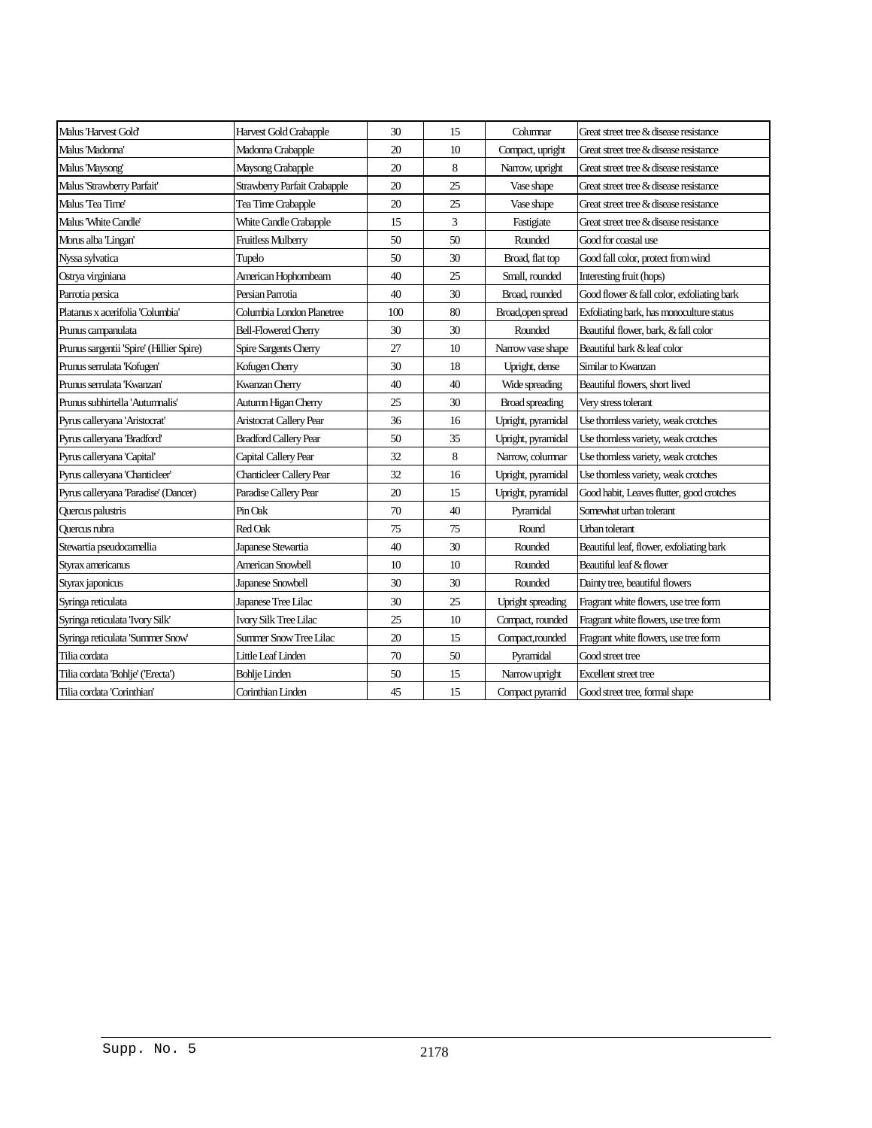| Malus 'Harvest Gold'                     | Harvest Gold Crabapple          | 30  | 15 | Columnar               | Great street tree & disease resistance     |
|------------------------------------------|---------------------------------|-----|----|------------------------|--------------------------------------------|
| Malus 'Madonna'                          | Madonna Crabapple               | 20  | 10 | Compact, upright       | Great street tree & disease resistance     |
| Malus 'Maysong'                          | Maysong Crabapple               | 20  | 8  | Narrow, upright        | Great street tree & disease resistance     |
| Malus 'Strawberry Parfait'               | Strawberry Parfait Crabapple    | 20  | 25 | Vase shape             | Great street tree & disease resistance     |
| Malus 'Tea Time'                         | Tea Time Crabapple              | 20  | 25 | Vase shape             | Great street tree & disease resistance     |
| Malus "White Candle"                     | White Candle Crabapple          | 15  | 3  | Fastigiate             | Great street tree & disease resistance     |
| Morus alba 'Lingan'                      | Fruitless Mulberry              | 50  | 50 | Rounded                | Good for coastal use                       |
| Nyssa sylvatica                          | Tupelo                          | 50  | 30 | Broad, flat top        | Good fall color, protect from wind         |
| Ostrya virginiana                        | American Hophornbeam            | 40  | 25 | Small, rounded         | Interesting fruit (hops)                   |
| Parrotia persica                         | Persian Parrotia                | 40  | 30 | Broad, rounded         | Good flower & fall color, exfoliating bark |
| Platanus x acerifolia 'Columbia'         | Columbia London Planetree       | 100 | 80 | Broad, open spread     | Exfoliating bark, has monoculture status   |
| Prunus campanulata                       | <b>Bell-Flowered Cherry</b>     | 30  | 30 | Rounded                | Beautiful flower, bark, & fall color       |
| Prunus sargentii 'Spire' (Hillier Spire) | Spire Sargents Cherry           | 27  | 10 | Narrow vase shape      | Beautiful bark & leaf color                |
| Prunus serrulata 'Kofugen'               | Kofugen Cherry                  | 30  | 18 | Upright, dense         | Similar to Kwanzan                         |
| Prunus serrulata 'Kwanzan'               | Kwanzan Cherry                  | 40  | 40 | Wide spreading         | Beautiful flowers, short lived             |
| Prunus subhirtella 'Autumnalis'          | Autumn Higan Cherry             | 25  | 30 | <b>Broad</b> spreading | Very stress tolerant                       |
| Pyrus calleryana 'Aristocrat'            | Aristocrat Callery Pear         | 36  | 16 | Upright, pyramidal     | Use thornless variety, weak crotches       |
| Pyrus calleryana 'Bradford'              | <b>Bradford Callery Pear</b>    | 50  | 35 | Upright, pyramidal     | Use thornless variety, weak crotches       |
| Pyrus calleryana 'Capital'               | Capital Callery Pear            | 32  | 8  | Narrow, columnar       | Use thornless variety, weak crotches       |
| Pyrus calleryana 'Chanticleer'           | <b>Chanticleer Callery Pear</b> | 32  | 16 | Upright, pyramidal     | Use thornless variety, weak crotches       |
| Pyrus calleryana 'Paradise' (Dancer)     | Paradise Callery Pear           | 20  | 15 | Upright, pyramidal     | Good habit, Leaves flutter, good crotches  |
| Quercus palustris                        | Pin Oak                         | 70  | 40 | Pyramidal              | Somewhat urban tolerant                    |
| Quercus rubra                            | Red Oak                         | 75  | 75 | Round                  | Urban tolerant                             |
| Stewartia pseudocamellia                 | Japanese Stewartia              | 40  | 30 | Rounded                | Beautiful leaf, flower, exfoliating bark   |
| Styrax americanus                        | <b>American Snowbell</b>        | 10  | 10 | Rounded                | Beautiful leaf & flower                    |
| Styrax japonicus                         | Japanese Snowbell               | 30  | 30 | Rounded                | Dainty tree, beautiful flowers             |
| Syringa reticulata                       | Japanese Tree Lilac             | 30  | 25 | Upright spreading      | Fragrant white flowers, use tree form      |
| Syringa reticulata Tvory Silk'           | Ivory Silk Tree Lilac           | 25  | 10 | Compact, rounded       | Fragrant white flowers, use tree form      |
| Syringa reticulata 'Summer Snow'         | Summer Snow Tree Lilac          | 20  | 15 | Compact, rounded       | Fragrant white flowers, use tree form      |
| Tilia cordata                            | Little Leaf Linden              | 70  | 50 | Pyramidal              | Good street tree                           |
| Tilia cordata 'Bohlje' ('Erecta')        | <b>Bohlje Linden</b>            | 50  | 15 | Narrow upright         | Excellent street tree                      |
| Tilia cordata 'Corinthian'               | Corinthian Linden               | 45  | 15 | Compact pyramid        | Good street tree, formal shape             |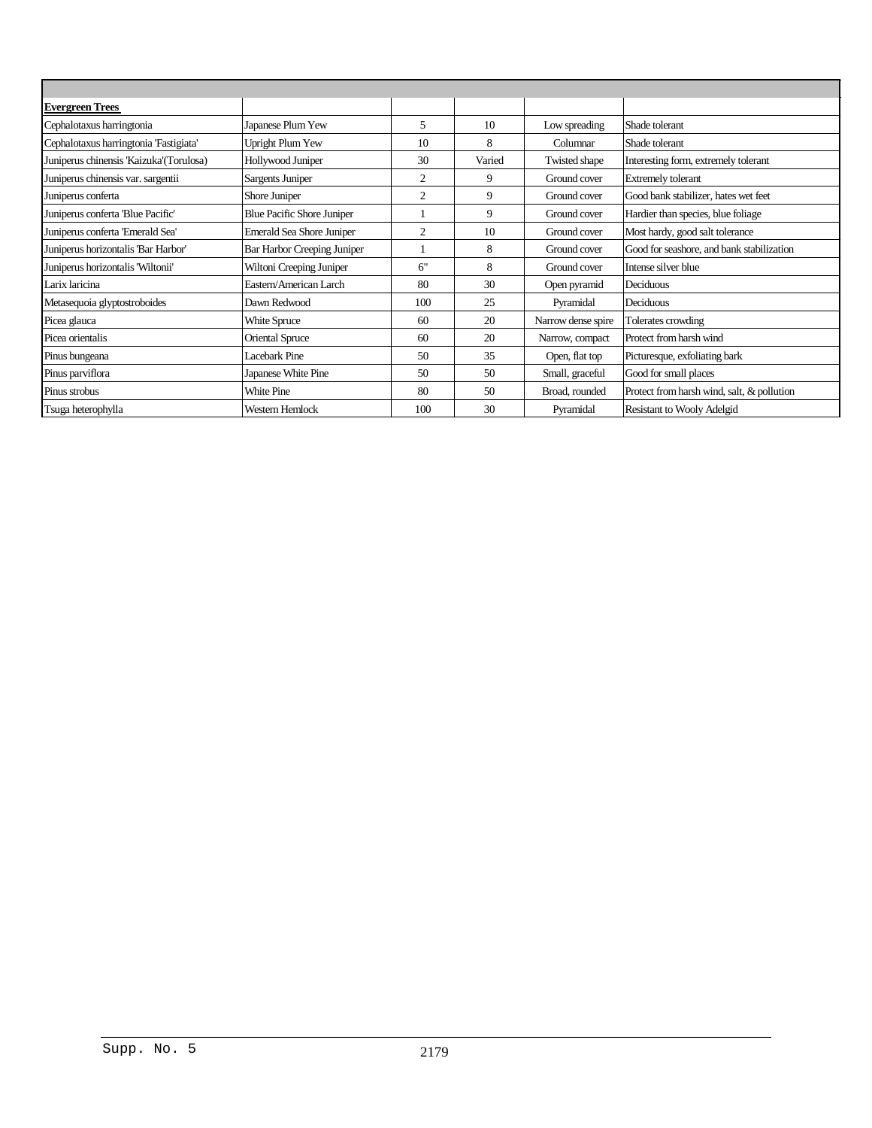| <b>Evergreen Trees</b>                  |                                  |                |        |                    |                                            |
|-----------------------------------------|----------------------------------|----------------|--------|--------------------|--------------------------------------------|
| Cephalotaxus harringtonia               | Japanese Plum Yew                | 5              | 10     | Low spreading      | Shade tolerant                             |
| Cephalotaxus harringtonia 'Fastigiata'  | Upright Plum Yew                 | 10             | 8      | Columnar           | Shade tolerant                             |
| Juniperus chinensis 'Kaizuka'(Torulosa) | Hollywood Juniper                | 30             | Varied | Twisted shape      | Interesting form, extremely tolerant       |
| Juniperus chinensis var. sargentii      | Sargents Juniper                 | 2              | 9      | Ground cover       | <b>Extremely tolerant</b>                  |
| Juniperus conferta                      | Shore Juniper                    | $\mathfrak{2}$ | 9      | Ground cover       | Good bank stabilizer, hates wet feet       |
| Juniperus conferta 'Blue Pacific'       | Blue Pacific Shore Juniper       |                | 9      | Ground cover       | Hardier than species, blue foliage         |
| Juniperus conferta 'Emerald Sea'        | <b>Emerald Sea Shore Juniper</b> | $\overline{2}$ | 10     | Ground cover       | Most hardy, good salt tolerance            |
| Juniperus horizontalis 'Bar Harbor'     | Bar Harbor Creeping Juniper      |                | 8      | Ground cover       | Good for seashore, and bank stabilization  |
| Juniperus horizontalis 'Wiltonii'       | Wiltoni Creeping Juniper         | 6"             | 8      | Ground cover       | Intense silver blue                        |
| Larix laricina                          | Eastern/American Larch           | 80             | 30     | Open pyramid       | Deciduous                                  |
| Metasequoia glyptostroboides            | Dawn Redwood                     | 100            | 25     | Pyramidal          | Deciduous                                  |
| Picea glauca                            | White Spruce                     | 60             | 20     | Narrow dense spire | Tolerates crowding                         |
| Picea orientalis                        | <b>Oriental Spruce</b>           | 60             | 20     | Narrow, compact    | Protect from harsh wind                    |
| Pinus bungeana                          | <b>Lacebark Pine</b>             | 50             | 35     | Open, flat top     | Picturesque, exfoliating bark              |
| Pinus parviflora                        | Japanese White Pine              | 50             | 50     | Small, graceful    | Good for small places                      |
| Pinus strobus                           | White Pine                       | 80             | 50     | Broad, rounded     | Protect from harsh wind, salt, & pollution |
| Tsuga heterophylla                      | Western Hemlock                  | 100            | 30     | Pyramidal          | Resistant to Wooly Adelgid                 |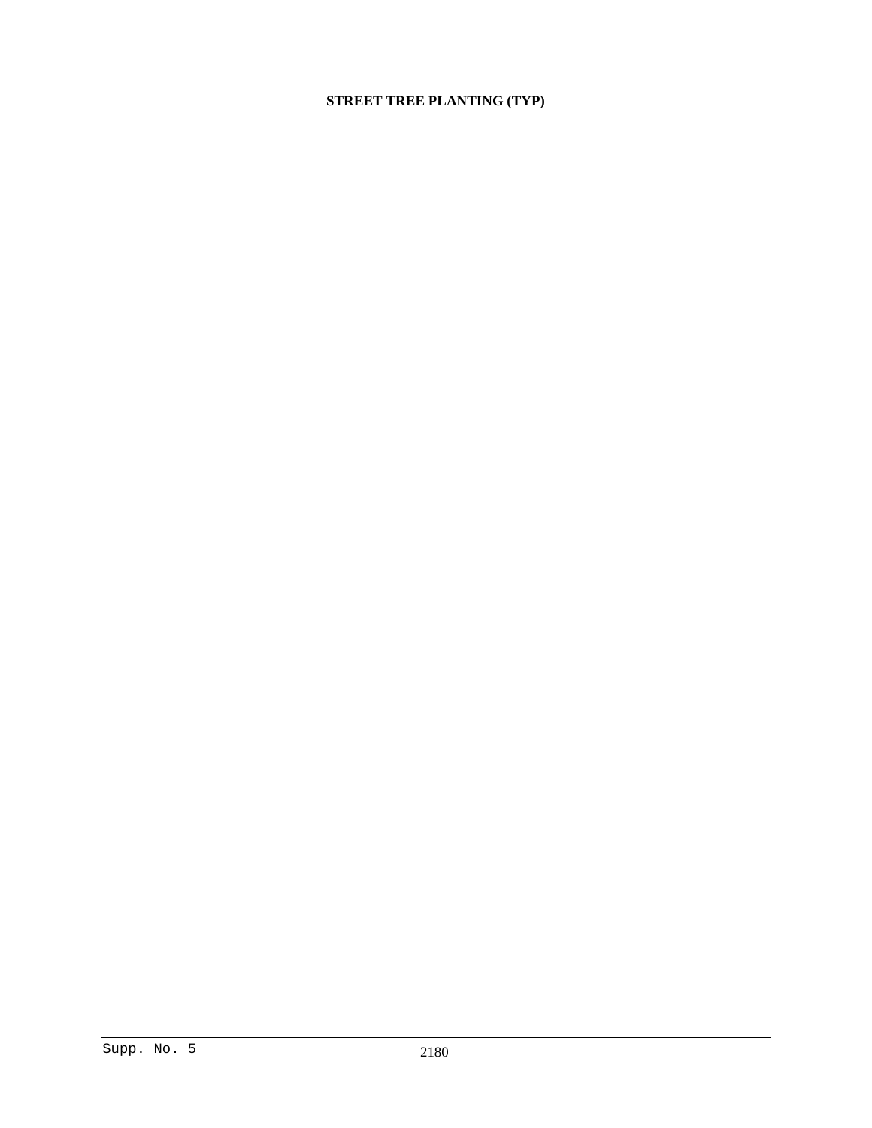# **STREET TREE PLANTING (TYP)**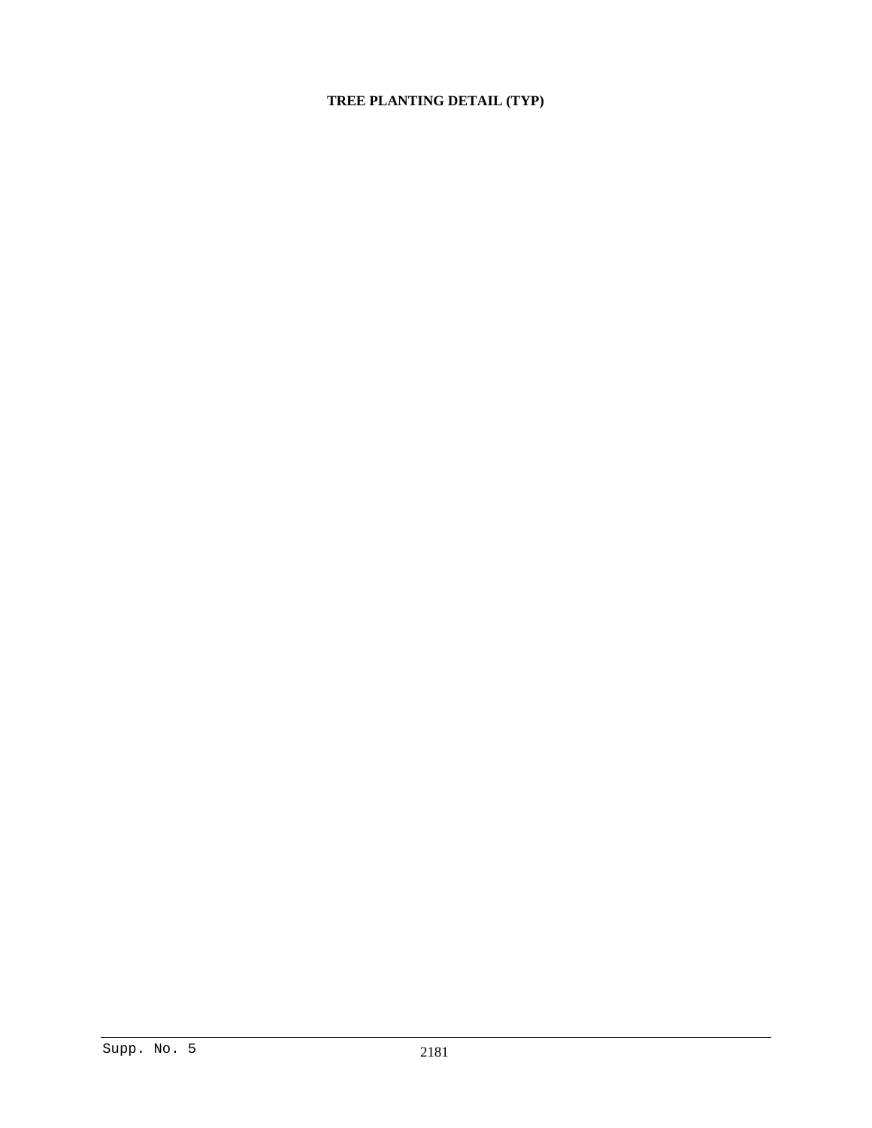# **TREE PLANTING DETAIL (TYP)**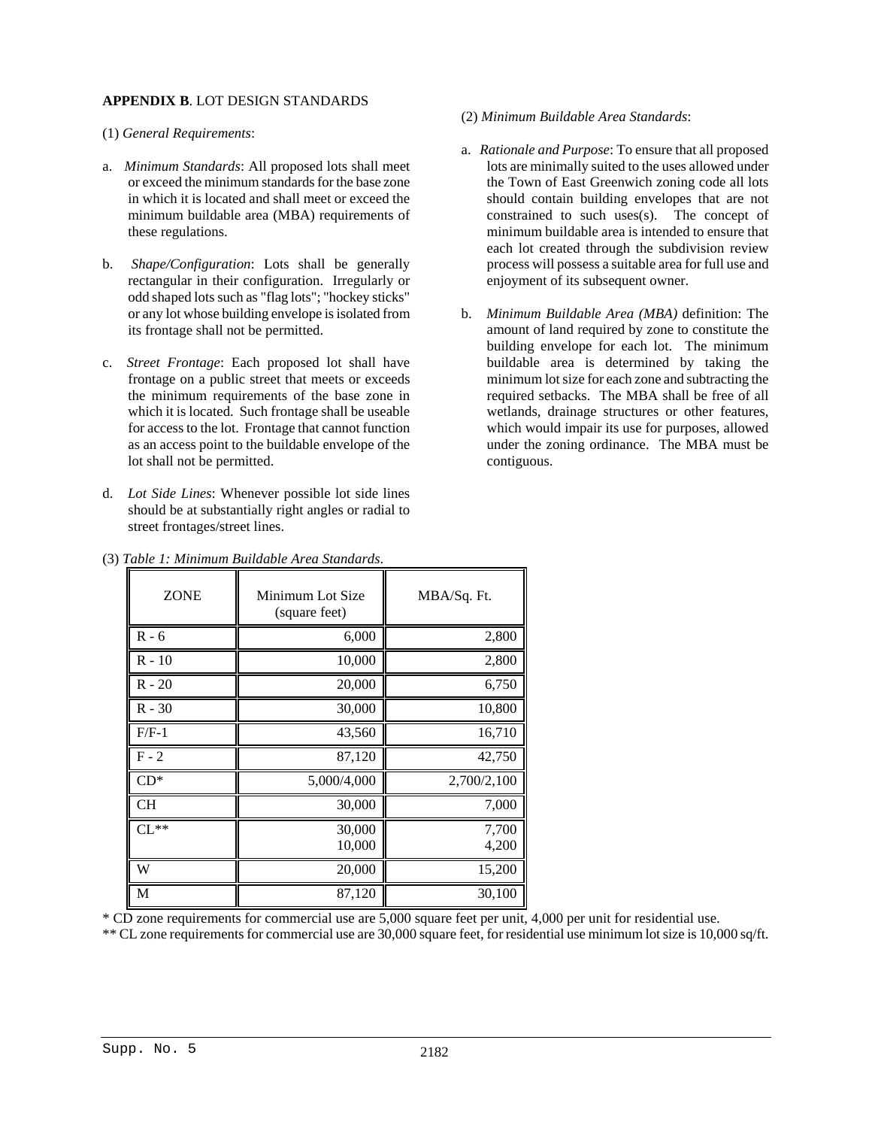# **APPENDIX B**. LOT DESIGN STANDARDS

- (1) *General Requirements*:
- a. *Minimum Standards*: All proposed lots shall meet or exceed the minimum standards for the base zone in which it is located and shall meet or exceed the minimum buildable area (MBA) requirements of these regulations.
- b. *Shape/Configuration*: Lots shall be generally rectangular in their configuration. Irregularly or odd shaped lots such as "flag lots"; "hockey sticks" or any lot whose building envelope is isolated from its frontage shall not be permitted.
- c. *Street Frontage*: Each proposed lot shall have frontage on a public street that meets or exceeds the minimum requirements of the base zone in which it is located. Such frontage shall be useable for access to the lot. Frontage that cannot function as an access point to the buildable envelope of the lot shall not be permitted.
- d. *Lot Side Lines*: Whenever possible lot side lines should be at substantially right angles or radial to street frontages/street lines.
- (2) *Minimum Buildable Area Standards*:
- a. *Rationale and Purpose*: To ensure that all proposed lots are minimally suited to the uses allowed under the Town of East Greenwich zoning code all lots should contain building envelopes that are not constrained to such uses(s). The concept of minimum buildable area is intended to ensure that each lot created through the subdivision review process will possess a suitable area for full use and enjoyment of its subsequent owner.
- b. *Minimum Buildable Area (MBA)* definition: The amount of land required by zone to constitute the building envelope for each lot. The minimum buildable area is determined by taking the minimum lot size for each zone and subtracting the required setbacks. The MBA shall be free of all wetlands, drainage structures or other features, which would impair its use for purposes, allowed under the zoning ordinance. The MBA must be contiguous.

| <b>ZONE</b> | Minimum Lot Size<br>(square feet) | MBA/Sq. Ft.    |
|-------------|-----------------------------------|----------------|
| $R - 6$     | 6,000                             | 2,800          |
| $R - 10$    | 10,000                            | 2,800          |
| $R - 20$    | 20,000                            | 6,750          |
| $R - 30$    | 30,000                            | 10,800         |
| $F/F-1$     | 43,560                            | 16,710         |
| $F - 2$     | 87,120                            | 42,750         |
| $CD^*$      | 5,000/4,000                       | 2,700/2,100    |
| CН          | 30,000                            | 7,000          |
| $CL**$      | 30,000<br>10,000                  | 7,700<br>4,200 |
| W           | 20,000                            | 15,200         |
| М           | 87,120                            | 30,100         |

| (3) Table 1: Minimum Buildable Area Standards. |
|------------------------------------------------|
|------------------------------------------------|

\* CD zone requirements for commercial use are 5,000 square feet per unit, 4,000 per unit for residential use.

\*\* CL zone requirements for commercial use are 30,000 square feet, for residential use minimum lot size is 10,000 sq/ft.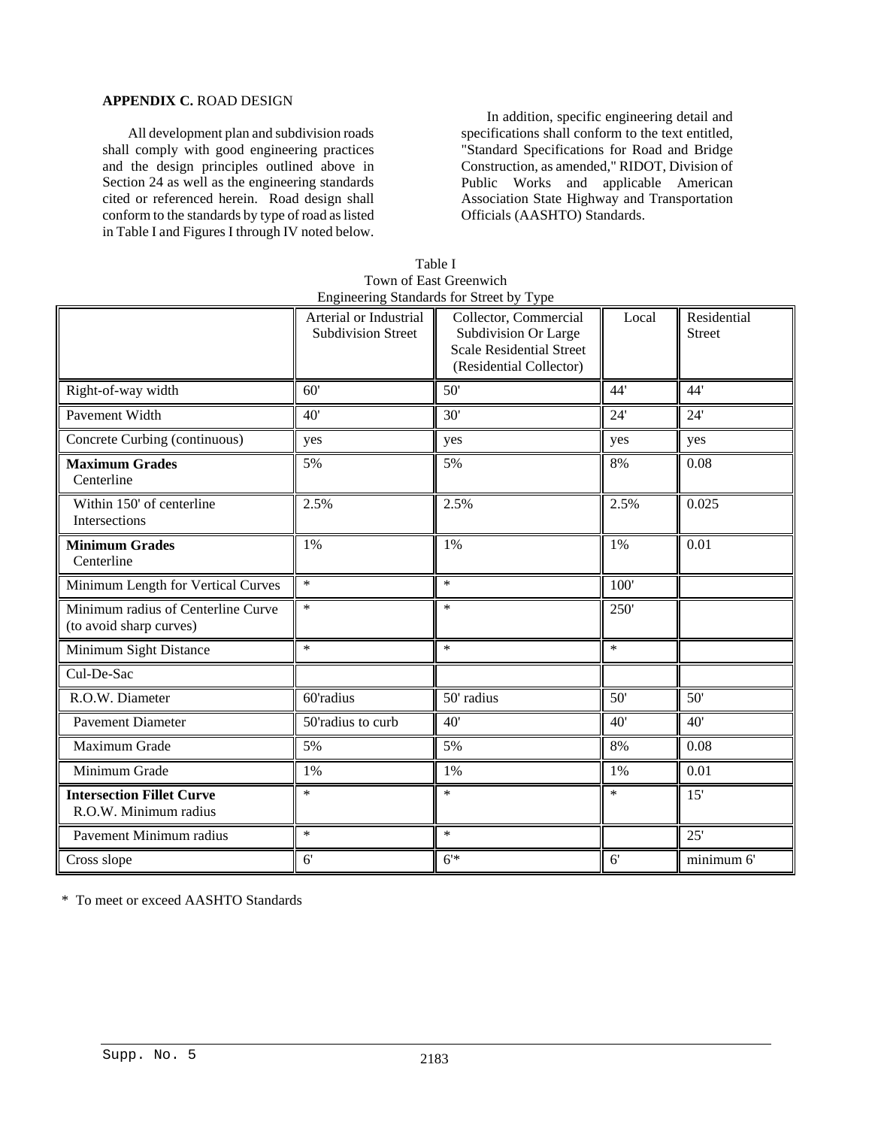# **APPENDIX C.** ROAD DESIGN

All development plan and subdivision roads shall comply with good engineering practices and the design principles outlined above in Section 24 as well as the engineering standards cited or referenced herein. Road design shall conform to the standards by type of road as listed in Table I and Figures I through IV noted below.

In addition, specific engineering detail and specifications shall conform to the text entitled, "Standard Specifications for Road and Bridge Construction, as amended," RIDOT, Division of Public Works and applicable American Association State Highway and Transportation Officials (AASHTO) Standards.

|                                                               |                                                     | Engineering Standards for Street by Type                                                                    |                 |                              |
|---------------------------------------------------------------|-----------------------------------------------------|-------------------------------------------------------------------------------------------------------------|-----------------|------------------------------|
|                                                               | Arterial or Industrial<br><b>Subdivision Street</b> | Collector, Commercial<br>Subdivision Or Large<br><b>Scale Residential Street</b><br>(Residential Collector) | Local           | Residential<br><b>Street</b> |
| Right-of-way width                                            | 60'                                                 | $\overline{50}$                                                                                             | 44'             | 44'                          |
| Pavement Width                                                | 40'                                                 | 30'                                                                                                         | 24'             | 24'                          |
| Concrete Curbing (continuous)                                 | yes                                                 | yes                                                                                                         | yes             | yes                          |
| <b>Maximum Grades</b><br>Centerline                           | 5%                                                  | 5%                                                                                                          | 8%              | 0.08                         |
| Within 150' of centerline<br>Intersections                    | 2.5%                                                | 2.5%                                                                                                        | 2.5%            | 0.025                        |
| <b>Minimum Grades</b><br>Centerline                           | 1%                                                  | 1%                                                                                                          | 1%              | 0.01                         |
| Minimum Length for Vertical Curves                            | $\ast$                                              | $\ast$                                                                                                      | 100'            |                              |
| Minimum radius of Centerline Curve<br>(to avoid sharp curves) | $\ast$                                              | $\ast$                                                                                                      | 250'            |                              |
| Minimum Sight Distance                                        | $\ast$                                              | $\ast$                                                                                                      | $\ast$          |                              |
| Cul-De-Sac                                                    |                                                     |                                                                                                             |                 |                              |
| R.O.W. Diameter                                               | 60'radius                                           | 50' radius                                                                                                  | $\overline{50}$ | 50'                          |
| <b>Pavement Diameter</b>                                      | $50$ 'radius to curb                                | 40'                                                                                                         | 40'             | 40'                          |
| Maximum Grade                                                 | 5%                                                  | 5%                                                                                                          | 8%              | 0.08                         |
| Minimum Grade                                                 | 1%                                                  | 1%                                                                                                          | 1%              | 0.01                         |
| <b>Intersection Fillet Curve</b><br>R.O.W. Minimum radius     | $\ast$                                              | $\ast$                                                                                                      | $\ast$          | 15'                          |
| Pavement Minimum radius                                       | $\ast$                                              | $\ast$                                                                                                      |                 | 25'                          |
| Cross slope                                                   | 6'                                                  | 6'                                                                                                          | 6'              | minimum 6'                   |

| Table I                                  |
|------------------------------------------|
| Town of East Greenwich                   |
| Engineering Standards for Street by Type |

\* To meet or exceed AASHTO Standards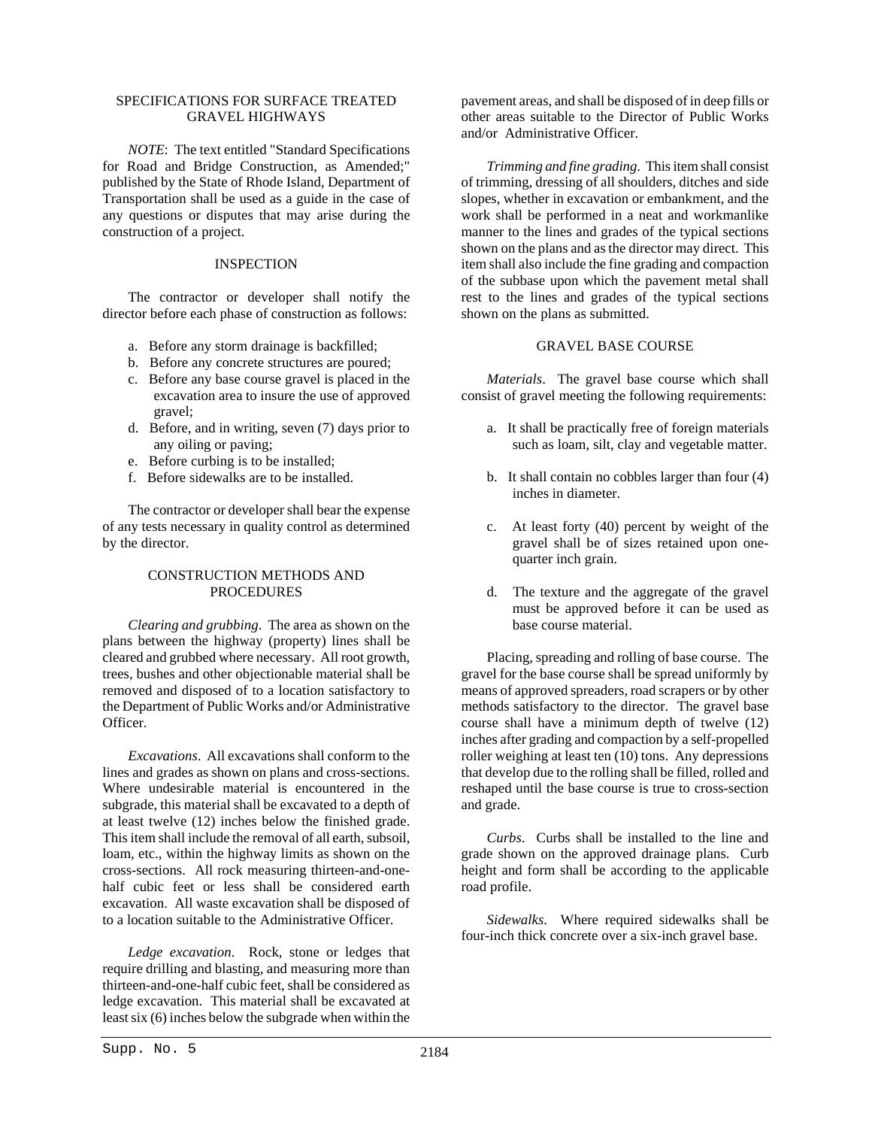### SPECIFICATIONS FOR SURFACE TREATED GRAVEL HIGHWAYS

*NOTE*: The text entitled "Standard Specifications for Road and Bridge Construction, as Amended;" published by the State of Rhode Island, Department of Transportation shall be used as a guide in the case of any questions or disputes that may arise during the construction of a project.

# INSPECTION

The contractor or developer shall notify the director before each phase of construction as follows:

- a. Before any storm drainage is backfilled;
- b. Before any concrete structures are poured;
- c. Before any base course gravel is placed in the excavation area to insure the use of approved gravel;
- d. Before, and in writing, seven (7) days prior to any oiling or paving;
- e. Before curbing is to be installed;
- f. Before sidewalks are to be installed.

The contractor or developer shall bear the expense of any tests necessary in quality control as determined by the director.

# CONSTRUCTION METHODS AND PROCEDURES

*Clearing and grubbing*. The area as shown on the plans between the highway (property) lines shall be cleared and grubbed where necessary. All root growth, trees, bushes and other objectionable material shall be removed and disposed of to a location satisfactory to the Department of Public Works and/or Administrative Officer.

*Excavations*. All excavations shall conform to the lines and grades as shown on plans and cross-sections. Where undesirable material is encountered in the subgrade, this material shall be excavated to a depth of at least twelve (12) inches below the finished grade. This item shall include the removal of all earth, subsoil, loam, etc., within the highway limits as shown on the cross-sections. All rock measuring thirteen-and-onehalf cubic feet or less shall be considered earth excavation. All waste excavation shall be disposed of to a location suitable to the Administrative Officer.

*Ledge excavation*. Rock, stone or ledges that require drilling and blasting, and measuring more than thirteen-and-one-half cubic feet, shall be considered as ledge excavation. This material shall be excavated at least six (6) inches below the subgrade when within the

pavement areas, and shall be disposed of in deep fills or other areas suitable to the Director of Public Works and/or Administrative Officer.

*Trimming and fine grading*. This item shall consist of trimming, dressing of all shoulders, ditches and side slopes, whether in excavation or embankment, and the work shall be performed in a neat and workmanlike manner to the lines and grades of the typical sections shown on the plans and as the director may direct. This item shall also include the fine grading and compaction of the subbase upon which the pavement metal shall rest to the lines and grades of the typical sections shown on the plans as submitted.

# GRAVEL BASE COURSE

*Materials*. The gravel base course which shall consist of gravel meeting the following requirements:

- a. It shall be practically free of foreign materials such as loam, silt, clay and vegetable matter.
- b. It shall contain no cobbles larger than four (4) inches in diameter.
- c. At least forty (40) percent by weight of the gravel shall be of sizes retained upon onequarter inch grain.
- d. The texture and the aggregate of the gravel must be approved before it can be used as base course material.

Placing, spreading and rolling of base course. The gravel for the base course shall be spread uniformly by means of approved spreaders, road scrapers or by other methods satisfactory to the director. The gravel base course shall have a minimum depth of twelve (12) inches after grading and compaction by a self-propelled roller weighing at least ten (10) tons. Any depressions that develop due to the rolling shall be filled, rolled and reshaped until the base course is true to cross-section and grade.

*Curbs*. Curbs shall be installed to the line and grade shown on the approved drainage plans. Curb height and form shall be according to the applicable road profile.

*Sidewalks*. Where required sidewalks shall be four-inch thick concrete over a six-inch gravel base.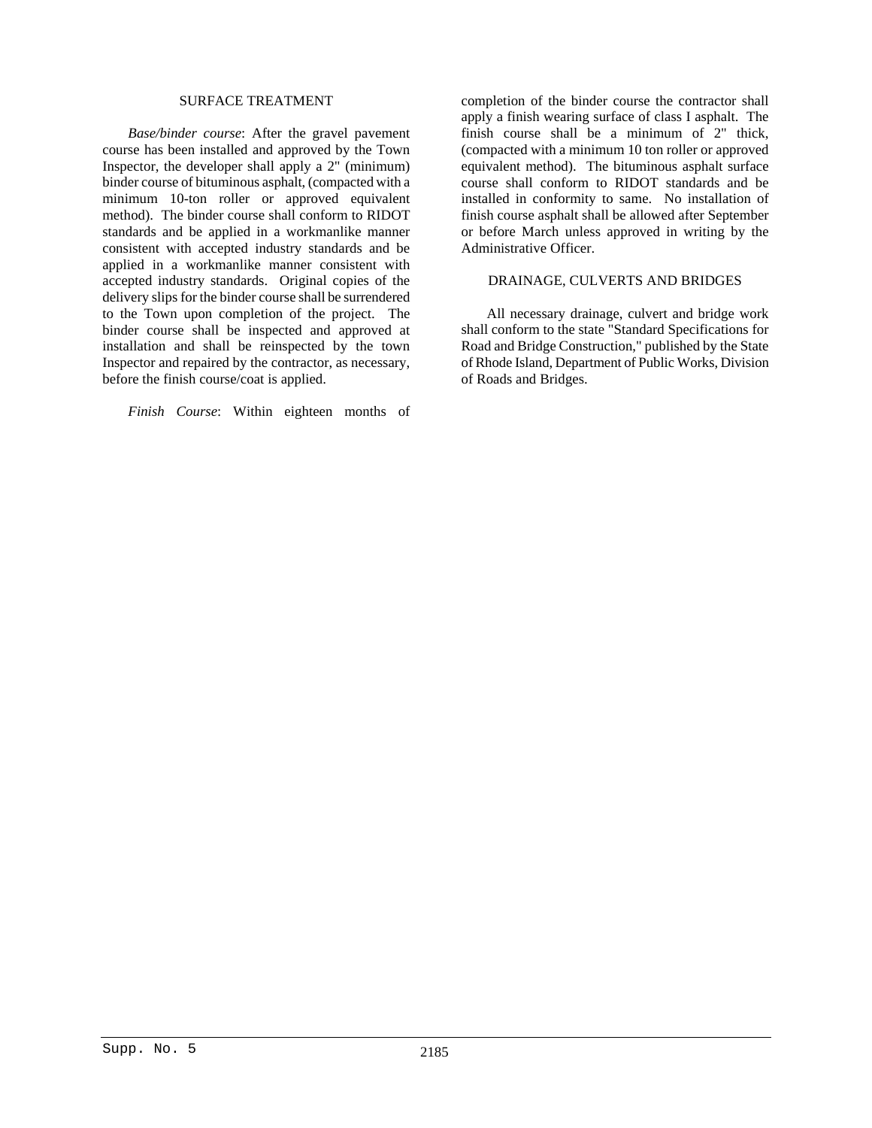#### SURFACE TREATMENT

*Base/binder course*: After the gravel pavement course has been installed and approved by the Town Inspector, the developer shall apply a 2" (minimum) binder course of bituminous asphalt, (compacted with a minimum 10-ton roller or approved equivalent method). The binder course shall conform to RIDOT standards and be applied in a workmanlike manner consistent with accepted industry standards and be applied in a workmanlike manner consistent with accepted industry standards. Original copies of the delivery slips for the binder course shall be surrendered to the Town upon completion of the project. The binder course shall be inspected and approved at installation and shall be reinspected by the town Inspector and repaired by the contractor, as necessary, before the finish course/coat is applied.

*Finish Course*: Within eighteen months of

completion of the binder course the contractor shall apply a finish wearing surface of class I asphalt. The finish course shall be a minimum of 2" thick, (compacted with a minimum 10 ton roller or approved equivalent method). The bituminous asphalt surface course shall conform to RIDOT standards and be installed in conformity to same. No installation of finish course asphalt shall be allowed after September or before March unless approved in writing by the Administrative Officer.

# DRAINAGE, CULVERTS AND BRIDGES

All necessary drainage, culvert and bridge work shall conform to the state "Standard Specifications for Road and Bridge Construction," published by the State of Rhode Island, Department of Public Works, Division of Roads and Bridges.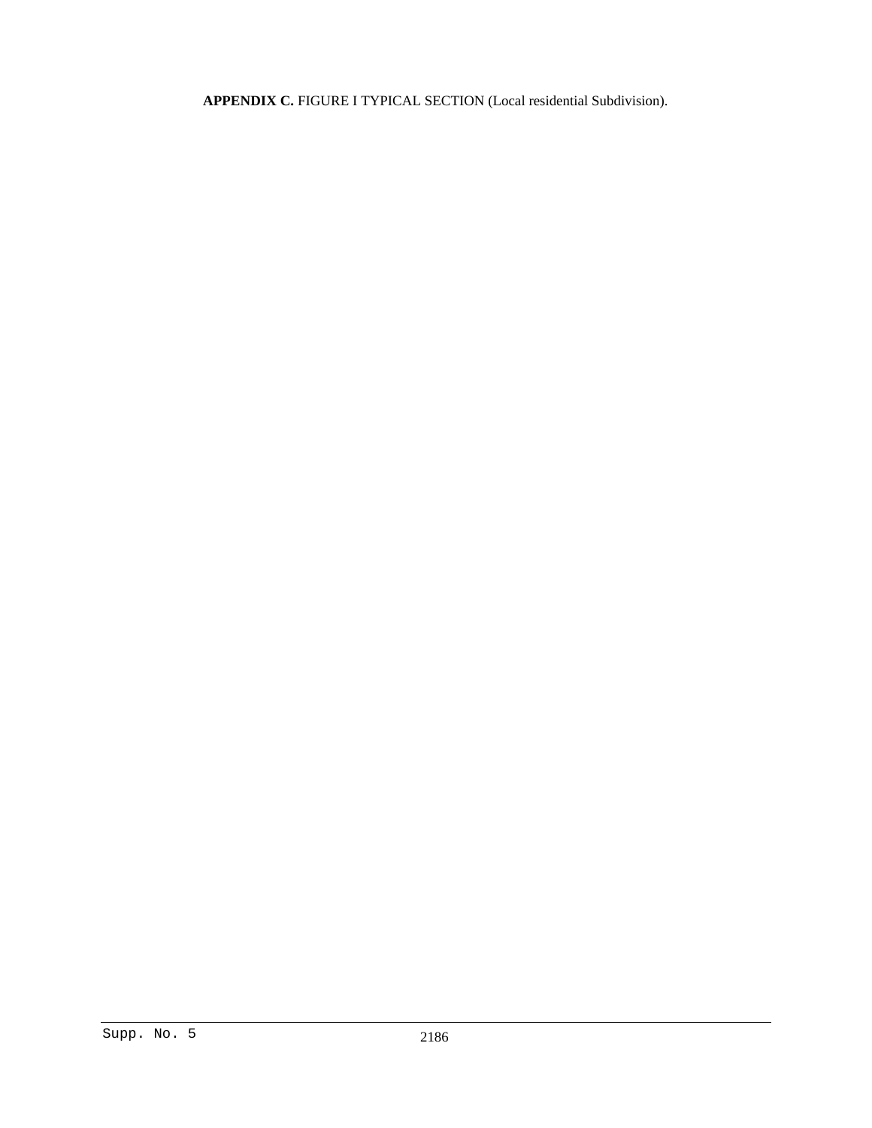**APPENDIX C.** FIGURE I TYPICAL SECTION (Local residential Subdivision).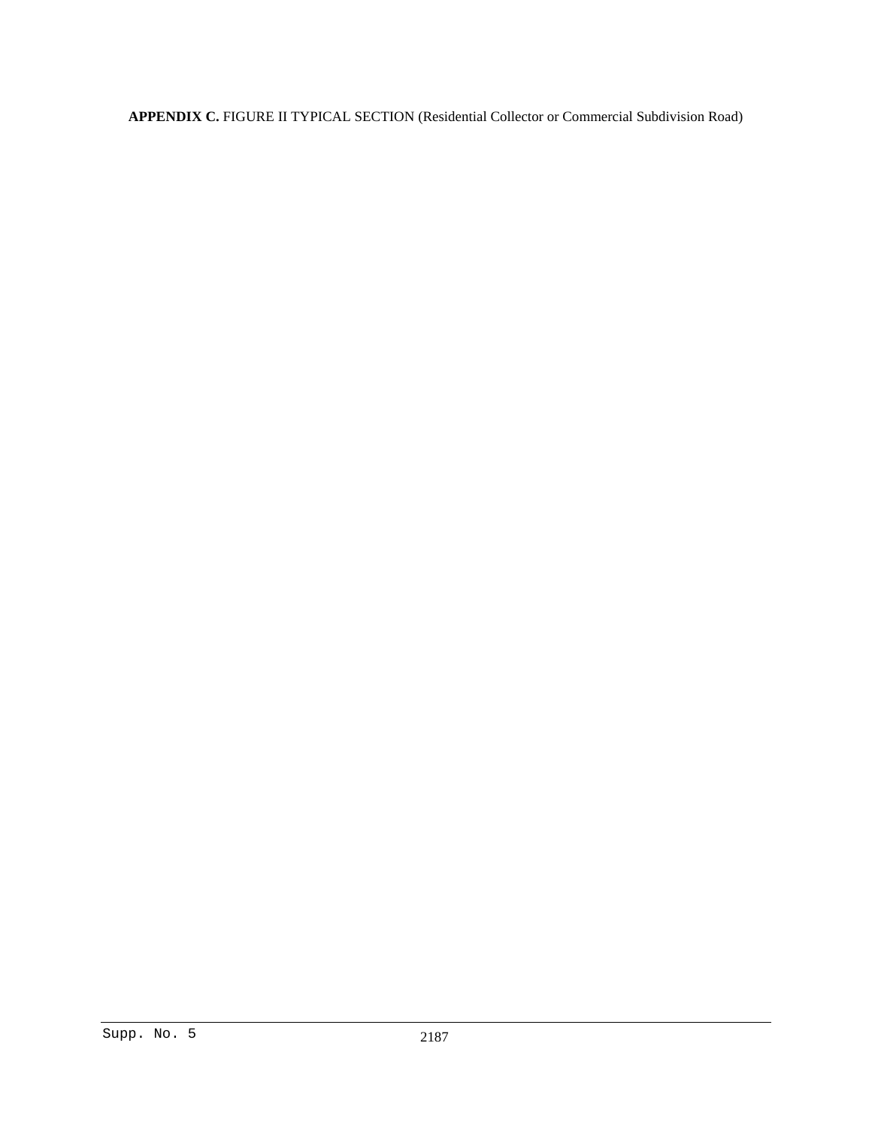**APPENDIX C.** FIGURE II TYPICAL SECTION (Residential Collector or Commercial Subdivision Road)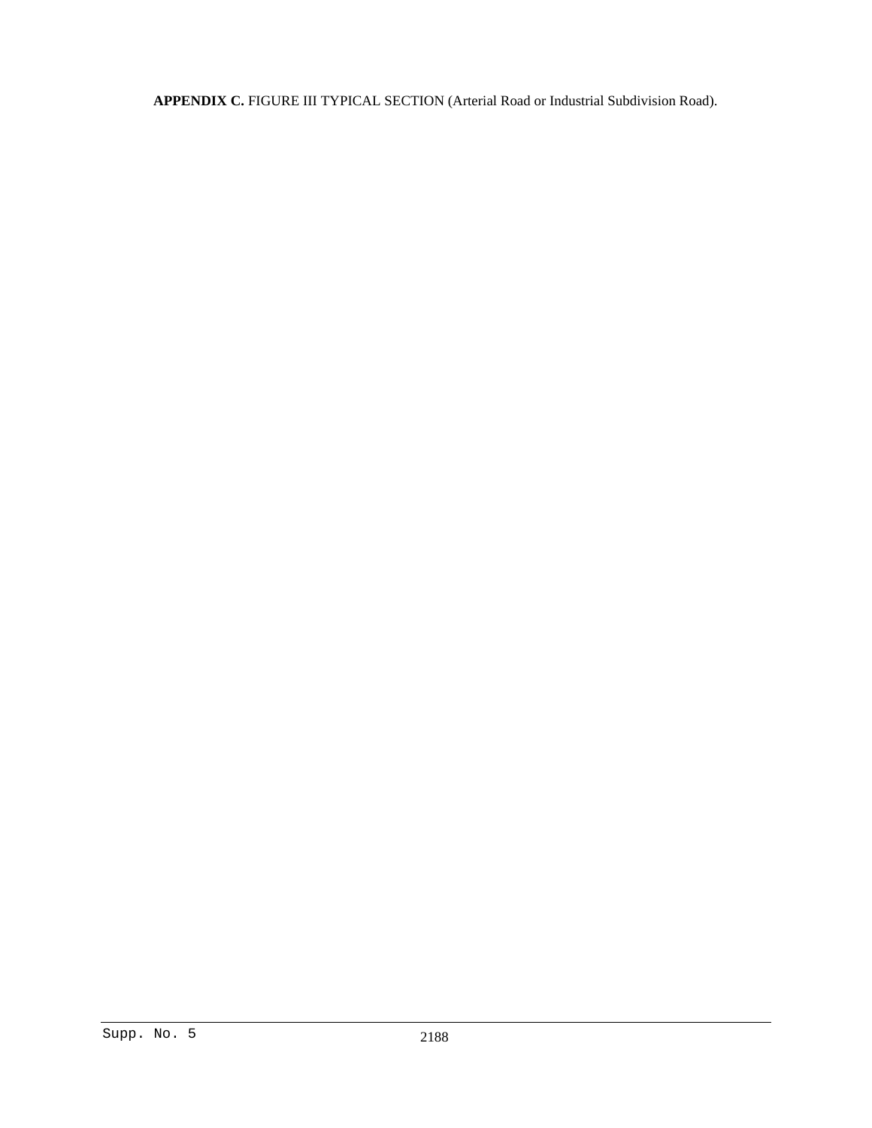**APPENDIX C.** FIGURE III TYPICAL SECTION (Arterial Road or Industrial Subdivision Road).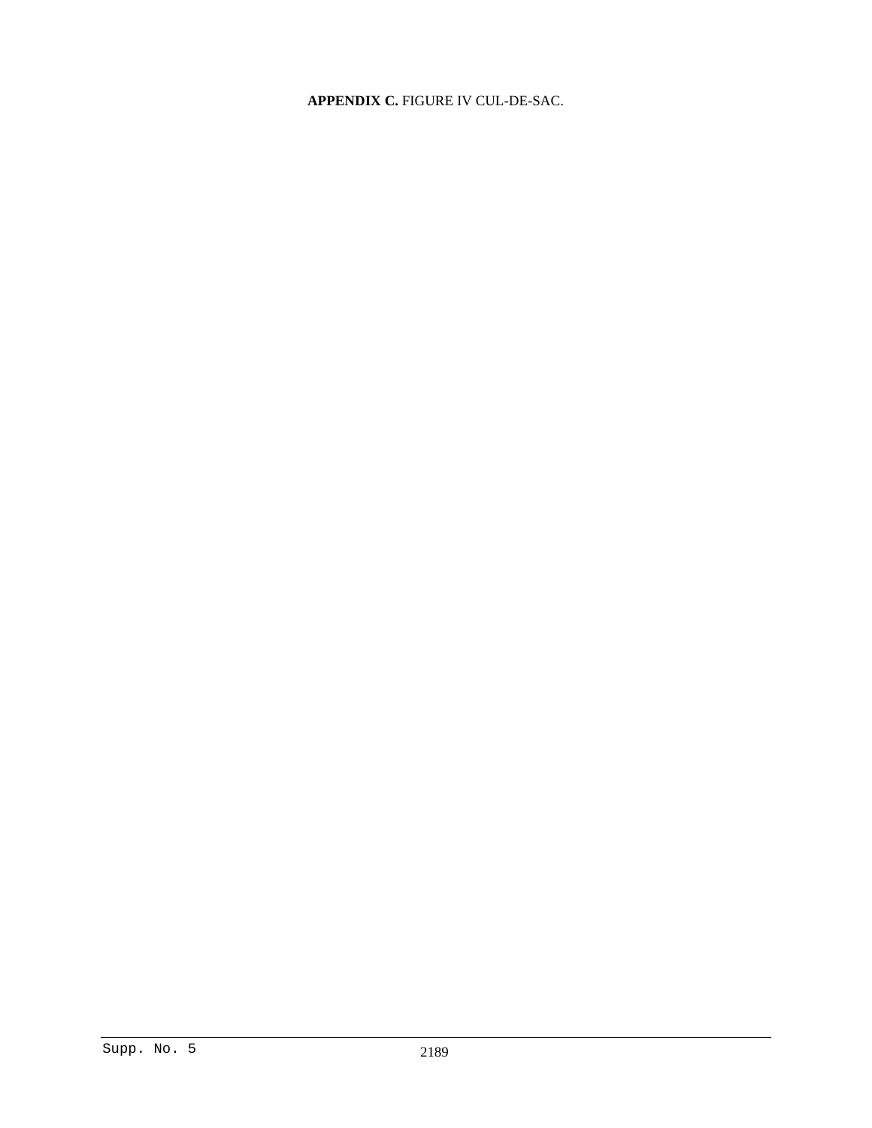# **APPENDIX C.** FIGURE IV CUL-DE-SAC.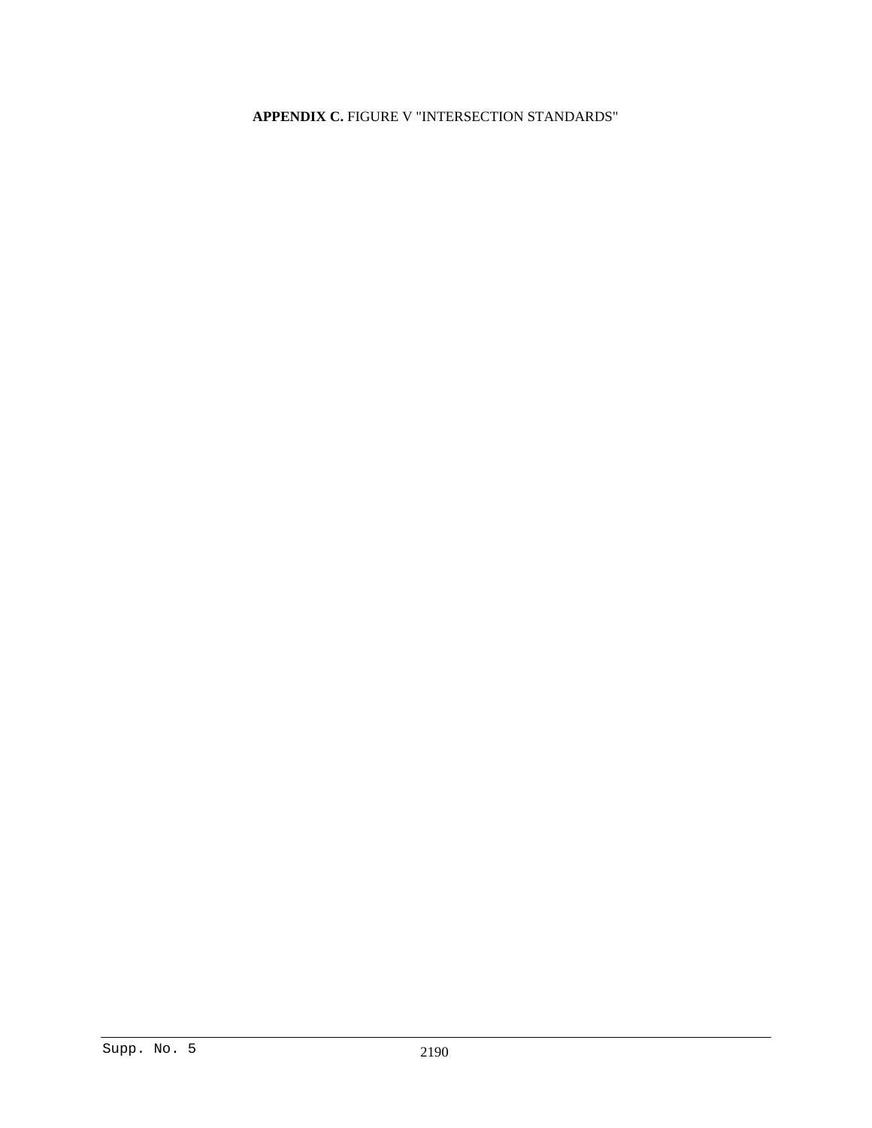# **APPENDIX C.** FIGURE V "INTERSECTION STANDARDS"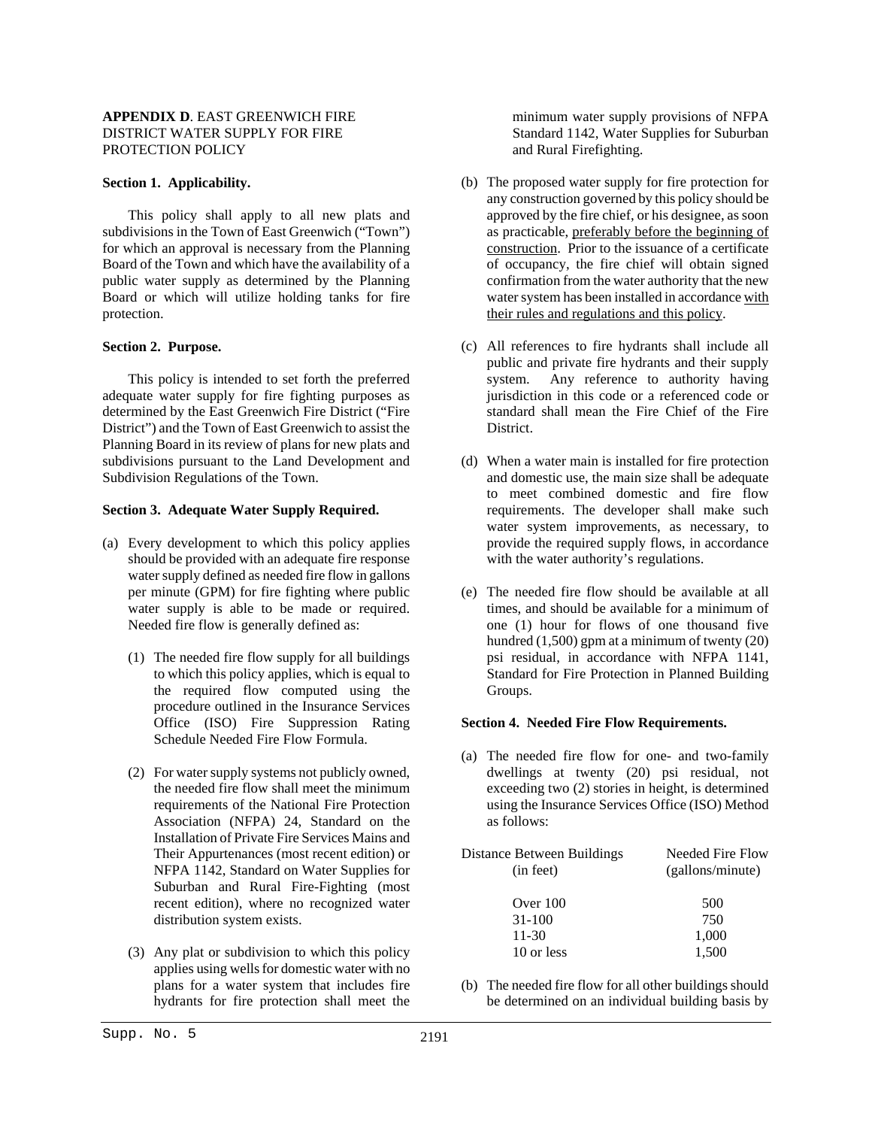# **APPENDIX D**. EAST GREENWICH FIRE DISTRICT WATER SUPPLY FOR FIRE PROTECTION POLICY

#### **Section 1. Applicability.**

This policy shall apply to all new plats and subdivisions in the Town of East Greenwich ("Town") for which an approval is necessary from the Planning Board of the Town and which have the availability of a public water supply as determined by the Planning Board or which will utilize holding tanks for fire protection.

#### **Section 2. Purpose.**

This policy is intended to set forth the preferred adequate water supply for fire fighting purposes as determined by the East Greenwich Fire District ("Fire District") and the Town of East Greenwich to assist the Planning Board in its review of plans for new plats and subdivisions pursuant to the Land Development and Subdivision Regulations of the Town.

# **Section 3. Adequate Water Supply Required.**

- (a) Every development to which this policy applies should be provided with an adequate fire response water supply defined as needed fire flow in gallons per minute (GPM) for fire fighting where public water supply is able to be made or required. Needed fire flow is generally defined as:
	- (1) The needed fire flow supply for all buildings to which this policy applies, which is equal to the required flow computed using the procedure outlined in the Insurance Services Office (ISO) Fire Suppression Rating Schedule Needed Fire Flow Formula.
	- (2) For water supply systems not publicly owned, the needed fire flow shall meet the minimum requirements of the National Fire Protection Association (NFPA) 24, Standard on the Installation of Private Fire Services Mains and Their Appurtenances (most recent edition) or NFPA 1142, Standard on Water Supplies for Suburban and Rural Fire-Fighting (most recent edition), where no recognized water distribution system exists.
	- (3) Any plat or subdivision to which this policy applies using wells for domestic water with no plans for a water system that includes fire hydrants for fire protection shall meet the

minimum water supply provisions of NFPA Standard 1142, Water Supplies for Suburban and Rural Firefighting.

- (b) The proposed water supply for fire protection for any construction governed by this policy should be approved by the fire chief, or his designee, as soon as practicable, preferably before the beginning of construction. Prior to the issuance of a certificate of occupancy, the fire chief will obtain signed confirmation from the water authority that the new water system has been installed in accordance with their rules and regulations and this policy.
- (c) All references to fire hydrants shall include all public and private fire hydrants and their supply system. Any reference to authority having jurisdiction in this code or a referenced code or standard shall mean the Fire Chief of the Fire **District**
- (d) When a water main is installed for fire protection and domestic use, the main size shall be adequate to meet combined domestic and fire flow requirements. The developer shall make such water system improvements, as necessary, to provide the required supply flows, in accordance with the water authority's regulations.
- (e) The needed fire flow should be available at all times, and should be available for a minimum of one (1) hour for flows of one thousand five hundred (1,500) gpm at a minimum of twenty (20) psi residual, in accordance with NFPA 1141, Standard for Fire Protection in Planned Building Groups.

#### **Section 4. Needed Fire Flow Requirements.**

(a) The needed fire flow for one- and two-family dwellings at twenty (20) psi residual, not exceeding two (2) stories in height, is determined using the Insurance Services Office (ISO) Method as follows:

| Distance Between Buildings | Needed Fire Flow |
|----------------------------|------------------|
| (in feet)                  | (gallons/minute) |
|                            |                  |
| Over 100                   | 500              |
| $31 - 100$                 | 750              |
| 11-30                      | 1,000            |
| 10 or less                 | 1,500            |

(b) The needed fire flow for all other buildings should be determined on an individual building basis by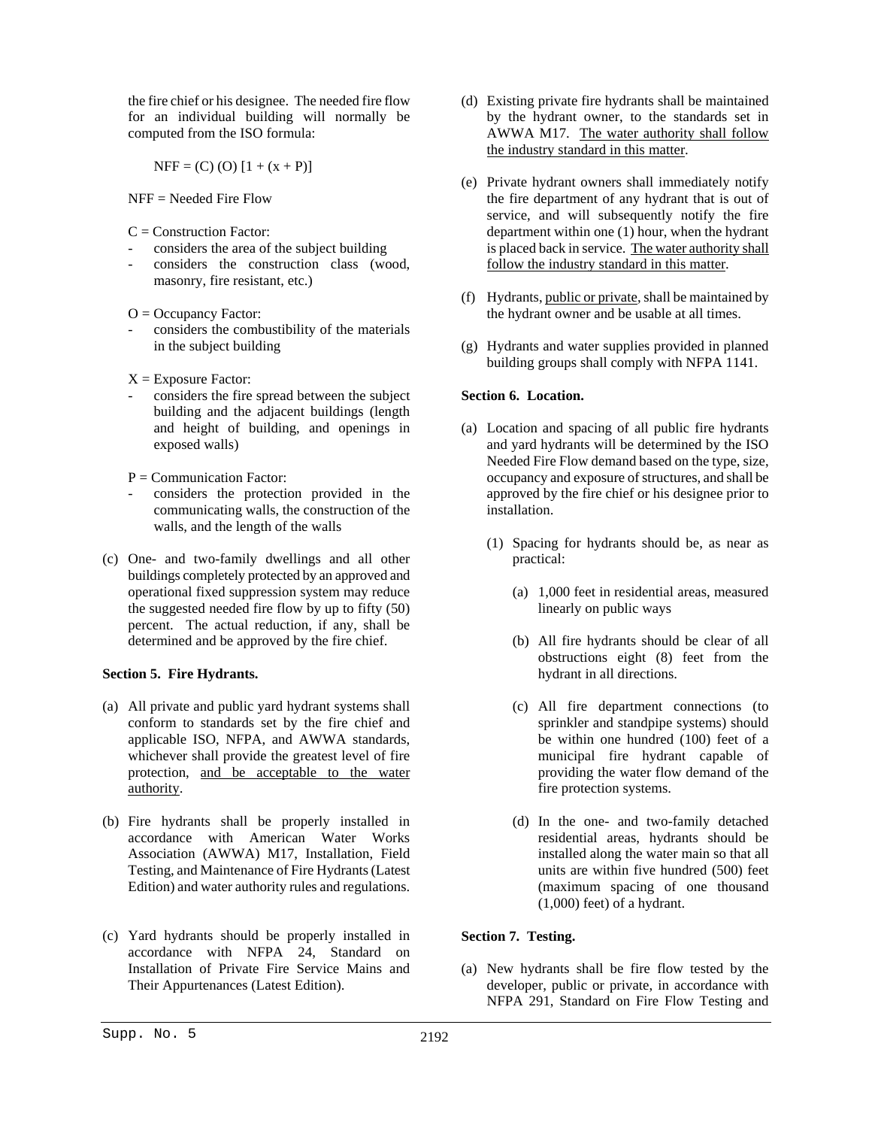the fire chief or his designee. The needed fire flow for an individual building will normally be computed from the ISO formula:

 $NFF = (C) (O) [1 + (x + P)]$ 

NFF = Needed Fire Flow

 $C =$ Construction Factor:

- considers the area of the subject building
- considers the construction class (wood, masonry, fire resistant, etc.)

 $O = Occupancy Factor$ :

- considers the combustibility of the materials in the subject building
- $X =$  Exposure Factor:
- considers the fire spread between the subject building and the adjacent buildings (length and height of building, and openings in exposed walls)
- $P =$ Communication Factor:
- considers the protection provided in the communicating walls, the construction of the walls, and the length of the walls
- (c) One- and two-family dwellings and all other buildings completely protected by an approved and operational fixed suppression system may reduce the suggested needed fire flow by up to fifty (50) percent. The actual reduction, if any, shall be determined and be approved by the fire chief.

# **Section 5. Fire Hydrants.**

- (a) All private and public yard hydrant systems shall conform to standards set by the fire chief and applicable ISO, NFPA, and AWWA standards, whichever shall provide the greatest level of fire protection, and be acceptable to the water authority.
- (b) Fire hydrants shall be properly installed in accordance with American Water Works Association (AWWA) M17, Installation, Field Testing, and Maintenance of Fire Hydrants (Latest Edition) and water authority rules and regulations.
- (c) Yard hydrants should be properly installed in accordance with NFPA 24, Standard on Installation of Private Fire Service Mains and Their Appurtenances (Latest Edition).
- (d) Existing private fire hydrants shall be maintained by the hydrant owner, to the standards set in AWWA M17. The water authority shall follow the industry standard in this matter.
- (e) Private hydrant owners shall immediately notify the fire department of any hydrant that is out of service, and will subsequently notify the fire department within one (1) hour, when the hydrant is placed back in service. The water authority shall follow the industry standard in this matter.
- (f) Hydrants, public or private, shall be maintained by the hydrant owner and be usable at all times.
- (g) Hydrants and water supplies provided in planned building groups shall comply with NFPA 1141.

# **Section 6. Location.**

- (a) Location and spacing of all public fire hydrants and yard hydrants will be determined by the ISO Needed Fire Flow demand based on the type, size, occupancy and exposure of structures, and shall be approved by the fire chief or his designee prior to installation.
	- (1) Spacing for hydrants should be, as near as practical:
		- (a) 1,000 feet in residential areas, measured linearly on public ways
		- (b) All fire hydrants should be clear of all obstructions eight (8) feet from the hydrant in all directions.
		- (c) All fire department connections (to sprinkler and standpipe systems) should be within one hundred (100) feet of a municipal fire hydrant capable of providing the water flow demand of the fire protection systems.
		- (d) In the one- and two-family detached residential areas, hydrants should be installed along the water main so that all units are within five hundred (500) feet (maximum spacing of one thousand (1,000) feet) of a hydrant.

# **Section 7. Testing.**

(a) New hydrants shall be fire flow tested by the developer, public or private, in accordance with NFPA 291, Standard on Fire Flow Testing and